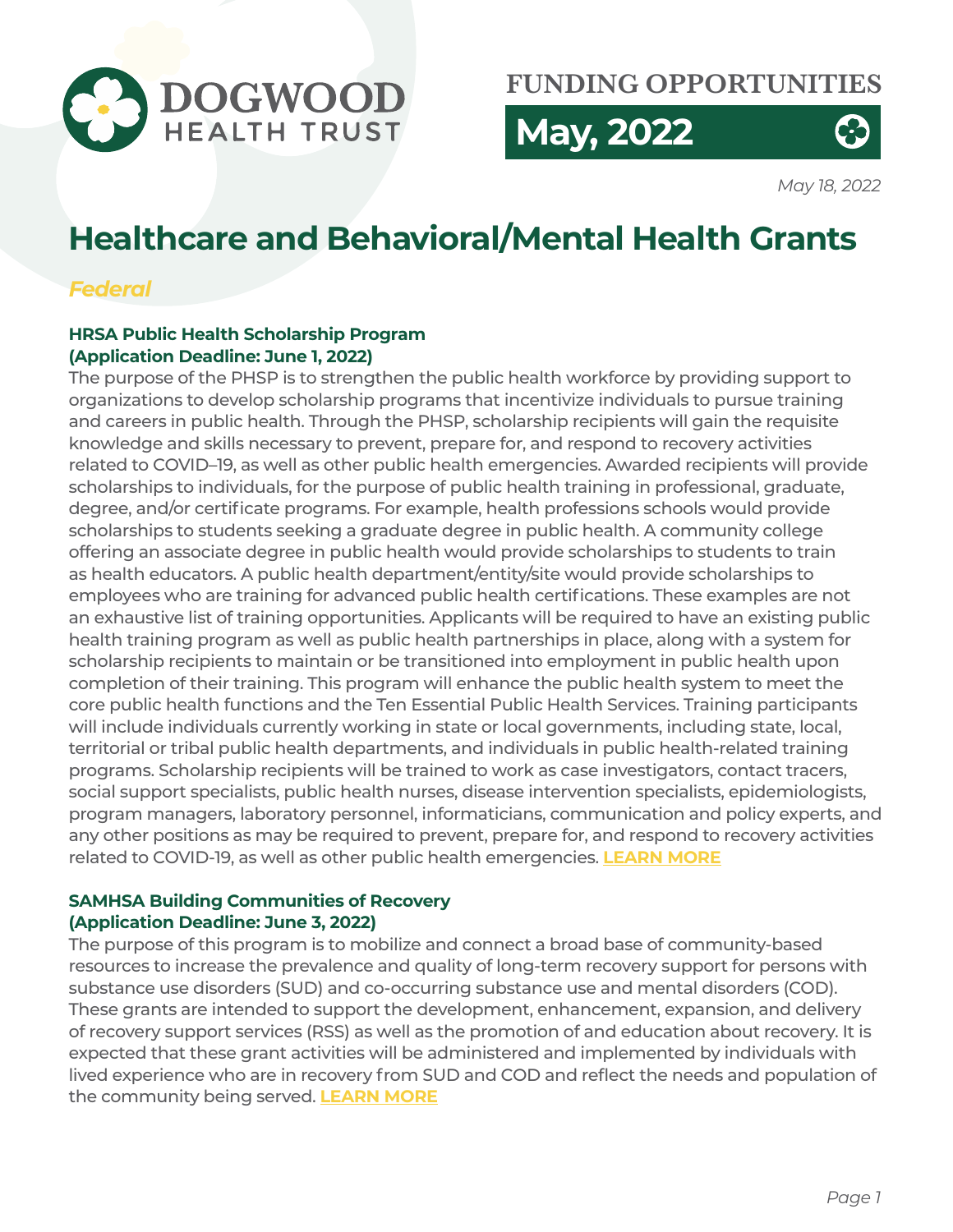

# **FUNDING OPPORTUNITIES**

**May, 2022**

*May 18, 2022*

# **Healthcare and Behavioral/Mental Health Grants**

## *Federal*

### **HRSA Public Health Scholarship Program (Application Deadline: June 1, 2022)**

The purpose of the PHSP is to strengthen the public health workforce by providing support to organizations to develop scholarship programs that incentivize individuals to pursue training and careers in public health. Through the PHSP, scholarship recipients will gain the requisite knowledge and skills necessary to prevent, prepare for, and respond to recovery activities related to COVID–19, as well as other public health emergencies. Awarded recipients will provide scholarships to individuals, for the purpose of public health training in professional, graduate, degree, and/or certificate programs. For example, health professions schools would provide scholarships to students seeking a graduate degree in public health. A community college offering an associate degree in public health would provide scholarships to students to train as health educators. A public health department/entity/site would provide scholarships to employees who are training for advanced public health certifications. These examples are not an exhaustive list of training opportunities. Applicants will be required to have an existing public health training program as well as public health partnerships in place, along with a system for scholarship recipients to maintain or be transitioned into employment in public health upon completion of their training. This program will enhance the public health system to meet the core public health functions and the Ten Essential Public Health Services. Training participants will include individuals currently working in state or local governments, including state, local, territorial or tribal public health departments, and individuals in public health-related training programs. Scholarship recipients will be trained to work as case investigators, contact tracers, social support specialists, public health nurses, disease intervention specialists, epidemiologists, program managers, laboratory personnel, informaticians, communication and policy experts, and any other positions as may be required to prevent, prepare for, and respond to recovery activities related to COVID-19, as well as other public health emergencies. **[LEARN MORE](https://www.hrsa.gov/grants/find-funding/hrsa-22-122)**

#### **SAMHSA Building Communities of Recovery (Application Deadline: June 3, 2022)**

The purpose of this program is to mobilize and connect a broad base of community-based resources to increase the prevalence and quality of long-term recovery support for persons with substance use disorders (SUD) and co-occurring substance use and mental disorders (COD). These grants are intended to support the development, enhancement, expansion, and delivery of recovery support services (RSS) as well as the promotion of and education about recovery. It is expected that these grant activities will be administered and implemented by individuals with lived experience who are in recovery from SUD and COD and reflect the needs and population of the community being served. **[LEARN MORE](https://www.grants.gov/web/grants/view-opportunity.html?oppId=338896)**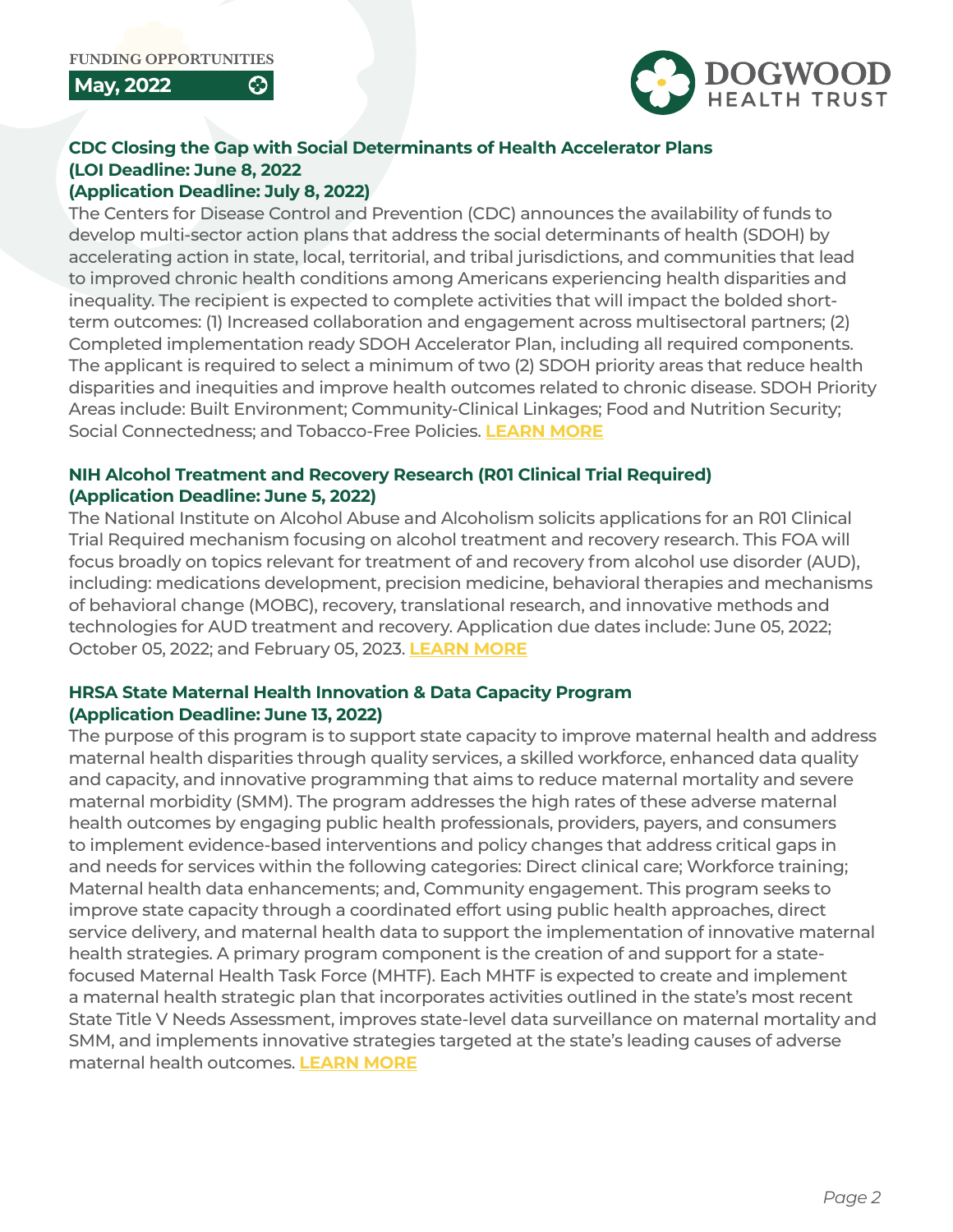**May, 2022**



#### **CDC Closing the Gap with Social Determinants of Health Accelerator Plans (LOI Deadline: June 8, 2022 (Application Deadline: July 8, 2022)**

The Centers for Disease Control and Prevention (CDC) announces the availability of funds to develop multi-sector action plans that address the social determinants of health (SDOH) by accelerating action in state, local, territorial, and tribal jurisdictions, and communities that lead to improved chronic health conditions among Americans experiencing health disparities and inequality. The recipient is expected to complete activities that will impact the bolded shortterm outcomes: (1) Increased collaboration and engagement across multisectoral partners; (2) Completed implementation ready SDOH Accelerator Plan, including all required components. The applicant is required to select a minimum of two (2) SDOH priority areas that reduce health disparities and inequities and improve health outcomes related to chronic disease. SDOH Priority Areas include: Built Environment; Community-Clinical Linkages; Food and Nutrition Security; Social Connectedness; and Tobacco-Free Policies. **[LEARN MORE](https://www.grants.gov/web/grants/view-opportunity.html?oppId=338618)**

#### **NIH Alcohol Treatment and Recovery Research (R01 Clinical Trial Required) (Application Deadline: June 5, 2022)**

The National Institute on Alcohol Abuse and Alcoholism solicits applications for an R01 Clinical Trial Required mechanism focusing on alcohol treatment and recovery research. This FOA will focus broadly on topics relevant for treatment of and recovery from alcohol use disorder (AUD), including: medications development, precision medicine, behavioral therapies and mechanisms of behavioral change (MOBC), recovery, translational research, and innovative methods and technologies for AUD treatment and recovery. Application due dates include: June 05, 2022; October 05, 2022; and February 05, 2023. **[LEARN MORE](https://grants.nih.gov/grants/guide/pa-files/PAR-22-158.html)**

#### **HRSA State Maternal Health Innovation & Data Capacity Program (Application Deadline: June 13, 2022)**

The purpose of this program is to support state capacity to improve maternal health and address maternal health disparities through quality services, a skilled workforce, enhanced data quality and capacity, and innovative programming that aims to reduce maternal mortality and severe maternal morbidity (SMM). The program addresses the high rates of these adverse maternal health outcomes by engaging public health professionals, providers, payers, and consumers to implement evidence-based interventions and policy changes that address critical gaps in and needs for services within the following categories: Direct clinical care; Workforce training; Maternal health data enhancements; and, Community engagement. This program seeks to improve state capacity through a coordinated effort using public health approaches, direct service delivery, and maternal health data to support the implementation of innovative maternal health strategies. A primary program component is the creation of and support for a statefocused Maternal Health Task Force (MHTF). Each MHTF is expected to create and implement a maternal health strategic plan that incorporates activities outlined in the state's most recent State Title V Needs Assessment, improves state-level data surveillance on maternal mortality and SMM, and implements innovative strategies targeted at the state's leading causes of adverse maternal health outcomes. **[LEARN MORE](https://www.grants.gov/web/grants/view-opportunity.html?oppId=337896)**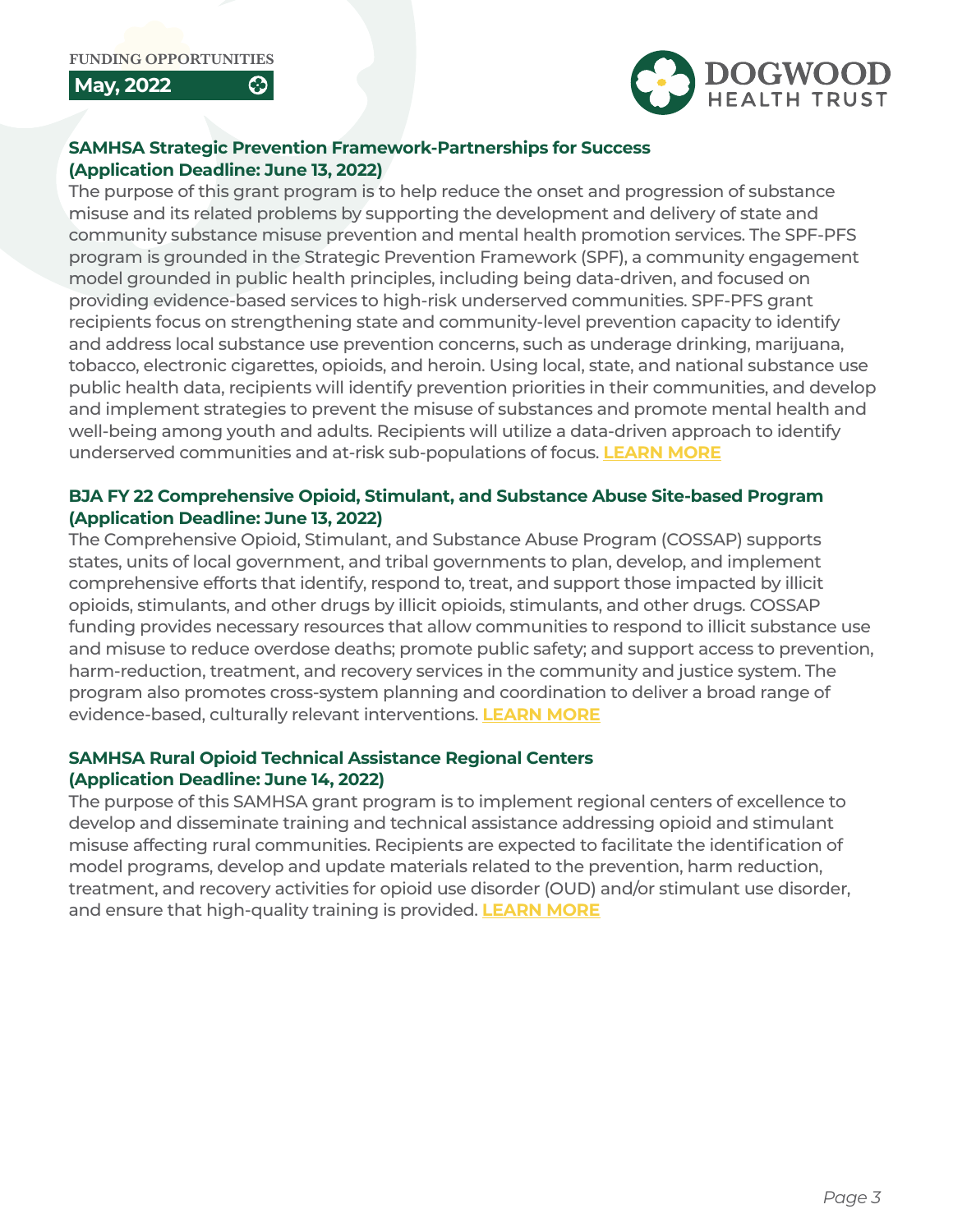**May, 2022**



### **SAMHSA Strategic Prevention Framework-Partnerships for Success (Application Deadline: June 13, 2022)**

The purpose of this grant program is to help reduce the onset and progression of substance misuse and its related problems by supporting the development and delivery of state and community substance misuse prevention and mental health promotion services. The SPF-PFS program is grounded in the Strategic Prevention Framework (SPF), a community engagement model grounded in public health principles, including being data-driven, and focused on providing evidence-based services to high-risk underserved communities. SPF-PFS grant recipients focus on strengthening state and community-level prevention capacity to identify and address local substance use prevention concerns, such as underage drinking, marijuana, tobacco, electronic cigarettes, opioids, and heroin. Using local, state, and national substance use public health data, recipients will identify prevention priorities in their communities, and develop and implement strategies to prevent the misuse of substances and promote mental health and well-being among youth and adults. Recipients will utilize a data-driven approach to identify underserved communities and at-risk sub-populations of focus. **[LEARN MORE](https://www.grants.gov/web/grants/view-opportunity.html?oppId=338893)**

#### **BJA FY 22 Comprehensive Opioid, Stimulant, and Substance Abuse Site-based Program (Application Deadline: June 13, 2022)**

The Comprehensive Opioid, Stimulant, and Substance Abuse Program (COSSAP) supports states, units of local government, and tribal governments to plan, develop, and implement comprehensive efforts that identify, respond to, treat, and support those impacted by illicit opioids, stimulants, and other drugs by illicit opioids, stimulants, and other drugs. COSSAP funding provides necessary resources that allow communities to respond to illicit substance use and misuse to reduce overdose deaths; promote public safety; and support access to prevention, harm-reduction, treatment, and recovery services in the community and justice system. The program also promotes cross-system planning and coordination to deliver a broad range of evidence-based, culturally relevant interventions. **[LEARN MORE](https://bja.ojp.gov/funding/opportunities/o-bja-2022-171280)**

#### **SAMHSA Rural Opioid Technical Assistance Regional Centers (Application Deadline: June 14, 2022)**

The purpose of this SAMHSA grant program is to implement regional centers of excellence to develop and disseminate training and technical assistance addressing opioid and stimulant misuse affecting rural communities. Recipients are expected to facilitate the identification of model programs, develop and update materials related to the prevention, harm reduction, treatment, and recovery activities for opioid use disorder (OUD) and/or stimulant use disorder, and ensure that high-quality training is provided. **[LEARN MORE](https://www.grants.gov/web/grants/view-opportunity.html?oppId=338895)**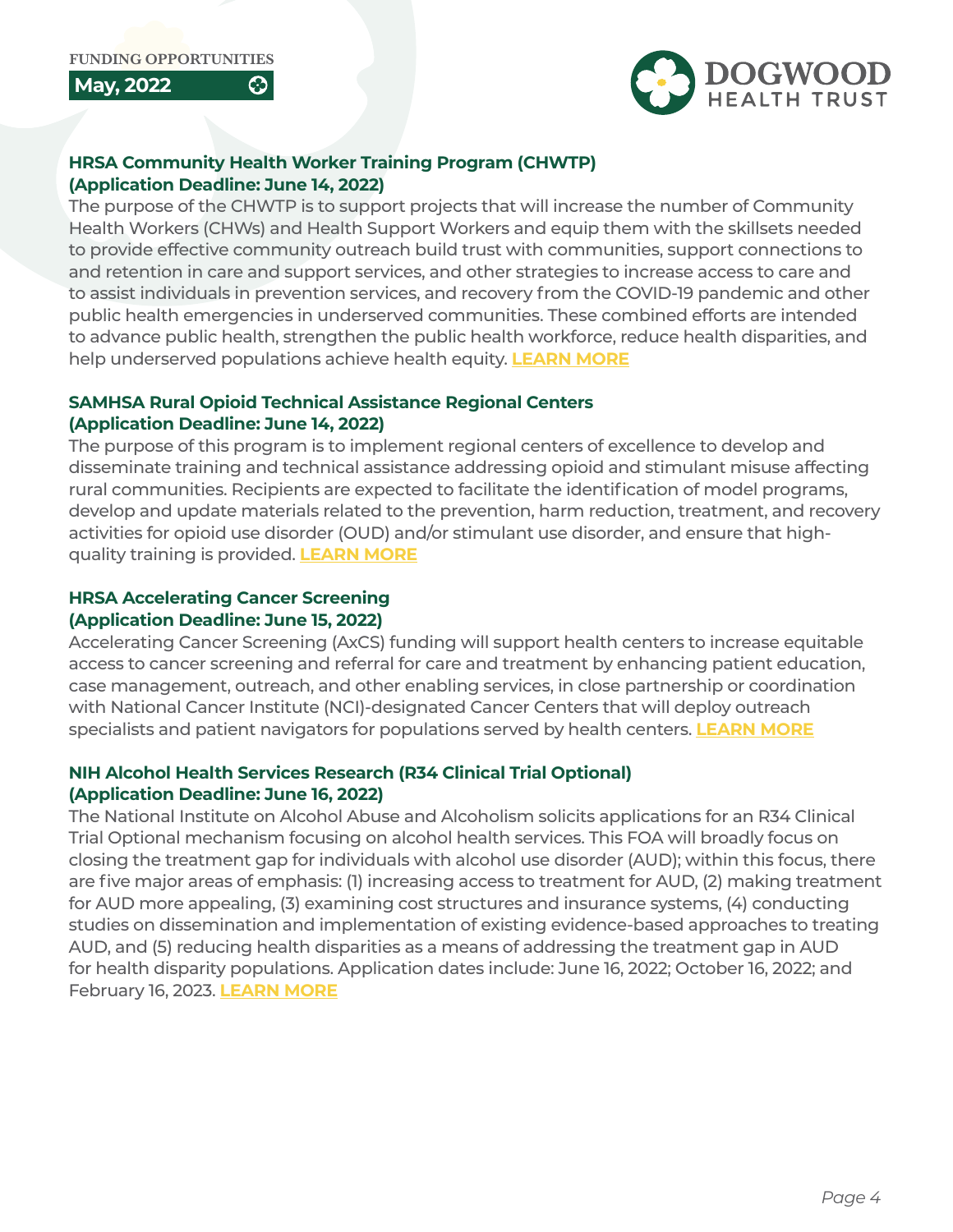**May, 2022**



#### **HRSA Community Health Worker Training Program (CHWTP) (Application Deadline: June 14, 2022)**

The purpose of the CHWTP is to support projects that will increase the number of Community Health Workers (CHWs) and Health Support Workers and equip them with the skillsets needed to provide effective community outreach build trust with communities, support connections to and retention in care and support services, and other strategies to increase access to care and to assist individuals in prevention services, and recovery from the COVID-19 pandemic and other public health emergencies in underserved communities. These combined efforts are intended to advance public health, strengthen the public health workforce, reduce health disparities, and help underserved populations achieve health equity. **[LEARN MORE](https://www.grants.gov/web/grants/view-opportunity.html?oppId=336498)**

#### **SAMHSA Rural Opioid Technical Assistance Regional Centers (Application Deadline: June 14, 2022)**

The purpose of this program is to implement regional centers of excellence to develop and disseminate training and technical assistance addressing opioid and stimulant misuse affecting rural communities. Recipients are expected to facilitate the identification of model programs, develop and update materials related to the prevention, harm reduction, treatment, and recovery activities for opioid use disorder (OUD) and/or stimulant use disorder, and ensure that highquality training is provided. **[LEARN MORE](https://www.grants.gov/web/grants/view-opportunity.html?oppId=338895)**

### **HRSA Accelerating Cancer Screening (Application Deadline: June 15, 2022)**

Accelerating Cancer Screening (AxCS) funding will support health centers to increase equitable access to cancer screening and referral for care and treatment by enhancing patient education, case management, outreach, and other enabling services, in close partnership or coordination with National Cancer Institute (NCI)-designated Cancer Centers that will deploy outreach specialists and patient navigators for populations served by health centers. **[LEARN MORE](https://www.grants.gov/web/grants/view-opportunity.html?oppId=338756)**

## **NIH Alcohol Health Services Research (R34 Clinical Trial Optional) (Application Deadline: June 16, 2022)**

The National Institute on Alcohol Abuse and Alcoholism solicits applications for an R34 Clinical Trial Optional mechanism focusing on alcohol health services. This FOA will broadly focus on closing the treatment gap for individuals with alcohol use disorder (AUD); within this focus, there are five major areas of emphasis: (1) increasing access to treatment for AUD, (2) making treatment for AUD more appealing, (3) examining cost structures and insurance systems, (4) conducting studies on dissemination and implementation of existing evidence-based approaches to treating AUD, and (5) reducing health disparities as a means of addressing the treatment gap in AUD for health disparity populations. Application dates include: June 16, 2022; October 16, 2022; and February 16, 2023. **[LEARN MORE](https://grants.nih.gov/grants/guide/pa-files/PAR-22-157.html)**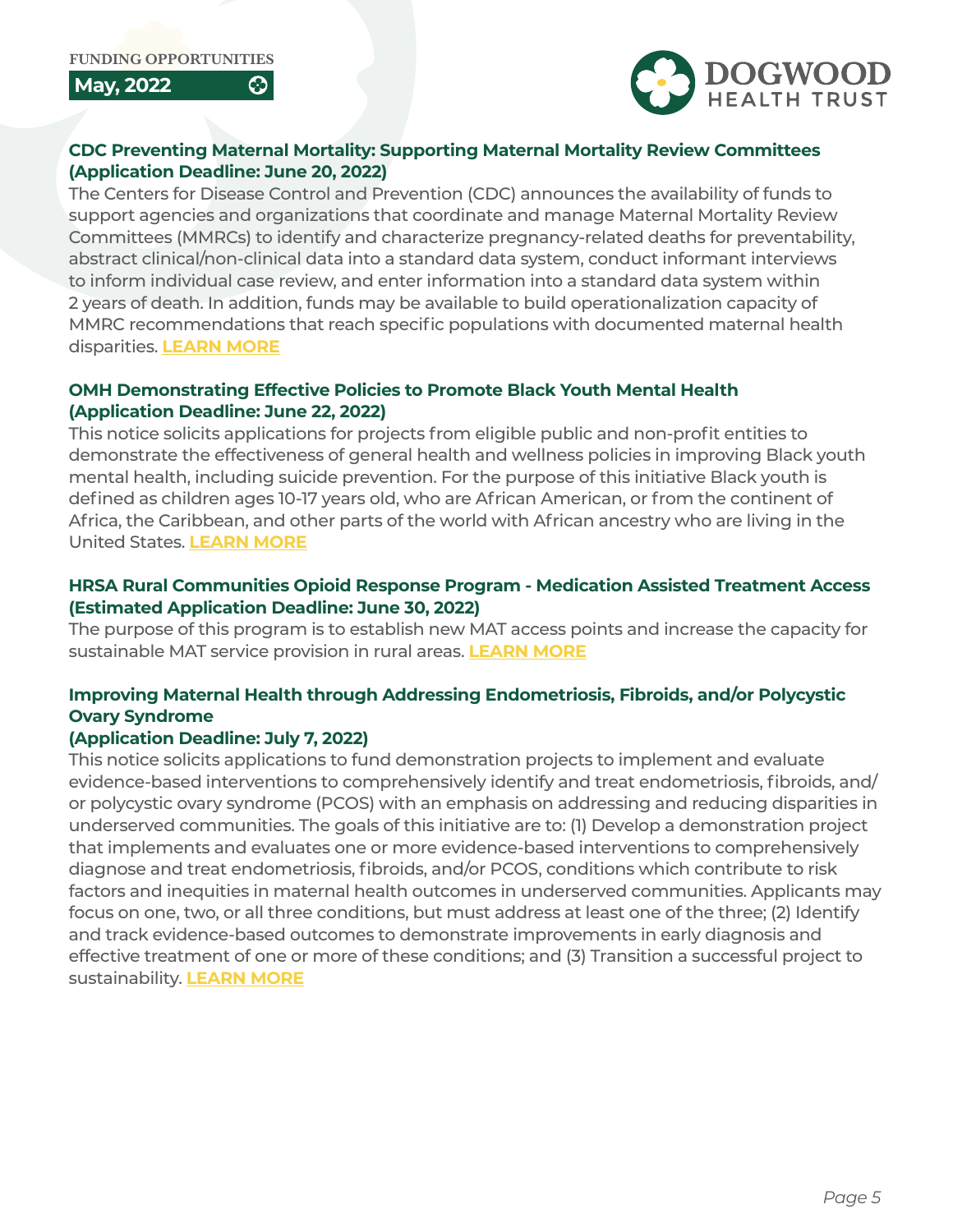**May, 2022**



### **CDC Preventing Maternal Mortality: Supporting Maternal Mortality Review Committees (Application Deadline: June 20, 2022)**

The Centers for Disease Control and Prevention (CDC) announces the availability of funds to support agencies and organizations that coordinate and manage Maternal Mortality Review Committees (MMRCs) to identify and characterize pregnancy-related deaths for preventability, abstract clinical/non-clinical data into a standard data system, conduct informant interviews to inform individual case review, and enter information into a standard data system within 2 years of death. In addition, funds may be available to build operationalization capacity of MMRC recommendations that reach specific populations with documented maternal health disparities. **[LEARN MORE](https://www.grants.gov/web/grants/view-opportunity.html?oppId=338449)**

#### **OMH Demonstrating Effective Policies to Promote Black Youth Mental Health (Application Deadline: June 22, 2022)**

This notice solicits applications for projects from eligible public and non-profit entities to demonstrate the effectiveness of general health and wellness policies in improving Black youth mental health, including suicide prevention. For the purpose of this initiative Black youth is defined as children ages 10-17 years old, who are African American, or from the continent of Africa, the Caribbean, and other parts of the world with African ancestry who are living in the United States. **[LEARN MORE](https://www.grants.gov/web/grants/view-opportunity.html?oppId=334922)**

#### **HRSA Rural Communities Opioid Response Program - Medication Assisted Treatment Access (Estimated Application Deadline: June 30, 2022)**

The purpose of this program is to establish new MAT access points and increase the capacity for sustainable MAT service provision in rural areas. **[LEARN MORE](https://www.grants.gov/web/grants/view-opportunity.html?oppId=339574)**

# **Improving Maternal Health through Addressing Endometriosis, Fibroids, and/or Polycystic Ovary Syndrome**

## **(Application Deadline: July 7, 2022)**

This notice solicits applications to fund demonstration projects to implement and evaluate evidence-based interventions to comprehensively identify and treat endometriosis, fibroids, and/ or polycystic ovary syndrome (PCOS) with an emphasis on addressing and reducing disparities in underserved communities. The goals of this initiative are to: (1) Develop a demonstration project that implements and evaluates one or more evidence-based interventions to comprehensively diagnose and treat endometriosis, fibroids, and/or PCOS, conditions which contribute to risk factors and inequities in maternal health outcomes in underserved communities. Applicants may focus on one, two, or all three conditions, but must address at least one of the three; (2) Identify and track evidence-based outcomes to demonstrate improvements in early diagnosis and effective treatment of one or more of these conditions; and (3) Transition a successful project to sustainability. **[LEARN MORE](https://www.grants.gov/web/grants/view-opportunity.html?oppId=335046)**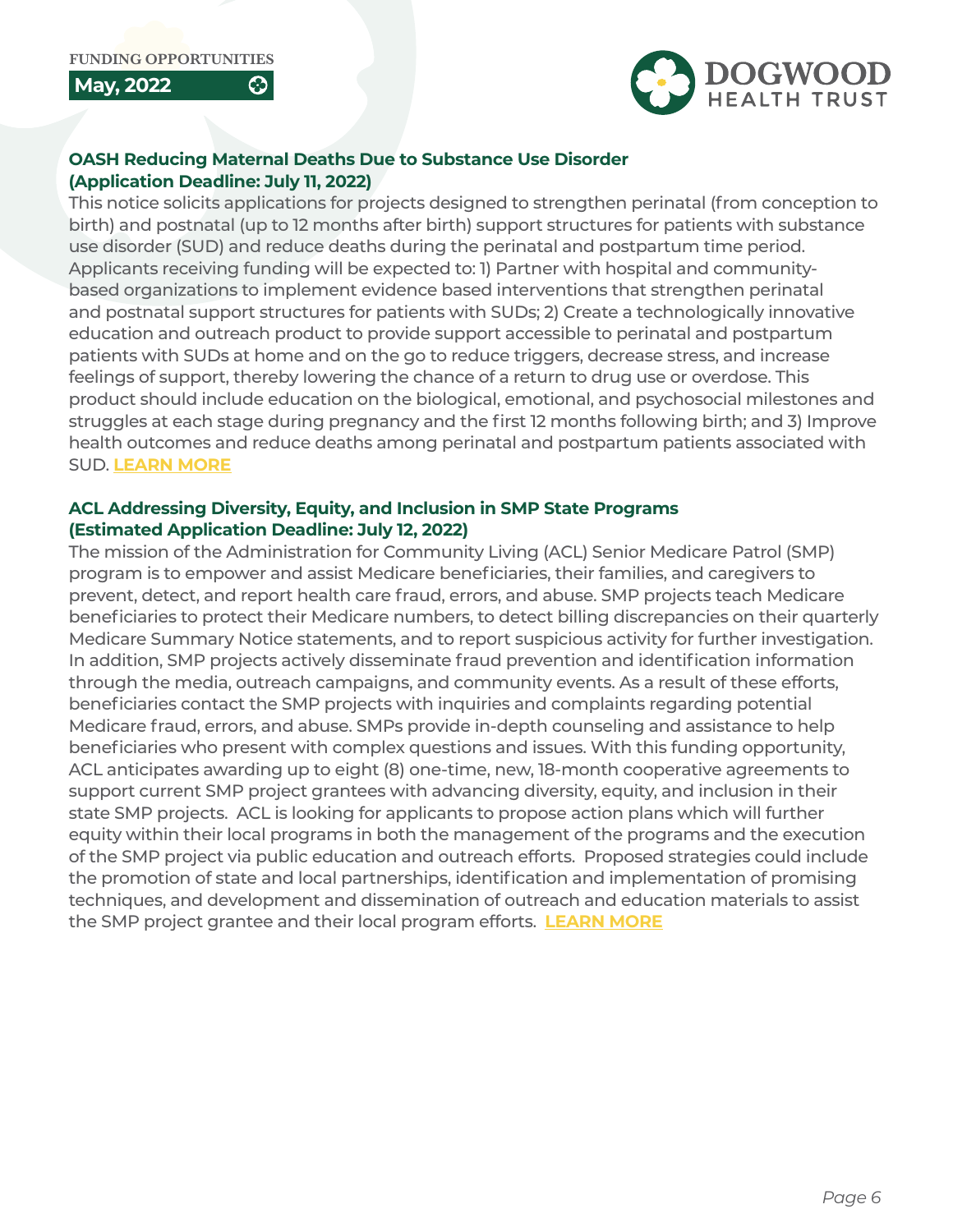$\odot$ 

**May, 2022**



#### **OASH Reducing Maternal Deaths Due to Substance Use Disorder (Application Deadline: July 11, 2022)**

This notice solicits applications for projects designed to strengthen perinatal (from conception to birth) and postnatal (up to 12 months after birth) support structures for patients with substance use disorder (SUD) and reduce deaths during the perinatal and postpartum time period. Applicants receiving funding will be expected to: 1) Partner with hospital and communitybased organizations to implement evidence based interventions that strengthen perinatal and postnatal support structures for patients with SUDs; 2) Create a technologically innovative education and outreach product to provide support accessible to perinatal and postpartum patients with SUDs at home and on the go to reduce triggers, decrease stress, and increase feelings of support, thereby lowering the chance of a return to drug use or overdose. This product should include education on the biological, emotional, and psychosocial milestones and struggles at each stage during pregnancy and the first 12 months following birth; and 3) Improve health outcomes and reduce deaths among perinatal and postpartum patients associated with SUD. **[LEARN MORE](https://www.grants.gov/web/grants/view-opportunity.html?oppId=337413)**

#### **ACL Addressing Diversity, Equity, and Inclusion in SMP State Programs (Estimated Application Deadline: July 12, 2022)**

The mission of the Administration for Community Living (ACL) Senior Medicare Patrol (SMP) program is to empower and assist Medicare beneficiaries, their families, and caregivers to prevent, detect, and report health care fraud, errors, and abuse. SMP projects teach Medicare beneficiaries to protect their Medicare numbers, to detect billing discrepancies on their quarterly Medicare Summary Notice statements, and to report suspicious activity for further investigation. In addition, SMP projects actively disseminate fraud prevention and identification information through the media, outreach campaigns, and community events. As a result of these efforts, beneficiaries contact the SMP projects with inquiries and complaints regarding potential Medicare fraud, errors, and abuse. SMPs provide in-depth counseling and assistance to help beneficiaries who present with complex questions and issues. With this funding opportunity, ACL anticipates awarding up to eight (8) one-time, new, 18-month cooperative agreements to support current SMP project grantees with advancing diversity, equity, and inclusion in their state SMP projects. ACL is looking for applicants to propose action plans which will further equity within their local programs in both the management of the programs and the execution of the SMP project via public education and outreach efforts. Proposed strategies could include the promotion of state and local partnerships, identification and implementation of promising techniques, and development and dissemination of outreach and education materials to assist the SMP project grantee and their local program efforts. **[LEARN MORE](https://www.grants.gov/web/grants/view-opportunity.html?oppId=339748)**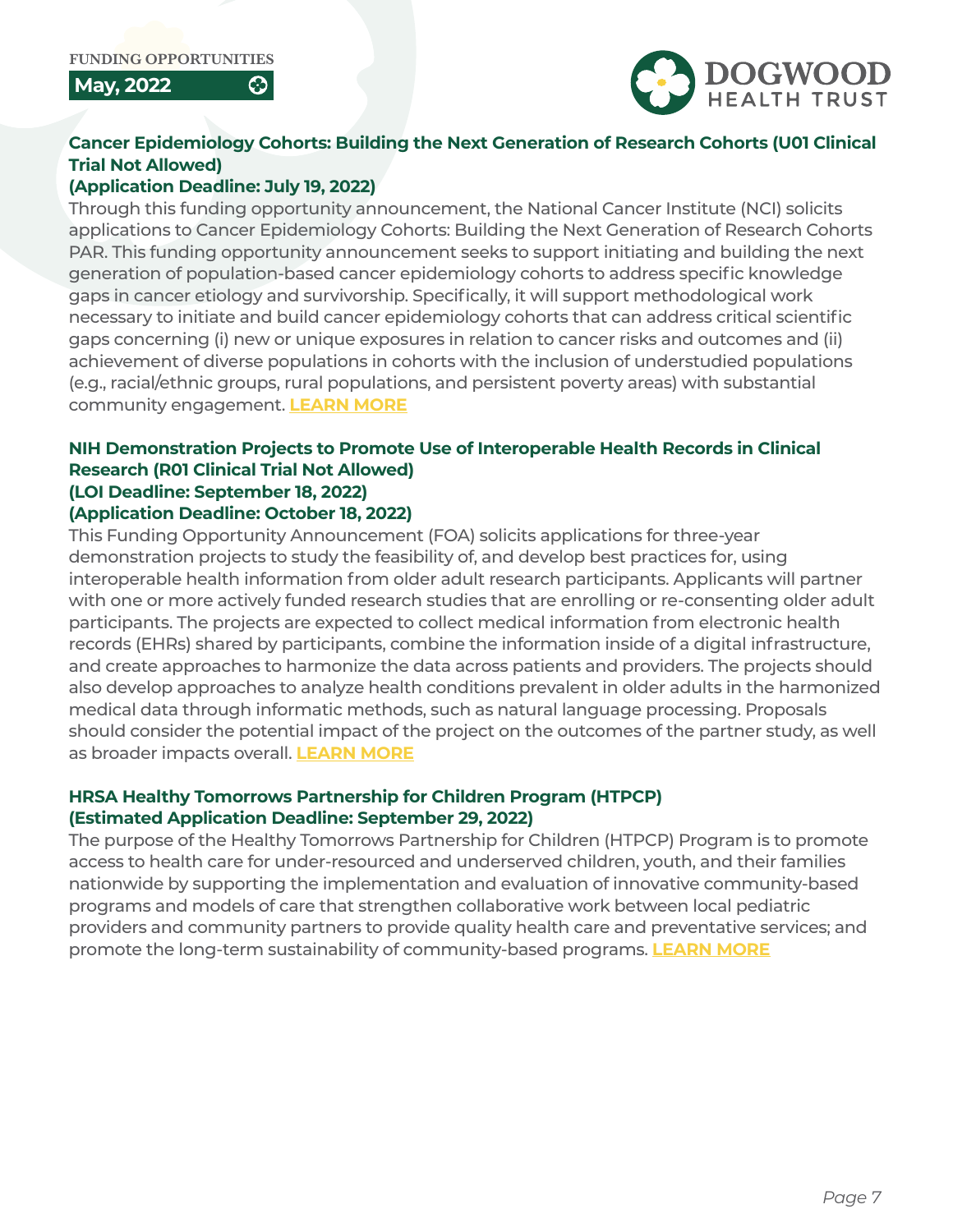

# **Cancer Epidemiology Cohorts: Building the Next Generation of Research Cohorts (U01 Clinical Trial Not Allowed)**

#### **(Application Deadline: July 19, 2022)**

 $\odot$ 

Through this funding opportunity announcement, the National Cancer Institute (NCI) solicits applications to Cancer Epidemiology Cohorts: Building the Next Generation of Research Cohorts PAR. This funding opportunity announcement seeks to support initiating and building the next generation of population-based cancer epidemiology cohorts to address specific knowledge gaps in cancer etiology and survivorship. Specifically, it will support methodological work necessary to initiate and build cancer epidemiology cohorts that can address critical scientific gaps concerning (i) new or unique exposures in relation to cancer risks and outcomes and (ii) achievement of diverse populations in cohorts with the inclusion of understudied populations (e.g., racial/ethnic groups, rural populations, and persistent poverty areas) with substantial community engagement. **[LEARN MORE](https://grants.nih.gov/grants/guide/pa-files/PAR-22-161.html)**

# **NIH Demonstration Projects to Promote Use of Interoperable Health Records in Clinical Research (R01 Clinical Trial Not Allowed) (LOI Deadline: September 18, 2022)**

#### **(Application Deadline: October 18, 2022)**

This Funding Opportunity Announcement (FOA) solicits applications for three-year demonstration projects to study the feasibility of, and develop best practices for, using interoperable health information from older adult research participants. Applicants will partner with one or more actively funded research studies that are enrolling or re-consenting older adult participants. The projects are expected to collect medical information from electronic health records (EHRs) shared by participants, combine the information inside of a digital infrastructure, and create approaches to harmonize the data across patients and providers. The projects should also develop approaches to analyze health conditions prevalent in older adults in the harmonized medical data through informatic methods, such as natural language processing. Proposals should consider the potential impact of the project on the outcomes of the partner study, as well as broader impacts overall. **[LEARN MORE](https://grants.nih.gov/grants/guide/rfa-files/RFA-AG-23-019.html)**

#### **HRSA Healthy Tomorrows Partnership for Children Program (HTPCP) (Estimated Application Deadline: September 29, 2022)**

The purpose of the Healthy Tomorrows Partnership for Children (HTPCP) Program is to promote access to health care for under-resourced and underserved children, youth, and their families nationwide by supporting the implementation and evaluation of innovative community-based programs and models of care that strengthen collaborative work between local pediatric providers and community partners to provide quality health care and preventative services; and promote the long-term sustainability of community-based programs. **[LEARN MORE](https://www.grants.gov/web/grants/view-opportunity.html?oppId=339205)**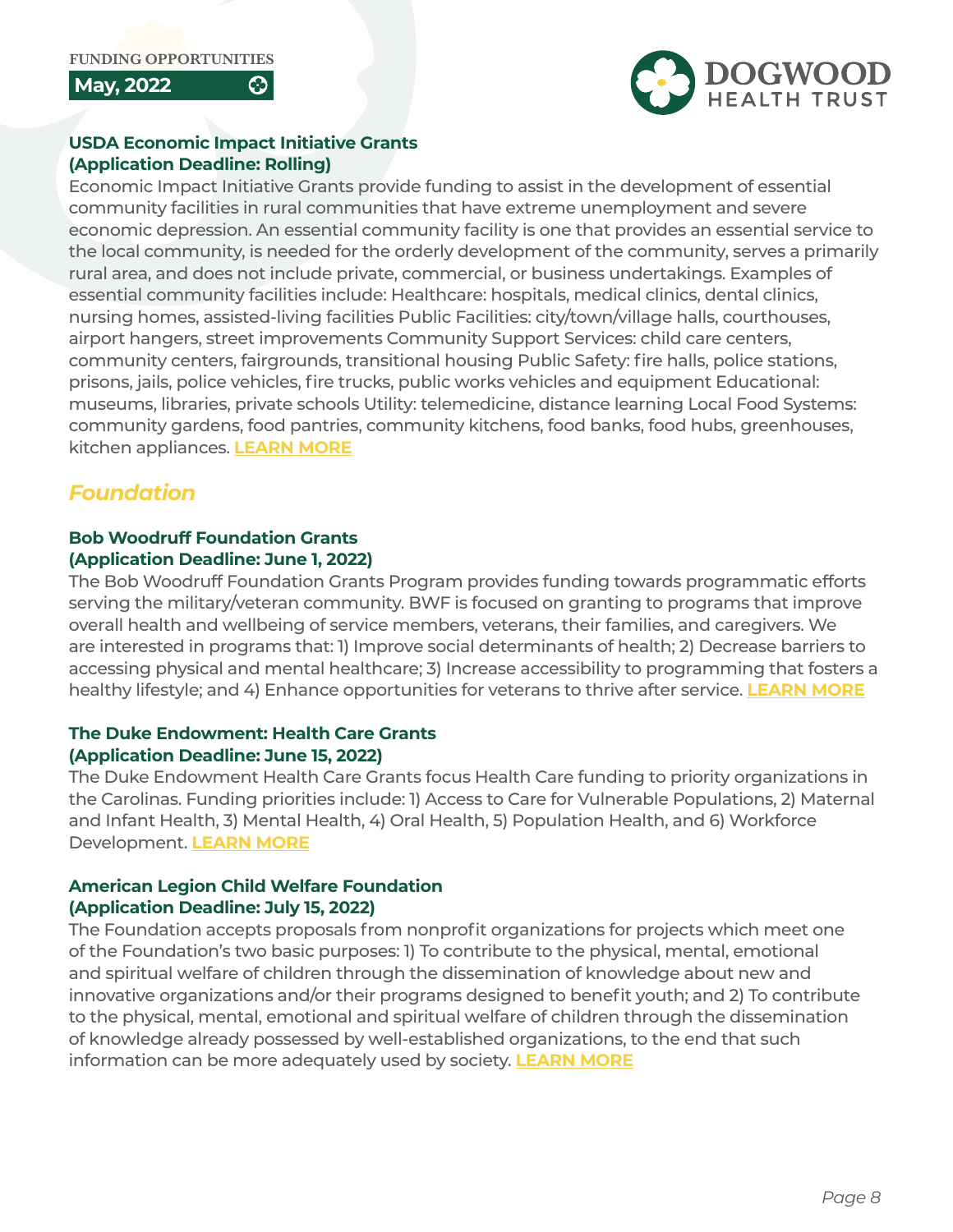

#### **USDA Economic Impact Initiative Grants (Application Deadline: Rolling)**

හි

Economic Impact Initiative Grants provide funding to assist in the development of essential community facilities in rural communities that have extreme unemployment and severe economic depression. An essential community facility is one that provides an essential service to the local community, is needed for the orderly development of the community, serves a primarily rural area, and does not include private, commercial, or business undertakings. Examples of essential community facilities include: Healthcare: hospitals, medical clinics, dental clinics, nursing homes, assisted-living facilities Public Facilities: city/town/village halls, courthouses, airport hangers, street improvements Community Support Services: child care centers, community centers, fairgrounds, transitional housing Public Safety: fire halls, police stations, prisons, jails, police vehicles, fire trucks, public works vehicles and equipment Educational: museums, libraries, private schools Utility: telemedicine, distance learning Local Food Systems: community gardens, food pantries, community kitchens, food banks, food hubs, greenhouses, kitchen appliances. **[LEARN MORE](https://www.rd.usda.gov/programs-services/economic-impact-initiative-grants)**

# *Foundation*

### **Bob Woodruff Foundation Grants (Application Deadline: June 1, 2022)**

The Bob Woodruff Foundation Grants Program provides funding towards programmatic efforts serving the military/veteran community. BWF is focused on granting to programs that improve overall health and wellbeing of service members, veterans, their families, and caregivers. We are interested in programs that: 1) Improve social determinants of health; 2) Decrease barriers to accessing physical and mental healthcare; 3) Increase accessibility to programming that fosters a healthy lifestyle; and 4) Enhance opportunities for veterans to thrive after service. **[LEARN MORE](https://bobwoodrufffoundation.org/grants/)**

## **The Duke Endowment: Health Care Grants (Application Deadline: June 15, 2022)**

The Duke Endowment Health Care Grants focus Health Care funding to priority organizations in the Carolinas. Funding priorities include: 1) Access to Care for Vulnerable Populations, 2) Maternal and Infant Health, 3) Mental Health, 4) Oral Health, 5) Population Health, and 6) Workforce Development. **[LEARN MORE](https://www.dukeendowment.org/grants/health-care-application)**

#### **American Legion Child Welfare Foundation (Application Deadline: July 15, 2022)**

The Foundation accepts proposals from nonprofit organizations for projects which meet one of the Foundation's two basic purposes: 1) To contribute to the physical, mental, emotional and spiritual welfare of children through the dissemination of knowledge about new and innovative organizations and/or their programs designed to benefit youth; and 2) To contribute to the physical, mental, emotional and spiritual welfare of children through the dissemination of knowledge already possessed by well-established organizations, to the end that such information can be more adequately used by society. **[LEARN MORE](http://www.cwf-inc.org/grantseekers/overview)**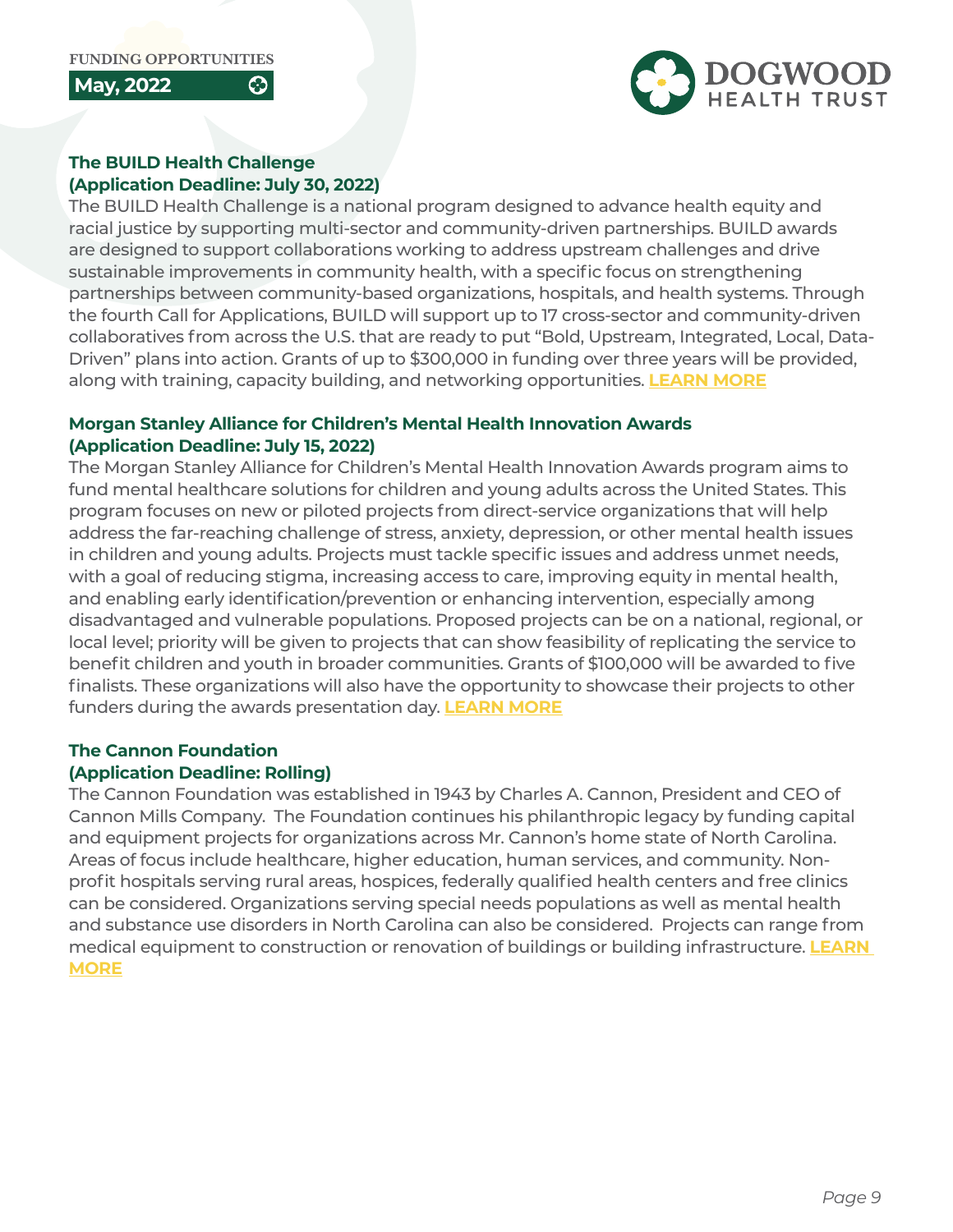

#### **The BUILD Health Challenge (Application Deadline: July 30, 2022)**

හි

The BUILD Health Challenge is a national program designed to advance health equity and racial justice by supporting multi-sector and community-driven partnerships. BUILD awards are designed to support collaborations working to address upstream challenges and drive sustainable improvements in community health, with a specific focus on strengthening partnerships between community-based organizations, hospitals, and health systems. Through the fourth Call for Applications, BUILD will support up to 17 cross-sector and community-driven collaboratives from across the U.S. that are ready to put "Bold, Upstream, Integrated, Local, Data-Driven" plans into action. Grants of up to \$300,000 in funding over three years will be provided, along with training, capacity building, and networking opportunities. **[LEARN MORE](https://buildhealthchallenge.org/application/)**

#### **Morgan Stanley Alliance for Children's Mental Health Innovation Awards (Application Deadline: July 15, 2022)**

The Morgan Stanley Alliance for Children's Mental Health Innovation Awards program aims to fund mental healthcare solutions for children and young adults across the United States. This program focuses on new or piloted projects from direct-service organizations that will help address the far-reaching challenge of stress, anxiety, depression, or other mental health issues in children and young adults. Projects must tackle specific issues and address unmet needs, with a goal of reducing stigma, increasing access to care, improving equity in mental health, and enabling early identification/prevention or enhancing intervention, especially among disadvantaged and vulnerable populations. Proposed projects can be on a national, regional, or local level; priority will be given to projects that can show feasibility of replicating the service to benefit children and youth in broader communities. Grants of \$100,000 will be awarded to five finalists. These organizations will also have the opportunity to showcase their projects to other funders during the awards presentation day. **[LEARN MORE](https://www.morganstanley.com/about-us/giving-back/childrens-mental-health-awards)**

# **The Cannon Foundation**

## **(Application Deadline: Rolling)**

The Cannon Foundation was established in 1943 by Charles A. Cannon, President and CEO of Cannon Mills Company. The Foundation continues his philanthropic legacy by funding capital and equipment projects for organizations across Mr. Cannon's home state of North Carolina. Areas of focus include healthcare, higher education, human services, and community. Nonprofit hospitals serving rural areas, hospices, federally qualified health centers and free clinics can be considered. Organizations serving special needs populations as well as mental health and substance use disorders in North Carolina can also be considered. Projects can range from medical equipment to construction or renovation of buildings or building infrastructure. **[LEARN](https://cannonfoundation.org/cannon-foundation/)  [MORE](https://cannonfoundation.org/cannon-foundation/)**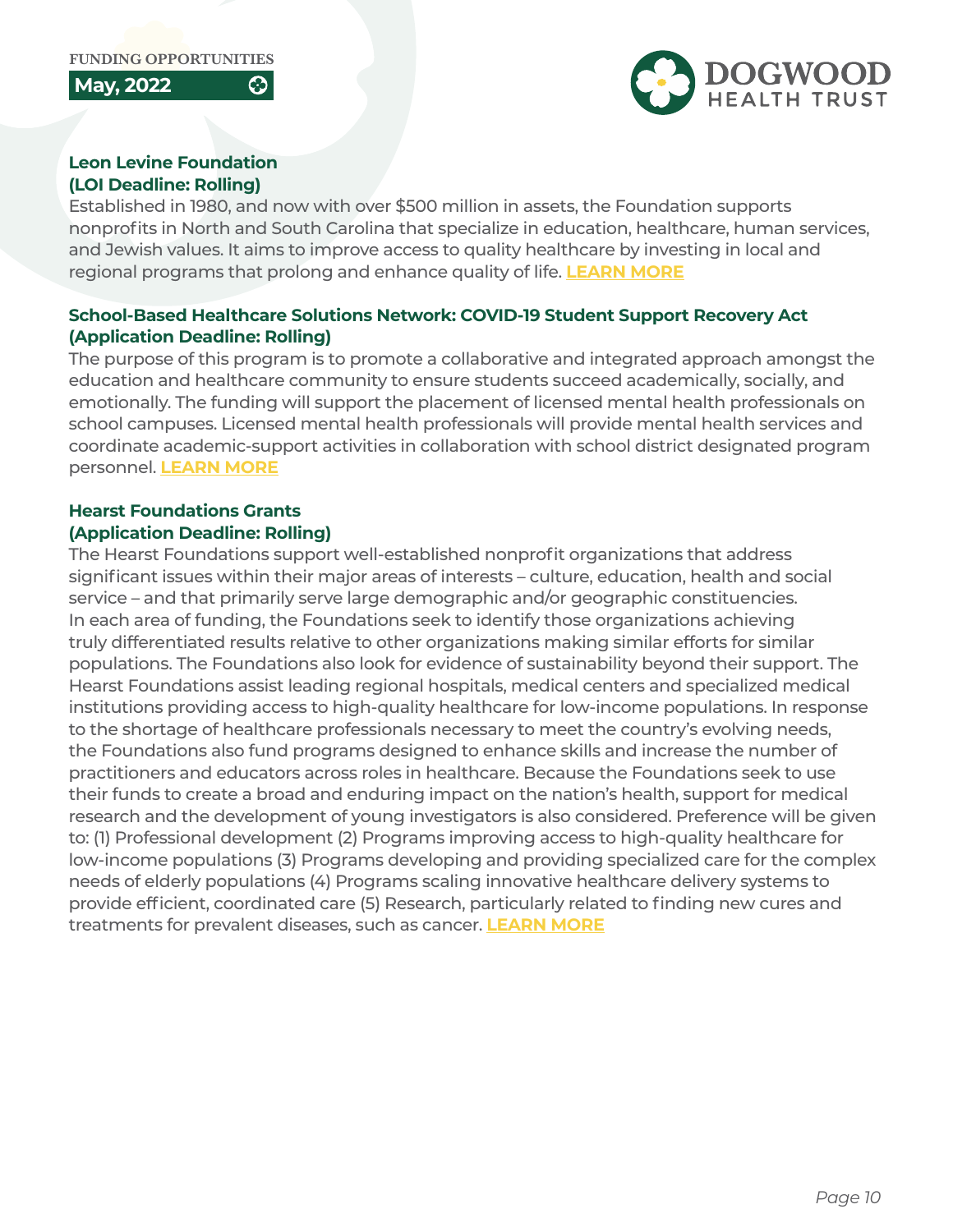۞

**May, 2022**



#### **Leon Levine Foundation (LOI Deadline: Rolling)**

Established in 1980, and now with over \$500 million in assets, the Foundation supports nonprofits in North and South Carolina that specialize in education, healthcare, human services, and Jewish values. It aims to improve access to quality healthcare by investing in local and regional programs that prolong and enhance quality of life. **[LEARN MORE](https://www.leonlevinefoundation.org/)**

### **School-Based Healthcare Solutions Network: COVID-19 Student Support Recovery Act (Application Deadline: Rolling)**

The purpose of this program is to promote a collaborative and integrated approach amongst the education and healthcare community to ensure students succeed academically, socially, and emotionally. The funding will support the placement of licensed mental health professionals on school campuses. Licensed mental health professionals will provide mental health services and coordinate academic-support activities in collaboration with school district designated program personnel. **[LEARN MORE](https://www.sbhsnetwork.com/student-support-recovery-grant)**

#### **Hearst Foundations Grants (Application Deadline: Rolling)**

The Hearst Foundations support well-established nonprofit organizations that address significant issues within their major areas of interests – culture, education, health and social service – and that primarily serve large demographic and/or geographic constituencies. In each area of funding, the Foundations seek to identify those organizations achieving truly differentiated results relative to other organizations making similar efforts for similar populations. The Foundations also look for evidence of sustainability beyond their support. The Hearst Foundations assist leading regional hospitals, medical centers and specialized medical institutions providing access to high-quality healthcare for low-income populations. In response to the shortage of healthcare professionals necessary to meet the country's evolving needs, the Foundations also fund programs designed to enhance skills and increase the number of practitioners and educators across roles in healthcare. Because the Foundations seek to use their funds to create a broad and enduring impact on the nation's health, support for medical research and the development of young investigators is also considered. Preference will be given to: (1) Professional development (2) Programs improving access to high-quality healthcare for low-income populations (3) Programs developing and providing specialized care for the complex needs of elderly populations (4) Programs scaling innovative healthcare delivery systems to provide efficient, coordinated care (5) Research, particularly related to finding new cures and treatments for prevalent diseases, such as cancer. **[LEARN MORE](https://www.hearstfdn.org/general-overview)**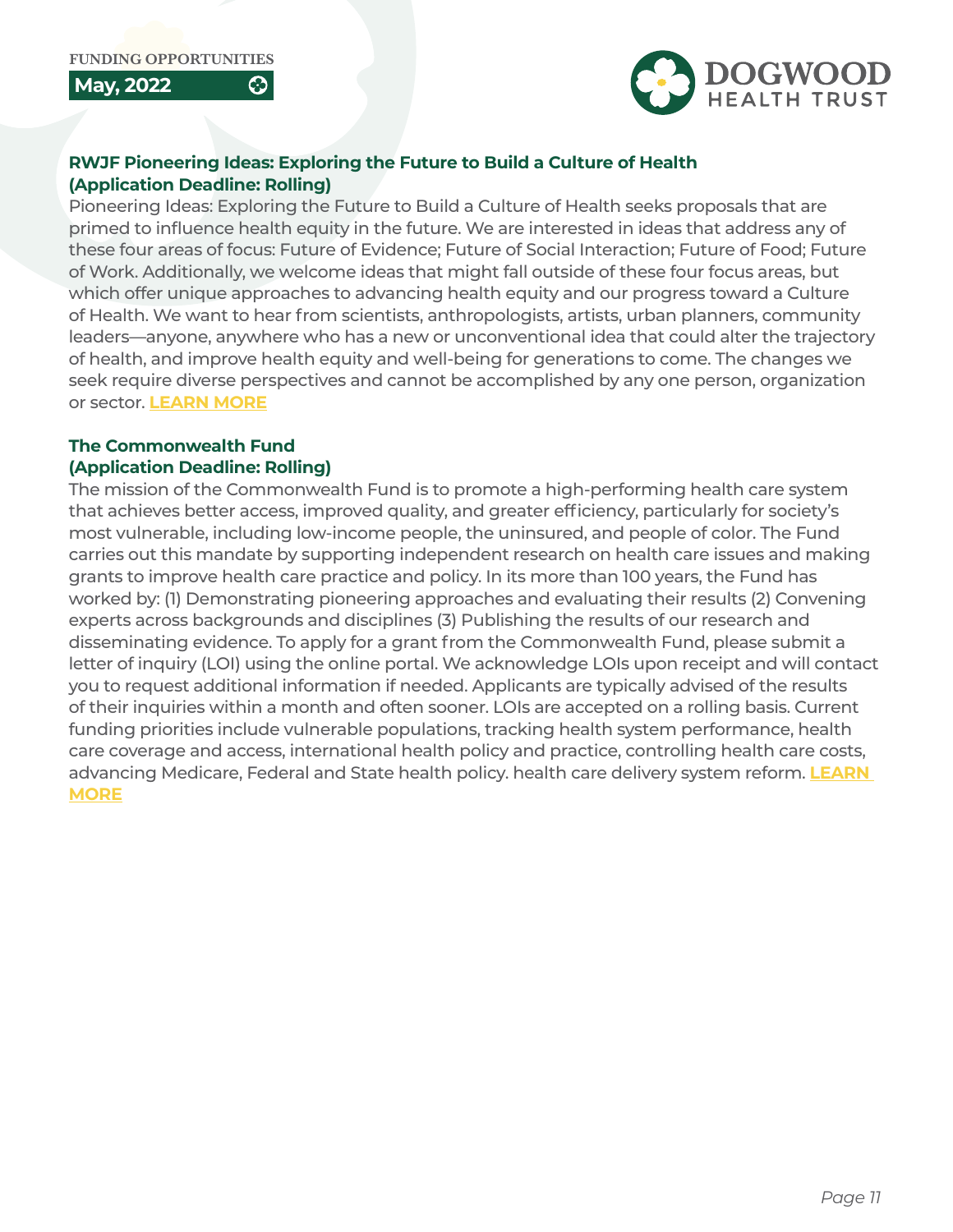**May, 2022**



#### **RWJF Pioneering Ideas: Exploring the Future to Build a Culture of Health (Application Deadline: Rolling)**

Pioneering Ideas: Exploring the Future to Build a Culture of Health seeks proposals that are primed to influence health equity in the future. We are interested in ideas that address any of these four areas of focus: Future of Evidence; Future of Social Interaction; Future of Food; Future of Work. Additionally, we welcome ideas that might fall outside of these four focus areas, but which offer unique approaches to advancing health equity and our progress toward a Culture of Health. We want to hear from scientists, anthropologists, artists, urban planners, community leaders—anyone, anywhere who has a new or unconventional idea that could alter the trajectory of health, and improve health equity and well-being for generations to come. The changes we seek require diverse perspectives and cannot be accomplished by any one person, organization or sector. **[LEARN MORE](https://www.rwjf.org/en/library/funding-opportunities/2020/pioneering-ideas-2020-exploring-the-future-to-build-a-culture-of-health.html)**

#### **The Commonwealth Fund (Application Deadline: Rolling)**

The mission of the Commonwealth Fund is to promote a high-performing health care system that achieves better access, improved quality, and greater efficiency, particularly for society's most vulnerable, including low-income people, the uninsured, and people of color. The Fund carries out this mandate by supporting independent research on health care issues and making grants to improve health care practice and policy. In its more than 100 years, the Fund has worked by: (1) Demonstrating pioneering approaches and evaluating their results (2) Convening experts across backgrounds and disciplines (3) Publishing the results of our research and disseminating evidence. To apply for a grant from the Commonwealth Fund, please submit a letter of inquiry (LOI) using the online portal. We acknowledge LOIs upon receipt and will contact you to request additional information if needed. Applicants are typically advised of the results of their inquiries within a month and often sooner. LOIs are accepted on a rolling basis. Current funding priorities include vulnerable populations, tracking health system performance, health care coverage and access, international health policy and practice, controlling health care costs, advancing Medicare, Federal and State health policy. health care delivery system reform. **[LEARN](https://www.commonwealthfund.org/node73/applying-grant)  [MORE](https://www.commonwealthfund.org/node73/applying-grant)**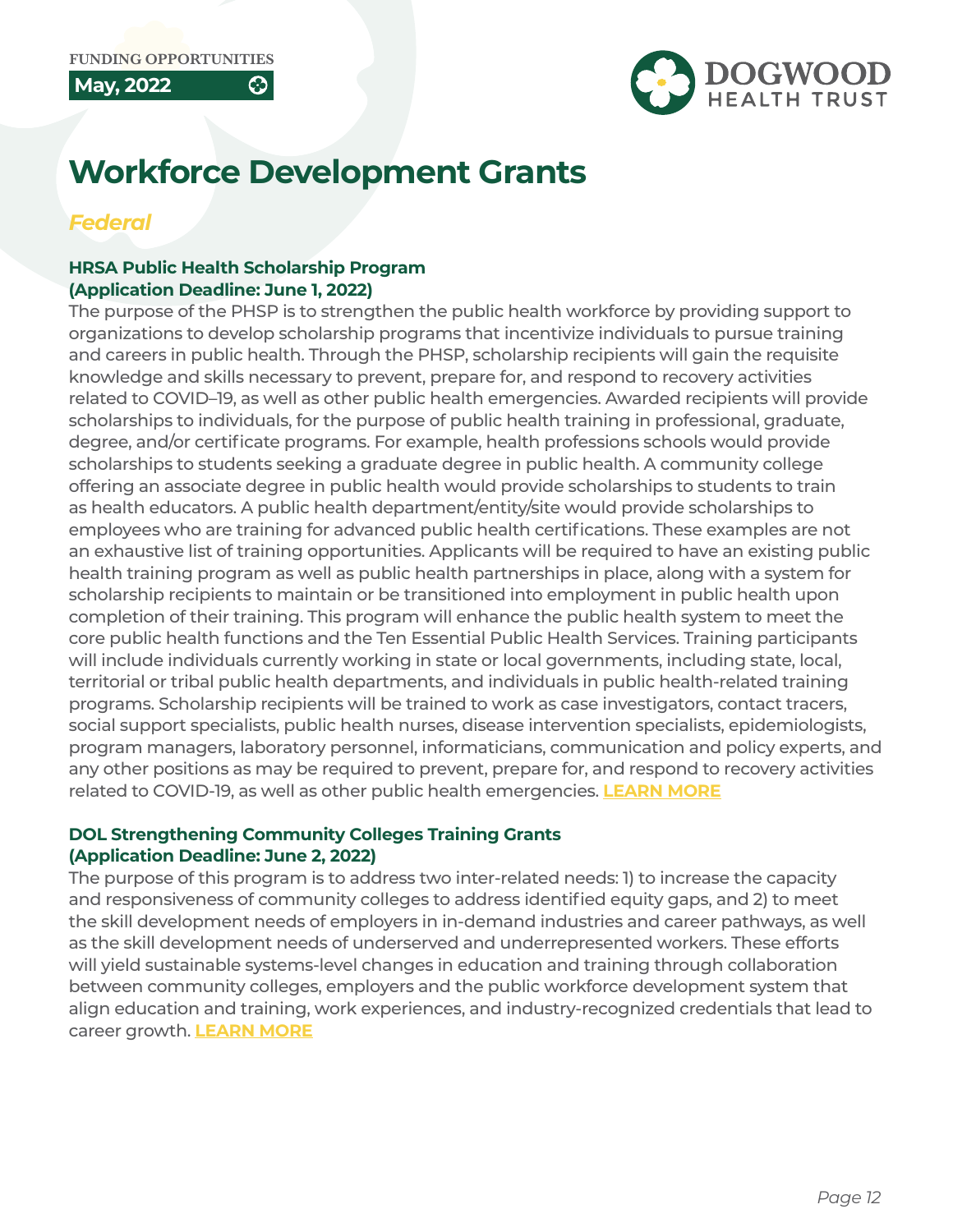

# **Workforce Development Grants**

# *Federal*

**May, 2022**

#### **HRSA Public Health Scholarship Program (Application Deadline: June 1, 2022)**

හි

The purpose of the PHSP is to strengthen the public health workforce by providing support to organizations to develop scholarship programs that incentivize individuals to pursue training and careers in public health. Through the PHSP, scholarship recipients will gain the requisite knowledge and skills necessary to prevent, prepare for, and respond to recovery activities related to COVID–19, as well as other public health emergencies. Awarded recipients will provide scholarships to individuals, for the purpose of public health training in professional, graduate, degree, and/or certificate programs. For example, health professions schools would provide scholarships to students seeking a graduate degree in public health. A community college offering an associate degree in public health would provide scholarships to students to train as health educators. A public health department/entity/site would provide scholarships to employees who are training for advanced public health certifications. These examples are not an exhaustive list of training opportunities. Applicants will be required to have an existing public health training program as well as public health partnerships in place, along with a system for scholarship recipients to maintain or be transitioned into employment in public health upon completion of their training. This program will enhance the public health system to meet the core public health functions and the Ten Essential Public Health Services. Training participants will include individuals currently working in state or local governments, including state, local, territorial or tribal public health departments, and individuals in public health-related training programs. Scholarship recipients will be trained to work as case investigators, contact tracers, social support specialists, public health nurses, disease intervention specialists, epidemiologists, program managers, laboratory personnel, informaticians, communication and policy experts, and any other positions as may be required to prevent, prepare for, and respond to recovery activities related to COVID-19, as well as other public health emergencies. **[LEARN MORE](https://www.hrsa.gov/grants/find-funding/hrsa-22-122)**

## **DOL Strengthening Community Colleges Training Grants (Application Deadline: June 2, 2022)**

The purpose of this program is to address two inter-related needs: 1) to increase the capacity and responsiveness of community colleges to address identified equity gaps, and 2) to meet the skill development needs of employers in in-demand industries and career pathways, as well as the skill development needs of underserved and underrepresented workers. These efforts will yield sustainable systems-level changes in education and training through collaboration between community colleges, employers and the public workforce development system that align education and training, work experiences, and industry-recognized credentials that lead to career growth. **[LEARN MORE](https://innovativefundingpartners.us8.list-manage.com/track/click?u=a8f6fded8527ecce77da118c6&id=7754aaa285&e=c354614bf0)**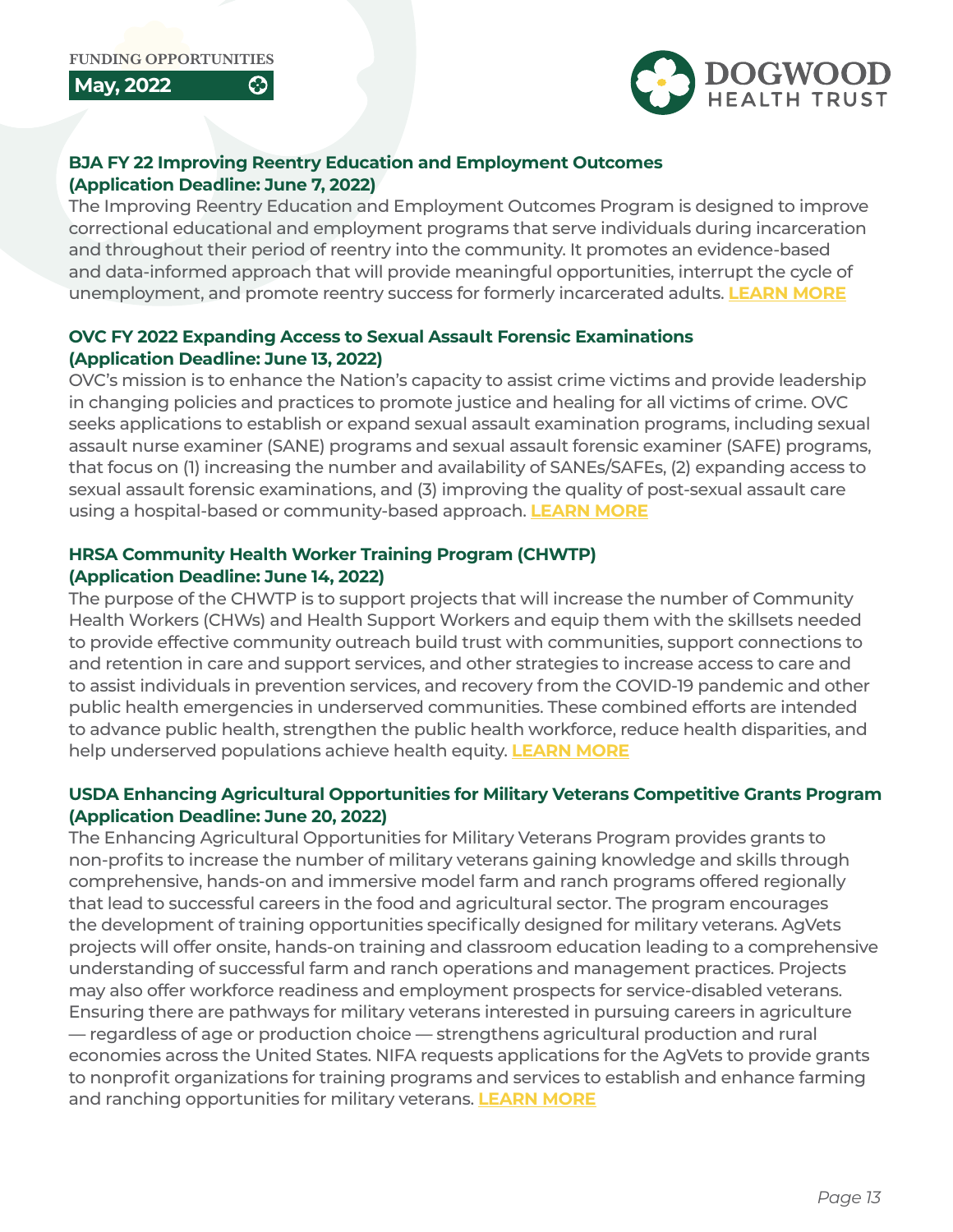**May, 2022**



#### **BJA FY 22 Improving Reentry Education and Employment Outcomes (Application Deadline: June 7, 2022)**

The Improving Reentry Education and Employment Outcomes Program is designed to improve correctional educational and employment programs that serve individuals during incarceration and throughout their period of reentry into the community. It promotes an evidence-based and data-informed approach that will provide meaningful opportunities, interrupt the cycle of unemployment, and promote reentry success for formerly incarcerated adults. **[LEARN MORE](https://bja.ojp.gov/funding/opportunities/o-bja-2022-171284)**

#### **OVC FY 2022 Expanding Access to Sexual Assault Forensic Examinations (Application Deadline: June 13, 2022)**

OVC's mission is to enhance the Nation's capacity to assist crime victims and provide leadership in changing policies and practices to promote justice and healing for all victims of crime. OVC seeks applications to establish or expand sexual assault examination programs, including sexual assault nurse examiner (SANE) programs and sexual assault forensic examiner (SAFE) programs, that focus on (1) increasing the number and availability of SANEs/SAFEs, (2) expanding access to sexual assault forensic examinations, and (3) improving the quality of post-sexual assault care using a hospital-based or community-based approach. **[LEARN MORE](https://www.grants.gov/web/grants/view-opportunity.html?oppId=339887)**

#### **HRSA Community Health Worker Training Program (CHWTP) (Application Deadline: June 14, 2022)**

The purpose of the CHWTP is to support projects that will increase the number of Community Health Workers (CHWs) and Health Support Workers and equip them with the skillsets needed to provide effective community outreach build trust with communities, support connections to and retention in care and support services, and other strategies to increase access to care and to assist individuals in prevention services, and recovery from the COVID-19 pandemic and other public health emergencies in underserved communities. These combined efforts are intended to advance public health, strengthen the public health workforce, reduce health disparities, and help underserved populations achieve health equity. **[LEARN MORE](https://www.grants.gov/web/grants/view-opportunity.html?oppId=336498)**

### **USDA Enhancing Agricultural Opportunities for Military Veterans Competitive Grants Program (Application Deadline: June 20, 2022)**

The Enhancing Agricultural Opportunities for Military Veterans Program provides grants to non-profits to increase the number of military veterans gaining knowledge and skills through comprehensive, hands-on and immersive model farm and ranch programs offered regionally that lead to successful careers in the food and agricultural sector. The program encourages the development of training opportunities specifically designed for military veterans. AgVets projects will offer onsite, hands-on training and classroom education leading to a comprehensive understanding of successful farm and ranch operations and management practices. Projects may also offer workforce readiness and employment prospects for service-disabled veterans. Ensuring there are pathways for military veterans interested in pursuing careers in agriculture — regardless of age or production choice — strengthens agricultural production and rural economies across the United States. NIFA requests applications for the AgVets to provide grants to nonprofit organizations for training programs and services to establish and enhance farming and ranching opportunities for military veterans. **[LEARN MORE](https://www.nifa.usda.gov/grants/funding-opportunities/enhancing-agricultural-opportunities-military-veterans-competitive)**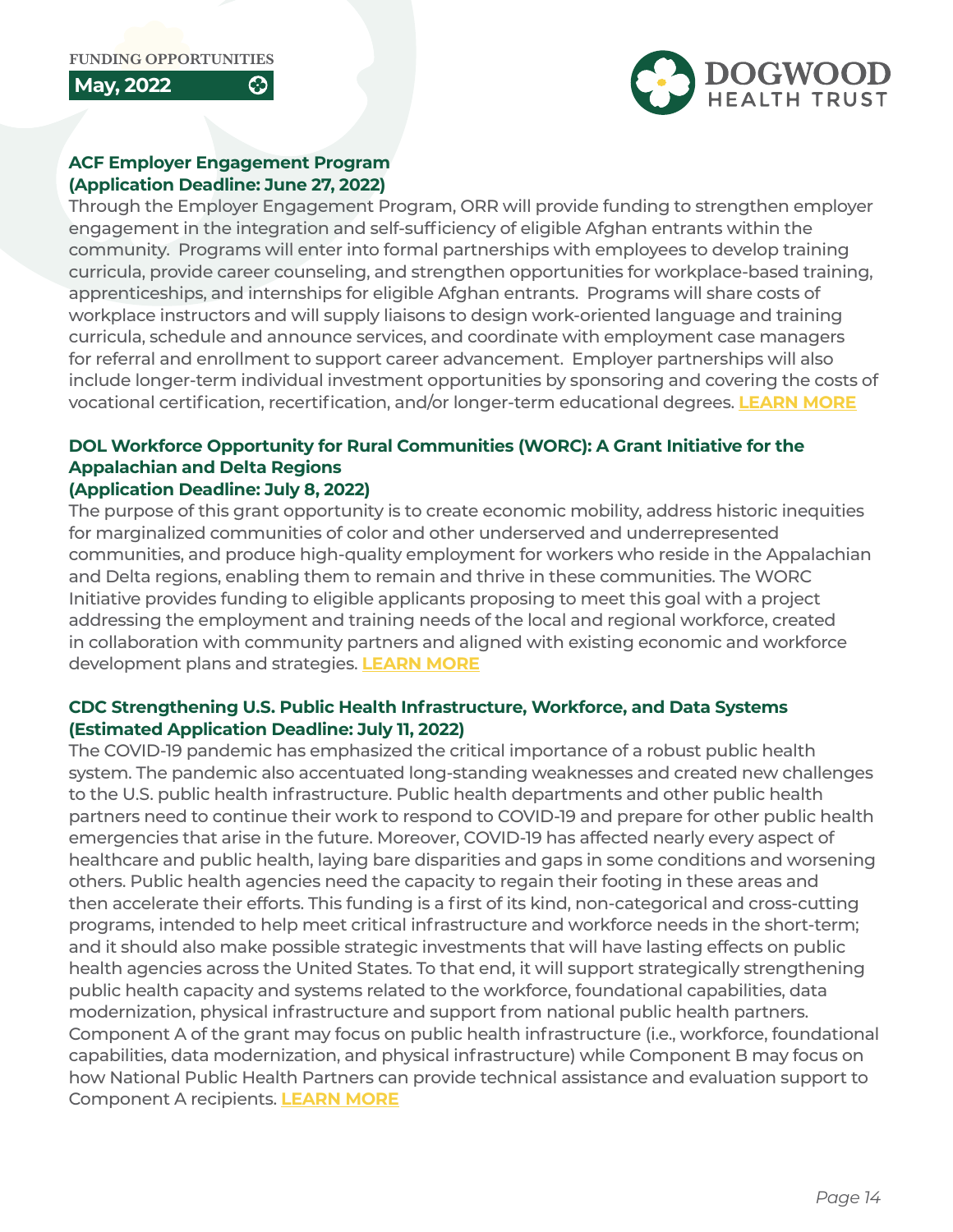

#### **ACF Employer Engagement Program (Application Deadline: June 27, 2022)**

۞

Through the Employer Engagement Program, ORR will provide funding to strengthen employer engagement in the integration and self-sufficiency of eligible Afghan entrants within the community. Programs will enter into formal partnerships with employees to develop training curricula, provide career counseling, and strengthen opportunities for workplace-based training, apprenticeships, and internships for eligible Afghan entrants. Programs will share costs of workplace instructors and will supply liaisons to design work-oriented language and training curricula, schedule and announce services, and coordinate with employment case managers for referral and enrollment to support career advancement. Employer partnerships will also include longer-term individual investment opportunities by sponsoring and covering the costs of vocational certification, recertification, and/or longer-term educational degrees. **[LEARN MORE](https://www.grants.gov/web/grants/view-opportunity.html?oppId=335552)**

# **DOL Workforce Opportunity for Rural Communities (WORC): A Grant Initiative for the Appalachian and Delta Regions**

#### **(Application Deadline: July 8, 2022)**

The purpose of this grant opportunity is to create economic mobility, address historic inequities for marginalized communities of color and other underserved and underrepresented communities, and produce high-quality employment for workers who reside in the Appalachian and Delta regions, enabling them to remain and thrive in these communities. The WORC Initiative provides funding to eligible applicants proposing to meet this goal with a project addressing the employment and training needs of the local and regional workforce, created in collaboration with community partners and aligned with existing economic and workforce development plans and strategies. **[LEARN MORE](https://www.grants.gov/web/grants/view-opportunity.html?oppId=336549)**

#### **CDC Strengthening U.S. Public Health Infrastructure, Workforce, and Data Systems (Estimated Application Deadline: July 11, 2022)**

The COVID-19 pandemic has emphasized the critical importance of a robust public health system. The pandemic also accentuated long-standing weaknesses and created new challenges to the U.S. public health infrastructure. Public health departments and other public health partners need to continue their work to respond to COVID-19 and prepare for other public health emergencies that arise in the future. Moreover, COVID-19 has affected nearly every aspect of healthcare and public health, laying bare disparities and gaps in some conditions and worsening others. Public health agencies need the capacity to regain their footing in these areas and then accelerate their efforts. This funding is a first of its kind, non-categorical and cross-cutting programs, intended to help meet critical infrastructure and workforce needs in the short-term; and it should also make possible strategic investments that will have lasting effects on public health agencies across the United States. To that end, it will support strategically strengthening public health capacity and systems related to the workforce, foundational capabilities, data modernization, physical infrastructure and support from national public health partners. Component A of the grant may focus on public health infrastructure (i.e., workforce, foundational capabilities, data modernization, and physical infrastructure) while Component B may focus on how National Public Health Partners can provide technical assistance and evaluation support to Component A recipients. **[LEARN MORE](https://www.grants.gov/web/grants/view-opportunity.html?oppId=340034)**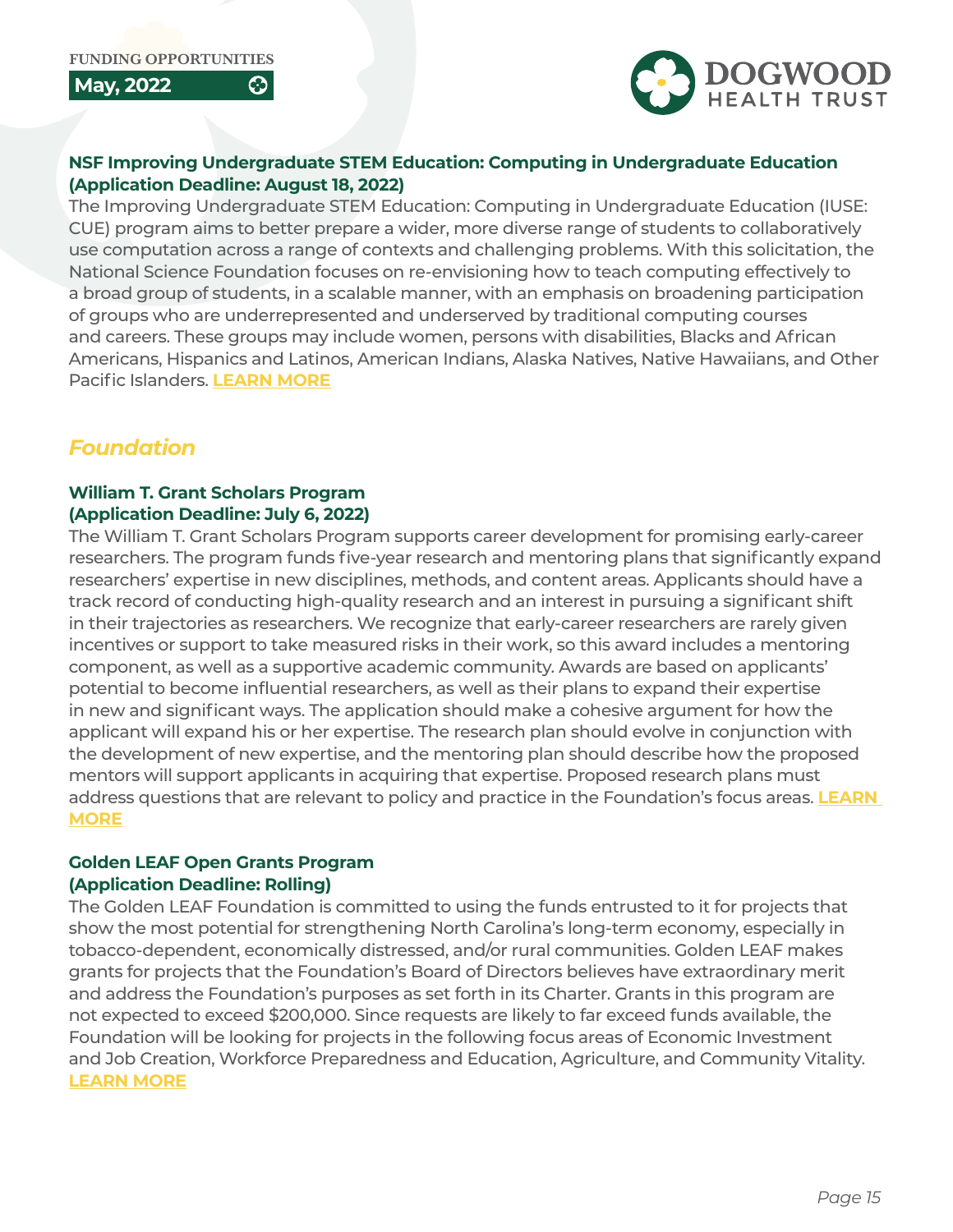**May, 2022**



#### **NSF Improving Undergraduate STEM Education: Computing in Undergraduate Education (Application Deadline: August 18, 2022)**

The Improving Undergraduate STEM Education: Computing in Undergraduate Education (IUSE: CUE) program aims to better prepare a wider, more diverse range of students to collaboratively use computation across a range of contexts and challenging problems. With this solicitation, the National Science Foundation focuses on re-envisioning how to teach computing effectively to a broad group of students, in a scalable manner, with an emphasis on broadening participation of groups who are underrepresented and underserved by traditional computing courses and careers. These groups may include women, persons with disabilities, Blacks and African Americans, Hispanics and Latinos, American Indians, Alaska Natives, Native Hawaiians, and Other Pacific Islanders. **[LEARN MORE](https://www.grants.gov/web/grants/view-opportunity.html?oppId=339555)**

# *Foundation*

#### **William T. Grant Scholars Program (Application Deadline: July 6, 2022)**

The William T. Grant Scholars Program supports career development for promising early-career researchers. The program funds five-year research and mentoring plans that significantly expand researchers' expertise in new disciplines, methods, and content areas. Applicants should have a track record of conducting high-quality research and an interest in pursuing a significant shift in their trajectories as researchers. We recognize that early-career researchers are rarely given incentives or support to take measured risks in their work, so this award includes a mentoring component, as well as a supportive academic community. Awards are based on applicants' potential to become influential researchers, as well as their plans to expand their expertise in new and significant ways. The application should make a cohesive argument for how the applicant will expand his or her expertise. The research plan should evolve in conjunction with the development of new expertise, and the mentoring plan should describe how the proposed mentors will support applicants in acquiring that expertise. Proposed research plans must address questions that are relevant to policy and practice in the Foundation's focus areas. **[LEARN](http://wtgrantfoundation.org/grants/william-t-grant-scholars-program)  [MORE](http://wtgrantfoundation.org/grants/william-t-grant-scholars-program)**

#### **Golden LEAF Open Grants Program (Application Deadline: Rolling)**

The Golden LEAF Foundation is committed to using the funds entrusted to it for projects that show the most potential for strengthening North Carolina's long-term economy, especially in tobacco-dependent, economically distressed, and/or rural communities. Golden LEAF makes grants for projects that the Foundation's Board of Directors believes have extraordinary merit and address the Foundation's purposes as set forth in its Charter. Grants in this program are not expected to exceed \$200,000. Since requests are likely to far exceed funds available, the Foundation will be looking for projects in the following focus areas of Economic Investment and Job Creation, Workforce Preparedness and Education, Agriculture, and Community Vitality. **[LEARN MORE](https://www.rwjf.org/en/library/funding-opportunities/2020/pioneering-ideas-2020-exploring-the-future-to-build-a-culture-of-health.html)**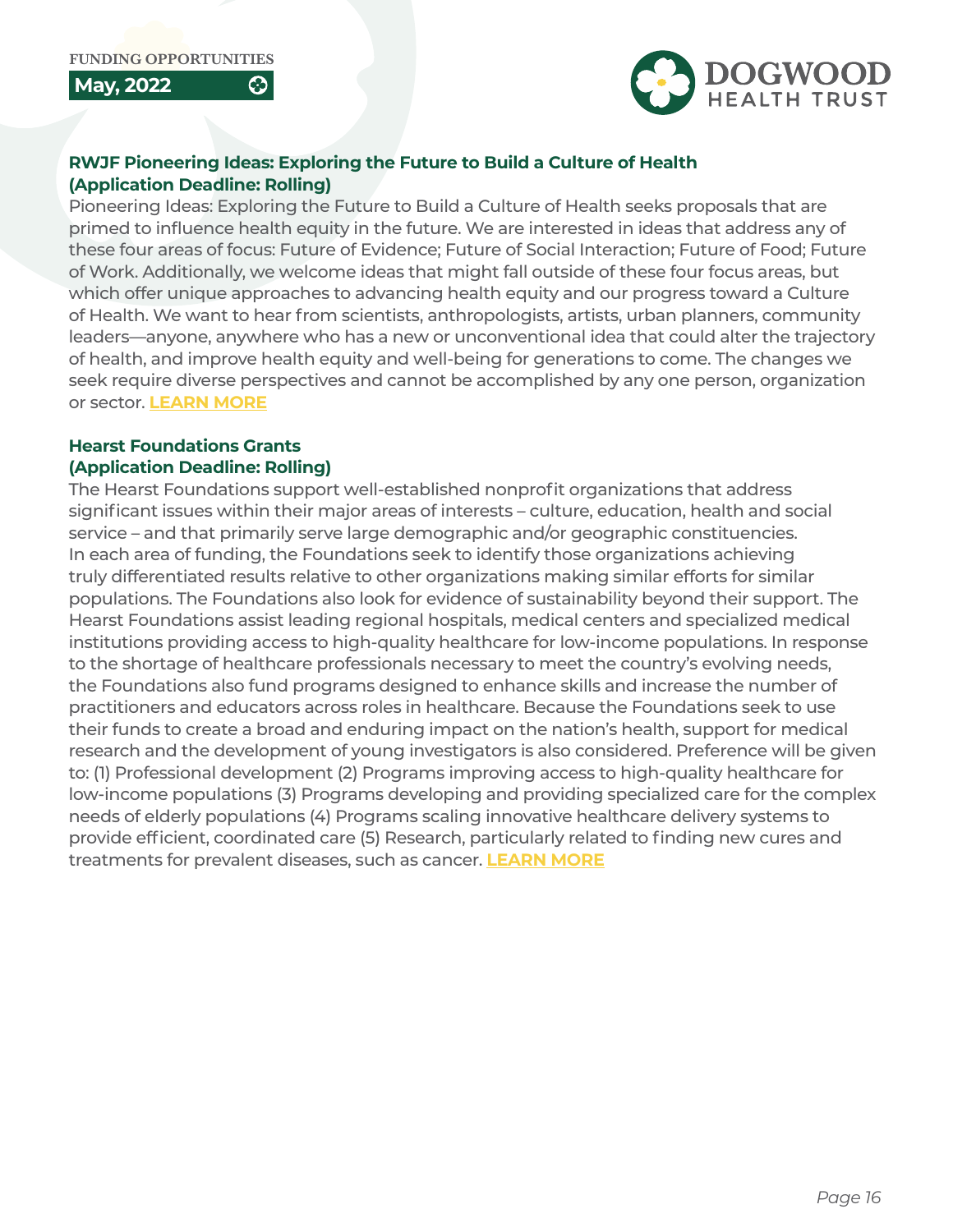**May, 2022**



#### **[RWJF Pioneering Ideas: Exploring the Future to Build a Culture of Health](https://www.rwjf.org/en/library/funding-opportunities/2020/pioneering-ideas-2020-exploring-the-future-to-build-a-culture-of-health.html) [\(Application Deadline: Rolling\)](https://www.rwjf.org/en/library/funding-opportunities/2020/pioneering-ideas-2020-exploring-the-future-to-build-a-culture-of-health.html)**

[Pioneering Ideas: Exploring the Future to Build a Culture of Health seeks proposals that are](https://www.rwjf.org/en/library/funding-opportunities/2020/pioneering-ideas-2020-exploring-the-future-to-build-a-culture-of-health.html)  [primed to influence health equity in the future. We are interested in ideas that address any of](https://www.rwjf.org/en/library/funding-opportunities/2020/pioneering-ideas-2020-exploring-the-future-to-build-a-culture-of-health.html)  [these four areas of focus: Future of Evidence; Future of Social Interaction; Future of Food; Future](https://www.rwjf.org/en/library/funding-opportunities/2020/pioneering-ideas-2020-exploring-the-future-to-build-a-culture-of-health.html)  [of Work. Additionally, we welcome ideas that might fall outside of these four focus areas, but](https://www.rwjf.org/en/library/funding-opportunities/2020/pioneering-ideas-2020-exploring-the-future-to-build-a-culture-of-health.html)  [which offer unique approaches to advancing health equity and our progress toward a Culture](https://www.rwjf.org/en/library/funding-opportunities/2020/pioneering-ideas-2020-exploring-the-future-to-build-a-culture-of-health.html)  [of Health. We want to hear from scientists, anthropologists, artists, urban planners, community](https://www.rwjf.org/en/library/funding-opportunities/2020/pioneering-ideas-2020-exploring-the-future-to-build-a-culture-of-health.html)  [leaders—anyone, anywhere who has a new or unconventional idea that could alter the trajectory](https://www.rwjf.org/en/library/funding-opportunities/2020/pioneering-ideas-2020-exploring-the-future-to-build-a-culture-of-health.html)  [of health, and improve health equity and well-being for generations to come. The changes we](https://www.rwjf.org/en/library/funding-opportunities/2020/pioneering-ideas-2020-exploring-the-future-to-build-a-culture-of-health.html)  [seek require diverse perspectives and cannot be accomplished by any one person, organization](https://www.rwjf.org/en/library/funding-opportunities/2020/pioneering-ideas-2020-exploring-the-future-to-build-a-culture-of-health.html)  or sector. **[LEARN MORE](https://www.rwjf.org/en/library/funding-opportunities/2020/pioneering-ideas-2020-exploring-the-future-to-build-a-culture-of-health.html)**

#### **Hearst Foundations Grants (Application Deadline: Rolling)**

The Hearst Foundations support well-established nonprofit organizations that address significant issues within their major areas of interests – culture, education, health and social service – and that primarily serve large demographic and/or geographic constituencies. In each area of funding, the Foundations seek to identify those organizations achieving truly differentiated results relative to other organizations making similar efforts for similar populations. The Foundations also look for evidence of sustainability beyond their support. The Hearst Foundations assist leading regional hospitals, medical centers and specialized medical institutions providing access to high-quality healthcare for low-income populations. In response to the shortage of healthcare professionals necessary to meet the country's evolving needs, the Foundations also fund programs designed to enhance skills and increase the number of practitioners and educators across roles in healthcare. Because the Foundations seek to use their funds to create a broad and enduring impact on the nation's health, support for medical research and the development of young investigators is also considered. Preference will be given to: (1) Professional development (2) Programs improving access to high-quality healthcare for low-income populations (3) Programs developing and providing specialized care for the complex needs of elderly populations (4) Programs scaling innovative healthcare delivery systems to provide efficient, coordinated care (5) Research, particularly related to finding new cures and treatments for prevalent diseases, such as cancer. **[LEARN MORE](https://www.hearstfdn.org/general-overview)**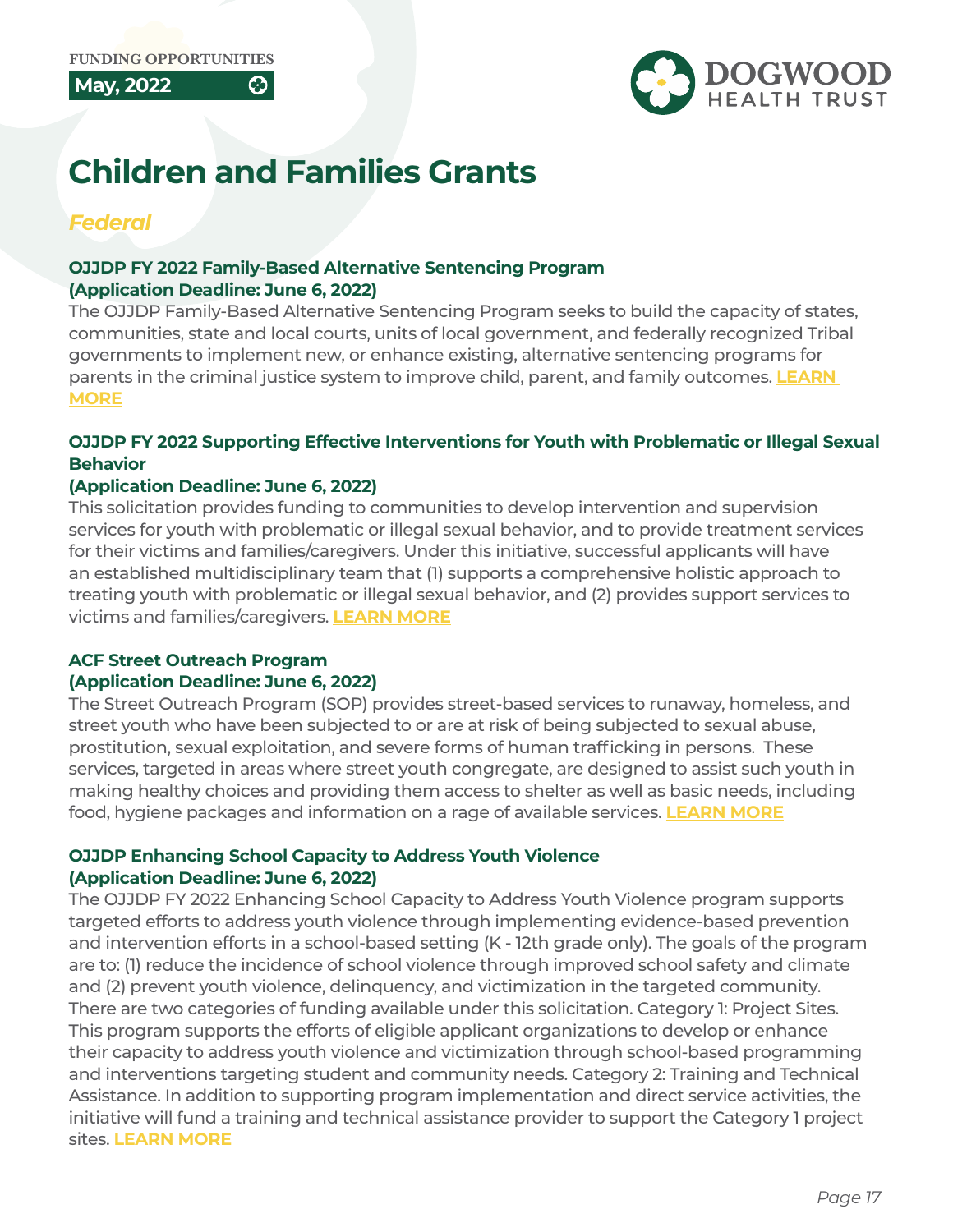

# **Children and Families Grants**

හි

# *Federal*

**May, 2022**

#### **OJJDP FY 2022 Family-Based Alternative Sentencing Program (Application Deadline: June 6, 2022)**

The OJJDP Family-Based Alternative Sentencing Program seeks to build the capacity of states, communities, state and local courts, units of local government, and federally recognized Tribal governments to implement new, or enhance existing, alternative sentencing programs for parents in the criminal justice system to improve child, parent, and family outcomes. **[LEARN](https://www.grants.gov/web/grants/view-opportunity.html?oppId=339530)  [MORE](https://www.grants.gov/web/grants/view-opportunity.html?oppId=339530)**

#### **OJJDP FY 2022 Supporting Effective Interventions for Youth with Problematic or Illegal Sexual Behavior**

#### **(Application Deadline: June 6, 2022)**

This solicitation provides funding to communities to develop intervention and supervision services for youth with problematic or illegal sexual behavior, and to provide treatment services for their victims and families/caregivers. Under this initiative, successful applicants will have an established multidisciplinary team that (1) supports a comprehensive holistic approach to treating youth with problematic or illegal sexual behavior, and (2) provides support services to victims and families/caregivers. **[LEARN MORE](https://www.grants.gov/web/grants/view-opportunity.html?oppId=339547)**

#### **ACF Street Outreach Program**

#### **(Application Deadline: June 6, 2022)**

The Street Outreach Program (SOP) provides street-based services to runaway, homeless, and street youth who have been subjected to or are at risk of being subjected to sexual abuse, prostitution, sexual exploitation, and severe forms of human trafficking in persons. These services, targeted in areas where street youth congregate, are designed to assist such youth in making healthy choices and providing them access to shelter as well as basic needs, including food, hygiene packages and information on a rage of available services. **[LEARN MORE](https://www.grants.gov/web/grants/view-opportunity.html?oppId=335492)**

#### **OJJDP Enhancing School Capacity to Address Youth Violence (Application Deadline: June 6, 2022)**

The OJJDP FY 2022 Enhancing School Capacity to Address Youth Violence program supports targeted efforts to address youth violence through implementing evidence-based prevention and intervention efforts in a school-based setting (K - 12th grade only). The goals of the program are to: (1) reduce the incidence of school violence through improved school safety and climate and (2) prevent youth violence, delinquency, and victimization in the targeted community. There are two categories of funding available under this solicitation. Category 1: Project Sites. This program supports the efforts of eligible applicant organizations to develop or enhance their capacity to address youth violence and victimization through school-based programming and interventions targeting student and community needs. Category 2: Training and Technical Assistance. In addition to supporting program implementation and direct service activities, the initiative will fund a training and technical assistance provider to support the Category 1 project sites. **[LEARN MORE](https://www.grants.gov/web/grants/view-opportunity.html?oppId=339597)**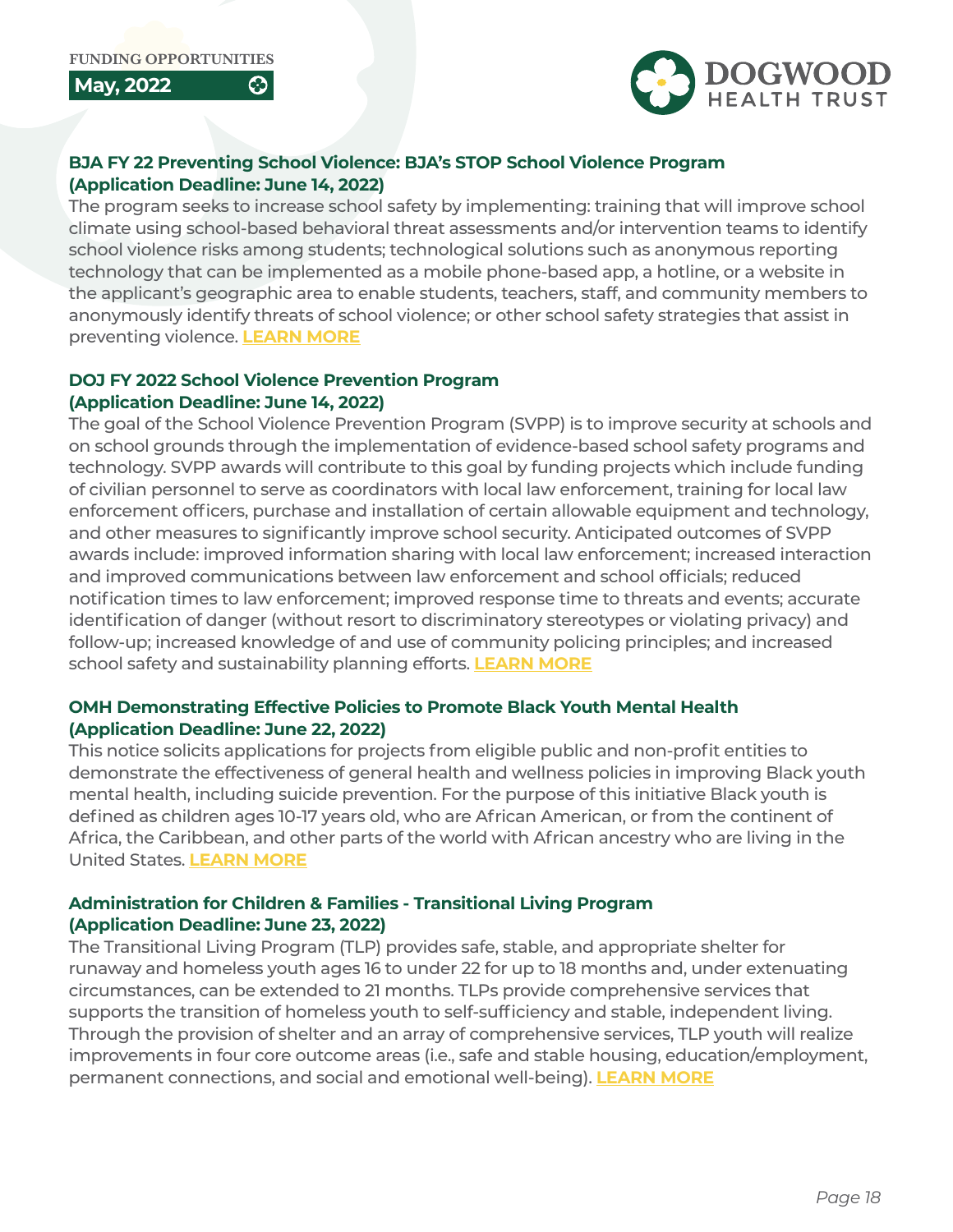

#### **BJA FY 22 Preventing School Violence: BJA's STOP School Violence Program (Application Deadline: June 14, 2022)**

The program seeks to increase school safety by implementing: training that will improve school climate using school-based behavioral threat assessments and/or intervention teams to identify school violence risks among students; technological solutions such as anonymous reporting technology that can be implemented as a mobile phone-based app, a hotline, or a website in the applicant's geographic area to enable students, teachers, staff, and community members to anonymously identify threats of school violence; or other school safety strategies that assist in preventing violence. **[LEARN MORE](https://www.grants.gov/web/grants/view-opportunity.html?oppId=339607)**

### **DOJ FY 2022 School Violence Prevention Program (Application Deadline: June 14, 2022)**

හි

The goal of the School Violence Prevention Program (SVPP) is to improve security at schools and on school grounds through the implementation of evidence-based school safety programs and technology. SVPP awards will contribute to this goal by funding projects which include funding of civilian personnel to serve as coordinators with local law enforcement, training for local law enforcement officers, purchase and installation of certain allowable equipment and technology, and other measures to significantly improve school security. Anticipated outcomes of SVPP awards include: improved information sharing with local law enforcement; increased interaction and improved communications between law enforcement and school officials; reduced notification times to law enforcement; improved response time to threats and events; accurate identification of danger (without resort to discriminatory stereotypes or violating privacy) and follow-up; increased knowledge of and use of community policing principles; and increased school safety and sustainability planning efforts. **[LEARN MORE](https://www.grants.gov/web/grants/view-opportunity.html?oppId=339699)**

#### **OMH Demonstrating Effective Policies to Promote Black Youth Mental Health (Application Deadline: June 22, 2022)**

This notice solicits applications for projects from eligible public and non-profit entities to demonstrate the effectiveness of general health and wellness policies in improving Black youth mental health, including suicide prevention. For the purpose of this initiative Black youth is defined as children ages 10-17 years old, who are African American, or from the continent of Africa, the Caribbean, and other parts of the world with African ancestry who are living in the United States. **[LEARN MORE](https://www.grants.gov/web/grants/view-opportunity.html?oppId=334922)**

#### **Administration for Children & Families - Transitional Living Program (Application Deadline: June 23, 2022)**

The Transitional Living Program (TLP) provides safe, stable, and appropriate shelter for runaway and homeless youth ages 16 to under 22 for up to 18 months and, under extenuating circumstances, can be extended to 21 months. TLPs provide comprehensive services that supports the transition of homeless youth to self-sufficiency and stable, independent living. Through the provision of shelter and an array of comprehensive services, TLP youth will realize improvements in four core outcome areas (i.e., safe and stable housing, education/employment, permanent connections, and social and emotional well-being). **[LEARN MORE](https://www.grants.gov/web/grants/view-opportunity.html?oppId=335490)**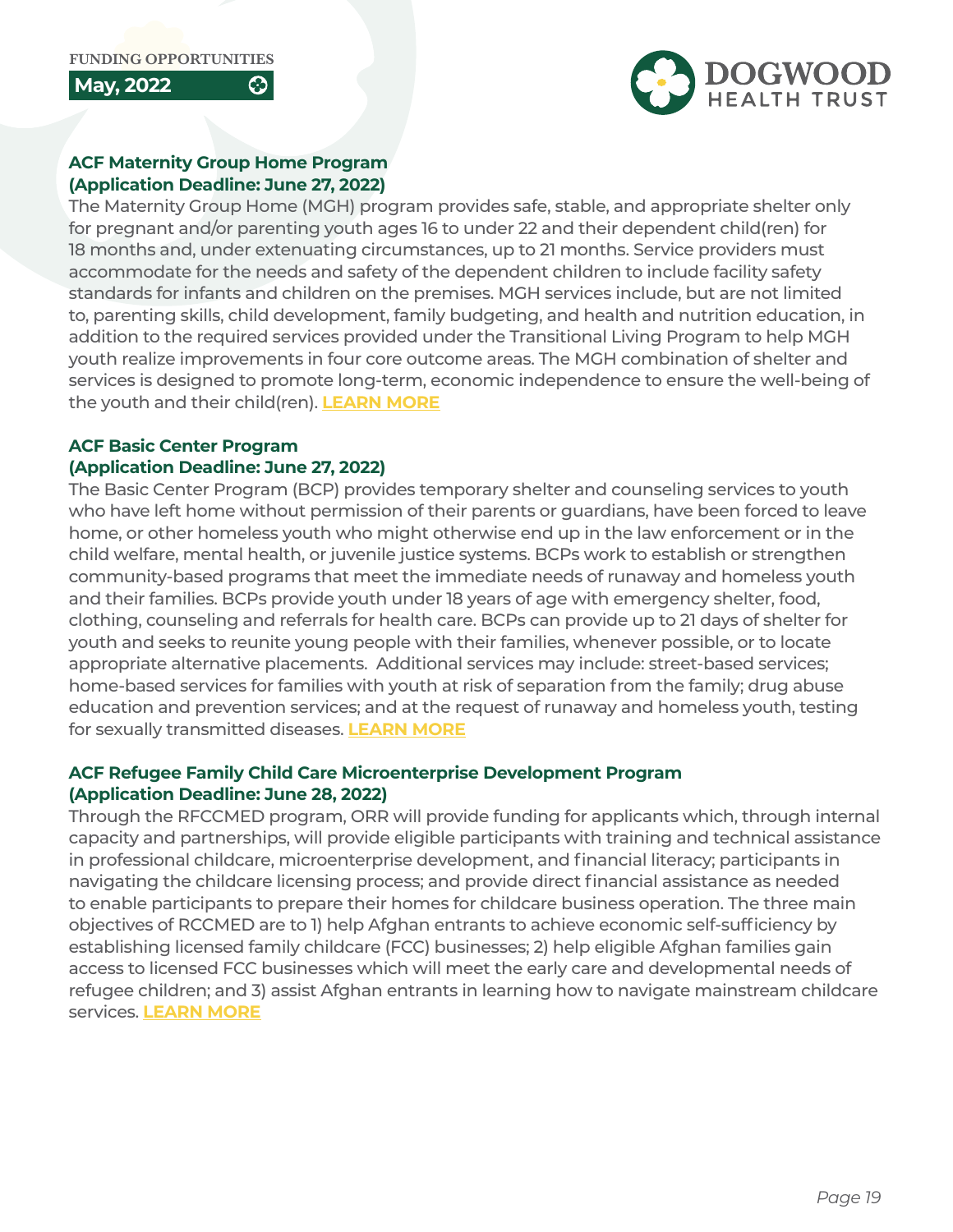

#### **ACF Maternity Group Home Program (Application Deadline: June 27, 2022)**

۞

The Maternity Group Home (MGH) program provides safe, stable, and appropriate shelter only for pregnant and/or parenting youth ages 16 to under 22 and their dependent child(ren) for 18 months and, under extenuating circumstances, up to 21 months. Service providers must accommodate for the needs and safety of the dependent children to include facility safety standards for infants and children on the premises. MGH services include, but are not limited to, parenting skills, child development, family budgeting, and health and nutrition education, in addition to the required services provided under the Transitional Living Program to help MGH youth realize improvements in four core outcome areas. The MGH combination of shelter and services is designed to promote long-term, economic independence to ensure the well-being of the youth and their child(ren). **[LEARN MORE](https://www.grants.gov/web/grants/view-opportunity.html?oppId=335493)**

#### **ACF Basic Center Program**

#### **(Application Deadline: June 27, 2022)**

The Basic Center Program (BCP) provides temporary shelter and counseling services to youth who have left home without permission of their parents or guardians, have been forced to leave home, or other homeless youth who might otherwise end up in the law enforcement or in the child welfare, mental health, or juvenile justice systems. BCPs work to establish or strengthen community-based programs that meet the immediate needs of runaway and homeless youth and their families. BCPs provide youth under 18 years of age with emergency shelter, food, clothing, counseling and referrals for health care. BCPs can provide up to 21 days of shelter for youth and seeks to reunite young people with their families, whenever possible, or to locate appropriate alternative placements. Additional services may include: street-based services; home-based services for families with youth at risk of separation from the family; drug abuse education and prevention services; and at the request of runaway and homeless youth, testing for sexually transmitted diseases. **[LEARN MORE](https://www.grants.gov/web/grants/view-opportunity.html?oppId=335504)**

#### **ACF Refugee Family Child Care Microenterprise Development Program (Application Deadline: June 28, 2022)**

Through the RFCCMED program, ORR will provide funding for applicants which, through internal capacity and partnerships, will provide eligible participants with training and technical assistance in professional childcare, microenterprise development, and financial literacy; participants in navigating the childcare licensing process; and provide direct financial assistance as needed to enable participants to prepare their homes for childcare business operation. The three main objectives of RCCMED are to 1) help Afghan entrants to achieve economic self-sufficiency by establishing licensed family childcare (FCC) businesses; 2) help eligible Afghan families gain access to licensed FCC businesses which will meet the early care and developmental needs of refugee children; and 3) assist Afghan entrants in learning how to navigate mainstream childcare services. **[LEARN MORE](https://www.grants.gov/web/grants/view-opportunity.html?oppId=337810)**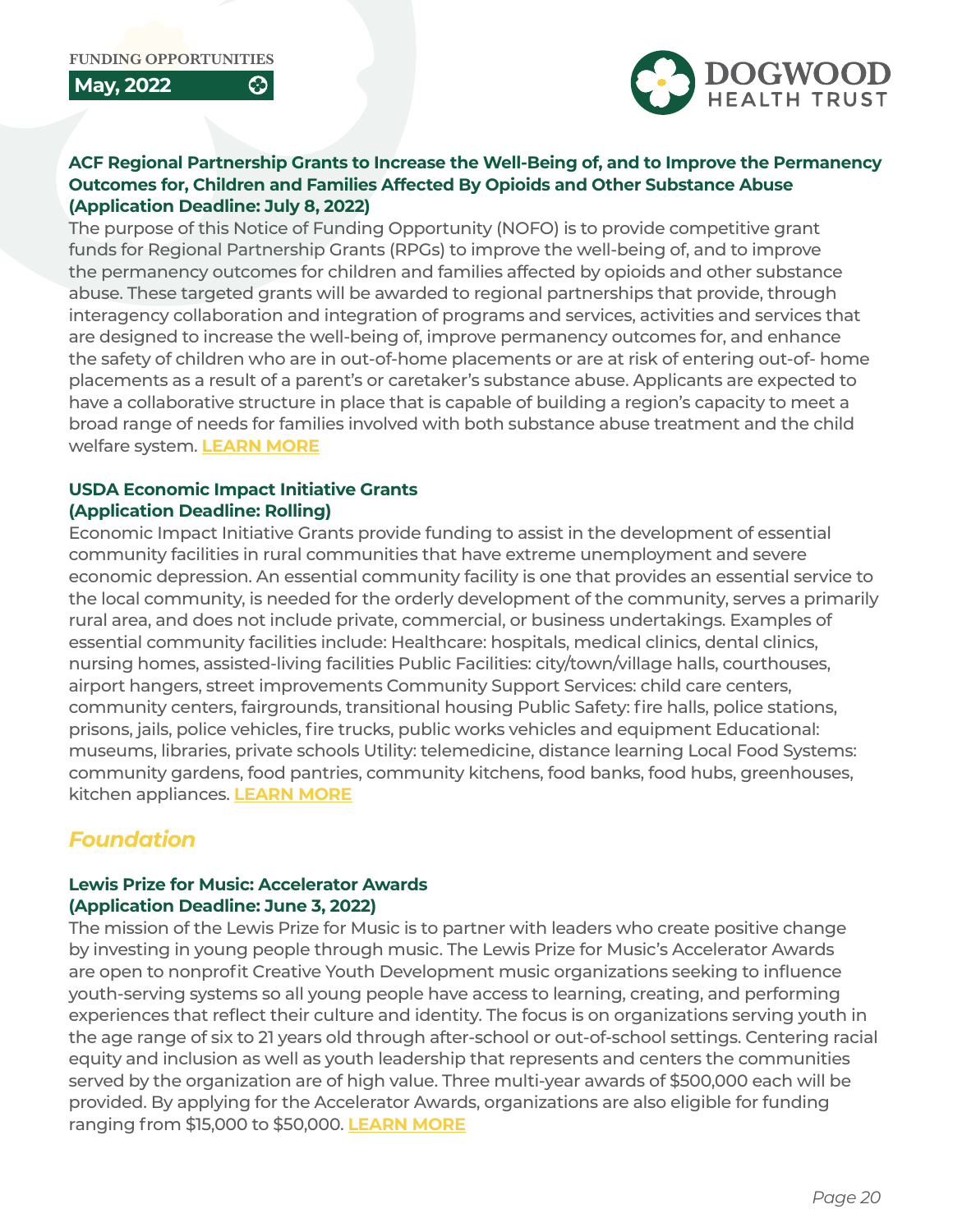**May, 2022**



#### **ACF Regional Partnership Grants to Increase the Well-Being of, and to Improve the Permanency Outcomes for, Children and Families Affected By Opioids and Other Substance Abuse (Application Deadline: July 8, 2022)**

The purpose of this Notice of Funding Opportunity (NOFO) is to provide competitive grant funds for Regional Partnership Grants (RPGs) to improve the well-being of, and to improve the permanency outcomes for children and families affected by opioids and other substance abuse. These targeted grants will be awarded to regional partnerships that provide, through interagency collaboration and integration of programs and services, activities and services that are designed to increase the well-being of, improve permanency outcomes for, and enhance the safety of children who are in out-of-home placements or are at risk of entering out-of- home placements as a result of a parent's or caretaker's substance abuse. Applicants are expected to have a collaborative structure in place that is capable of building a region's capacity to meet a broad range of needs for families involved with both substance abuse treatment and the child welfare system. **[LEARN MORE](https://www.grants.gov/web/grants/view-opportunity.html?oppId=335871)**

#### **USDA Economic Impact Initiative Grants (Application Deadline: Rolling)**

Economic Impact Initiative Grants provide funding to assist in the development of essential community facilities in rural communities that have extreme unemployment and severe economic depression. An essential community facility is one that provides an essential service to the local community, is needed for the orderly development of the community, serves a primarily rural area, and does not include private, commercial, or business undertakings. Examples of essential community facilities include: Healthcare: hospitals, medical clinics, dental clinics, nursing homes, assisted-living facilities Public Facilities: city/town/village halls, courthouses, airport hangers, street improvements Community Support Services: child care centers, community centers, fairgrounds, transitional housing Public Safety: fire halls, police stations, prisons, jails, police vehicles, fire trucks, public works vehicles and equipment Educational: museums, libraries, private schools Utility: telemedicine, distance learning Local Food Systems: community gardens, food pantries, community kitchens, food banks, food hubs, greenhouses, kitchen appliances. **[LEARN MORE](https://www.rd.usda.gov/programs-services/economic-impact-initiative-grants)**

# *Foundation*

#### **Lewis Prize for Music: Accelerator Awards (Application Deadline: June 3, 2022)**

The mission of the Lewis Prize for Music is to partner with leaders who create positive change by investing in young people through music. The Lewis Prize for Music's Accelerator Awards are open to nonprofit Creative Youth Development music organizations seeking to influence youth-serving systems so all young people have access to learning, creating, and performing experiences that reflect their culture and identity. The focus is on organizations serving youth in the age range of six to 21 years old through after-school or out-of-school settings. Centering racial equity and inclusion as well as youth leadership that represents and centers the communities served by the organization are of high value. Three multi-year awards of \$500,000 each will be provided. By applying for the Accelerator Awards, organizations are also eligible for funding ranging from \$15,000 to \$50,000. **[LEARN MORE](https://www.thelewisprize.org/apply)**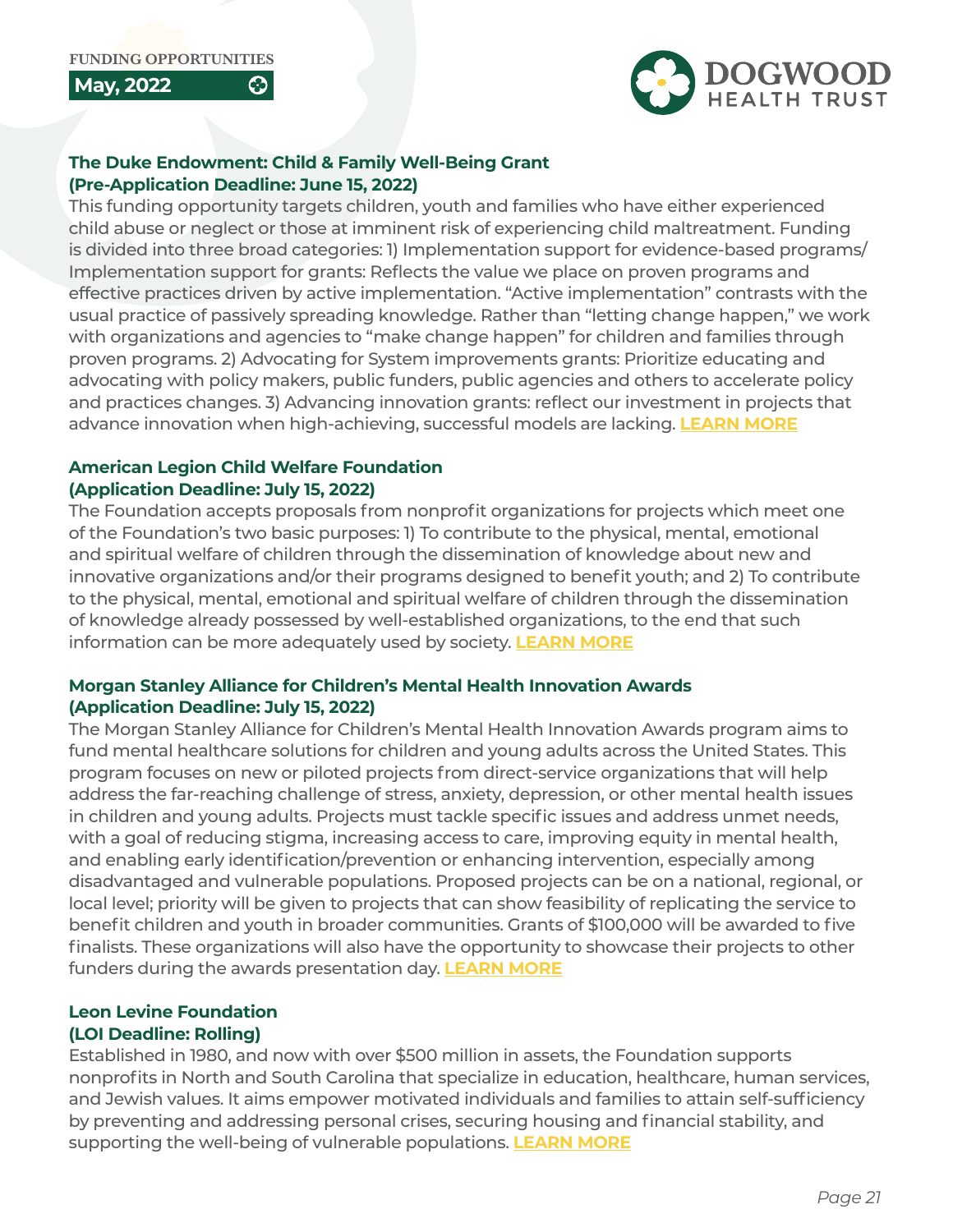

#### **The Duke Endowment: Child & Family Well-Being Grant (Pre-Application Deadline: June 15, 2022)**

හි

This funding opportunity targets children, youth and families who have either experienced child abuse or neglect or those at imminent risk of experiencing child maltreatment. Funding is divided into three broad categories: 1) Implementation support for evidence-based programs/ Implementation support for grants: Reflects the value we place on proven programs and effective practices driven by active implementation. "Active implementation" contrasts with the usual practice of passively spreading knowledge. Rather than "letting change happen," we work with organizations and agencies to "make change happen" for children and families through proven programs. 2) Advocating for System improvements grants: Prioritize educating and advocating with policy makers, public funders, public agencies and others to accelerate policy and practices changes. 3) Advancing innovation grants: reflect our investment in projects that advance innovation when high-achieving, successful models are lacking. **[LEARN MORE](https://www.dukeendowment.org/grants/child-family-well-being-application)**

#### **American Legion Child Welfare Foundation (Application Deadline: July 15, 2022)**

The Foundation accepts proposals from nonprofit organizations for projects which meet one of the Foundation's two basic purposes: 1) To contribute to the physical, mental, emotional and spiritual welfare of children through the dissemination of knowledge about new and innovative organizations and/or their programs designed to benefit youth; and 2) To contribute to the physical, mental, emotional and spiritual welfare of children through the dissemination of knowledge already possessed by well-established organizations, to the end that such information can be more adequately used by society. **[LEARN MORE](http://www.cwf-inc.org/grantseekers/overview)**

#### **Morgan Stanley Alliance for Children's Mental Health Innovation Awards (Application Deadline: July 15, 2022)**

The Morgan Stanley Alliance for Children's Mental Health Innovation Awards program aims to fund mental healthcare solutions for children and young adults across the United States. This program focuses on new or piloted projects from direct-service organizations that will help address the far-reaching challenge of stress, anxiety, depression, or other mental health issues in children and young adults. Projects must tackle specific issues and address unmet needs, with a goal of reducing stigma, increasing access to care, improving equity in mental health, and enabling early identification/prevention or enhancing intervention, especially among disadvantaged and vulnerable populations. Proposed projects can be on a national, regional, or local level; priority will be given to projects that can show feasibility of replicating the service to benefit children and youth in broader communities. Grants of \$100,000 will be awarded to five finalists. These organizations will also have the opportunity to showcase their projects to other funders during the awards presentation day. **[LEARN MORE](https://www.morganstanley.com/about-us/giving-back/childrens-mental-health-awards)**

# **Leon Levine Foundation**

## **(LOI Deadline: Rolling)**

Established in 1980, and now with over \$500 million in assets, the Foundation supports nonprofits in North and South Carolina that specialize in education, healthcare, human services, and Jewish values. It aims empower motivated individuals and families to attain self-sufficiency by preventing and addressing personal crises, securing housing and financial stability, and supporting the well-being of vulnerable populations. **[LEARN MORE](https://www.leonlevinefoundation.org/)**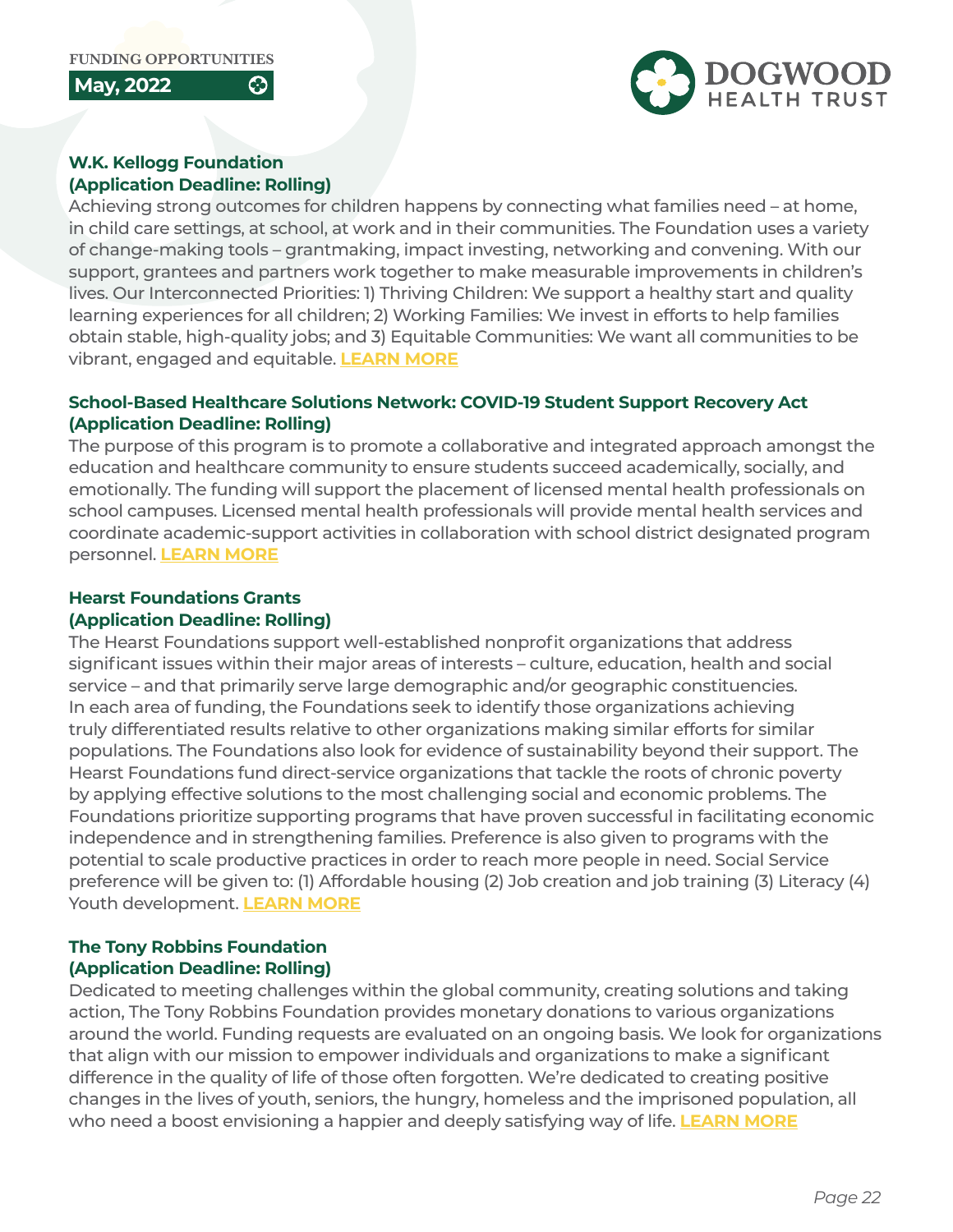

#### **W.K. Kellogg Foundation (Application Deadline: Rolling)**

۞

Achieving strong outcomes for children happens by connecting what families need – at home, in child care settings, at school, at work and in their communities. The Foundation uses a variety of change-making tools – grantmaking, impact investing, networking and convening. With our support, grantees and partners work together to make measurable improvements in children's lives. Our Interconnected Priorities: 1) Thriving Children: We support a healthy start and quality learning experiences for all children; 2) Working Families: We invest in efforts to help families obtain stable, high-quality jobs; and 3) Equitable Communities: We want all communities to be vibrant, engaged and equitable. **[LEARN MORE](https://www.wkkf.org/what-we-do/overview)**

### **School-Based Healthcare Solutions Network: COVID-19 Student Support Recovery Act (Application Deadline: Rolling)**

The purpose of this program is to promote a collaborative and integrated approach amongst the education and healthcare community to ensure students succeed academically, socially, and emotionally. The funding will support the placement of licensed mental health professionals on school campuses. Licensed mental health professionals will provide mental health services and coordinate academic-support activities in collaboration with school district designated program personnel. **[LEARN MORE](https://www.sbhsnetwork.com/student-support-recovery-grant)**

# **Hearst Foundations Grants**

#### **(Application Deadline: Rolling)**

The Hearst Foundations support well-established nonprofit organizations that address significant issues within their major areas of interests – culture, education, health and social service – and that primarily serve large demographic and/or geographic constituencies. In each area of funding, the Foundations seek to identify those organizations achieving truly differentiated results relative to other organizations making similar efforts for similar populations. The Foundations also look for evidence of sustainability beyond their support. The Hearst Foundations fund direct-service organizations that tackle the roots of chronic poverty by applying effective solutions to the most challenging social and economic problems. The Foundations prioritize supporting programs that have proven successful in facilitating economic independence and in strengthening families. Preference is also given to programs with the potential to scale productive practices in order to reach more people in need. Social Service preference will be given to: (1) Affordable housing (2) Job creation and job training (3) Literacy (4) Youth development. **[LEARN MORE](https://www.hearstfdn.org/general-overview)**

### **The Tony Robbins Foundation (Application Deadline: Rolling)**

Dedicated to meeting challenges within the global community, creating solutions and taking action, The Tony Robbins Foundation provides monetary donations to various organizations around the world. Funding requests are evaluated on an ongoing basis. We look for organizations that align with our mission to empower individuals and organizations to make a significant difference in the quality of life of those often forgotten. We're dedicated to creating positive changes in the lives of youth, seniors, the hungry, homeless and the imprisoned population, all who need a boost envisioning a happier and deeply satisfying way of life. **[LEARN MORE](https://www.thetonyrobbinsfoundation.org/about-us/)**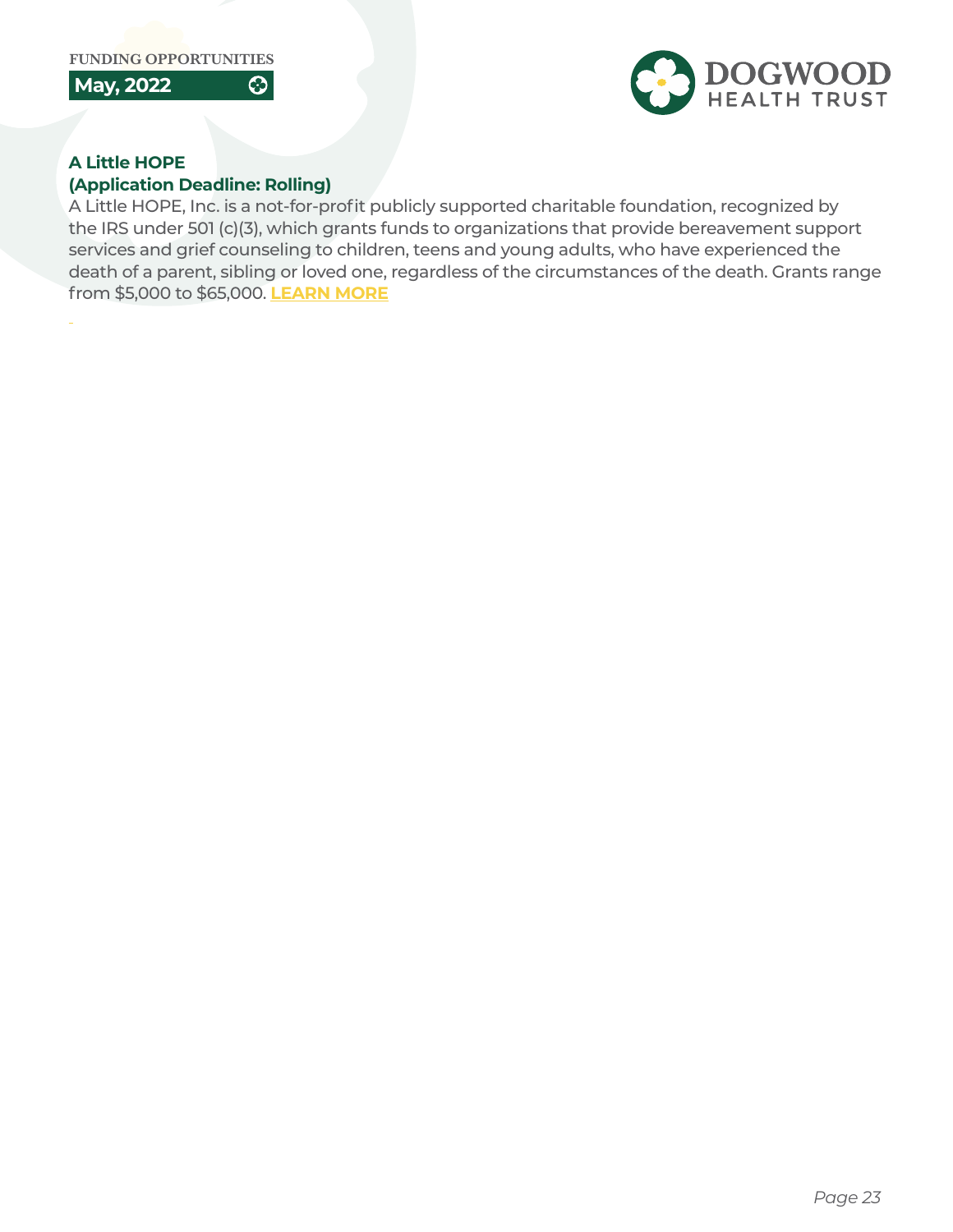

#### **A Little HOPE (Application Deadline: Rolling)**

 $\odot$ 

A Little HOPE, Inc. is a not-for-profit publicly supported charitable foundation, recognized by the IRS under 501 (c)(3), which grants funds to organizations that provide bereavement support services and grief counseling to children, teens and young adults, who have experienced the death of a parent, sibling or loved one, regardless of the circumstances of the death. Grants range from \$5,000 to \$65,000. **[LEARN MORE](https://www.alittlehope.org/granting)**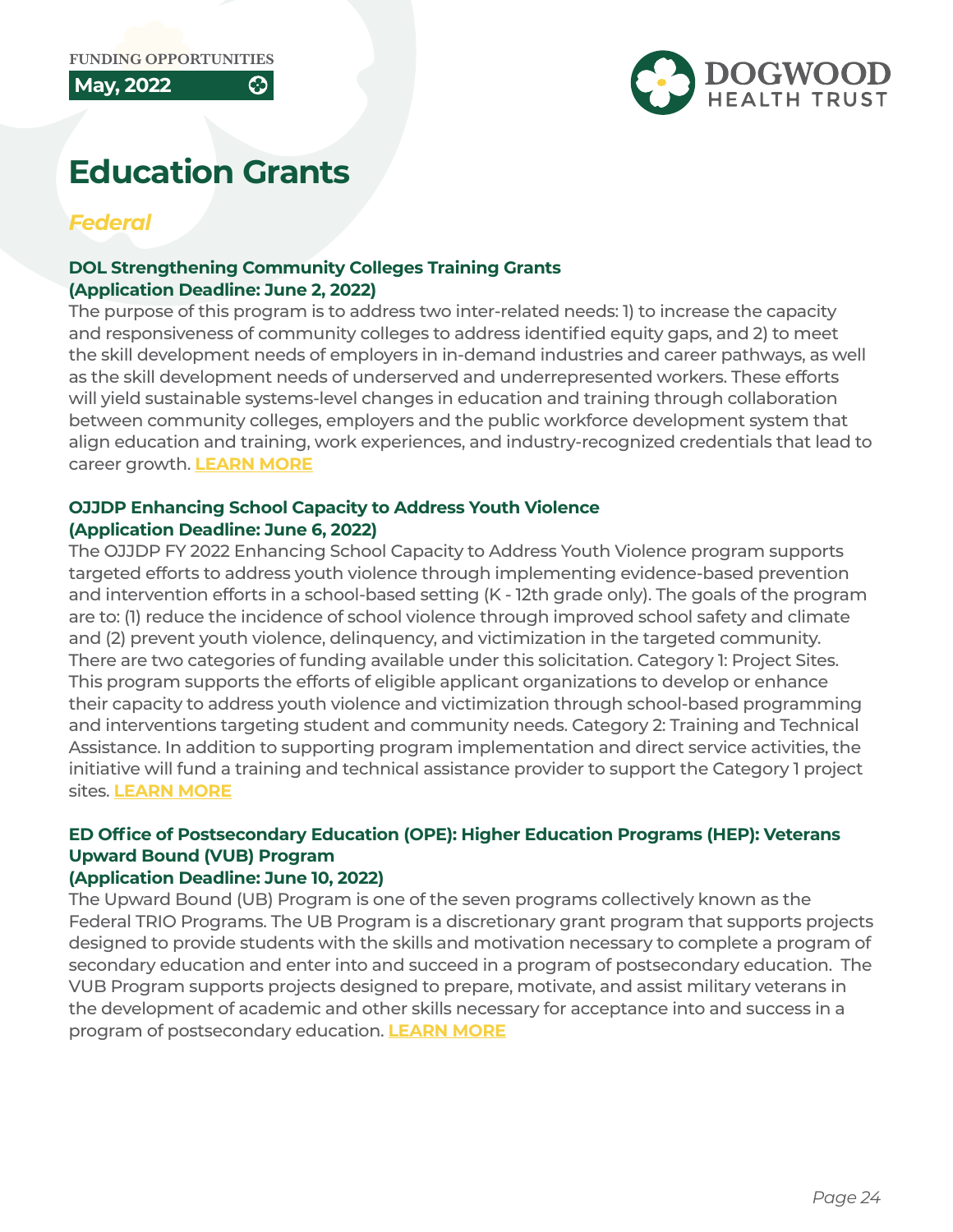

# **Education Grants**

۞

# *Federal*

**May, 2022**

#### **DOL Strengthening Community Colleges Training Grants (Application Deadline: June 2, 2022)**

The purpose of this program is to address two inter-related needs: 1) to increase the capacity and responsiveness of community colleges to address identified equity gaps, and 2) to meet the skill development needs of employers in in-demand industries and career pathways, as well as the skill development needs of underserved and underrepresented workers. These efforts will yield sustainable systems-level changes in education and training through collaboration between community colleges, employers and the public workforce development system that align education and training, work experiences, and industry-recognized credentials that lead to career growth. **[LEARN MORE](https://www.grants.gov/web/grants/view-opportunity.html?oppId=336701)**

#### **OJJDP Enhancing School Capacity to Address Youth Violence (Application Deadline: June 6, 2022)**

The OJJDP FY 2022 Enhancing School Capacity to Address Youth Violence program supports targeted efforts to address youth violence through implementing evidence-based prevention and intervention efforts in a school-based setting (K - 12th grade only). The goals of the program are to: (1) reduce the incidence of school violence through improved school safety and climate and (2) prevent youth violence, delinquency, and victimization in the targeted community. There are two categories of funding available under this solicitation. Category 1: Project Sites. This program supports the efforts of eligible applicant organizations to develop or enhance their capacity to address youth violence and victimization through school-based programming and interventions targeting student and community needs. Category 2: Training and Technical Assistance. In addition to supporting program implementation and direct service activities, the initiative will fund a training and technical assistance provider to support the Category 1 project sites. **[LEARN MORE](https://www.grants.gov/web/grants/view-opportunity.html?oppId=339597)**

# **ED Office of Postsecondary Education (OPE): Higher Education Programs (HEP): Veterans Upward Bound (VUB) Program**

#### **(Application Deadline: June 10, 2022)**

The Upward Bound (UB) Program is one of the seven programs collectively known as the Federal TRIO Programs. The UB Program is a discretionary grant program that supports projects designed to provide students with the skills and motivation necessary to complete a program of secondary education and enter into and succeed in a program of postsecondary education. The VUB Program supports projects designed to prepare, motivate, and assist military veterans in the development of academic and other skills necessary for acceptance into and success in a program of postsecondary education. **[LEARN MORE](https://www.grants.gov/web/grants/view-opportunity.html?oppId=339671)**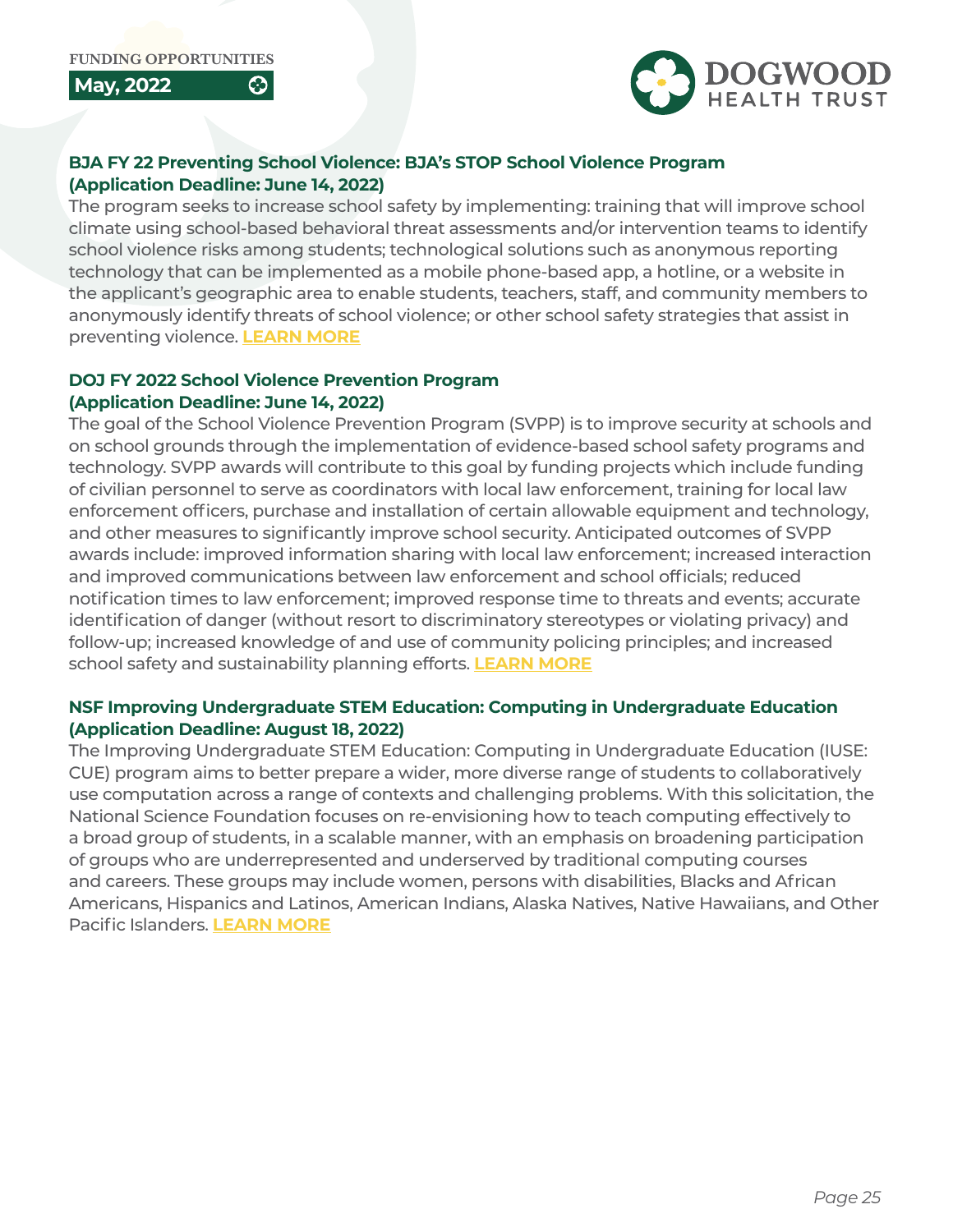

#### **BJA FY 22 Preventing School Violence: BJA's STOP School Violence Program (Application Deadline: June 14, 2022)**

The program seeks to increase school safety by implementing: training that will improve school climate using school-based behavioral threat assessments and/or intervention teams to identify school violence risks among students; technological solutions such as anonymous reporting technology that can be implemented as a mobile phone-based app, a hotline, or a website in the applicant's geographic area to enable students, teachers, staff, and community members to anonymously identify threats of school violence; or other school safety strategies that assist in preventing violence. **[LEARN MORE](https://www.grants.gov/web/grants/view-opportunity.html?oppId=339607)**

### **DOJ FY 2022 School Violence Prevention Program (Application Deadline: June 14, 2022)**

හි

The goal of the School Violence Prevention Program (SVPP) is to improve security at schools and on school grounds through the implementation of evidence-based school safety programs and technology. SVPP awards will contribute to this goal by funding projects which include funding of civilian personnel to serve as coordinators with local law enforcement, training for local law enforcement officers, purchase and installation of certain allowable equipment and technology, and other measures to significantly improve school security. Anticipated outcomes of SVPP awards include: improved information sharing with local law enforcement; increased interaction and improved communications between law enforcement and school officials; reduced notification times to law enforcement; improved response time to threats and events; accurate identification of danger (without resort to discriminatory stereotypes or violating privacy) and follow-up; increased knowledge of and use of community policing principles; and increased school safety and sustainability planning efforts. **[LEARN MORE](https://www.grants.gov/web/grants/view-opportunity.html?oppId=339699)**

#### **NSF Improving Undergraduate STEM Education: Computing in Undergraduate Education (Application Deadline: August 18, 2022)**

The Improving Undergraduate STEM Education: Computing in Undergraduate Education (IUSE: CUE) program aims to better prepare a wider, more diverse range of students to collaboratively use computation across a range of contexts and challenging problems. With this solicitation, the National Science Foundation focuses on re-envisioning how to teach computing effectively to a broad group of students, in a scalable manner, with an emphasis on broadening participation of groups who are underrepresented and underserved by traditional computing courses and careers. These groups may include women, persons with disabilities, Blacks and African Americans, Hispanics and Latinos, American Indians, Alaska Natives, Native Hawaiians, and Other Pacific Islanders. **[LEARN MORE](https://www.grants.gov/web/grants/view-opportunity.html?oppId=339555)**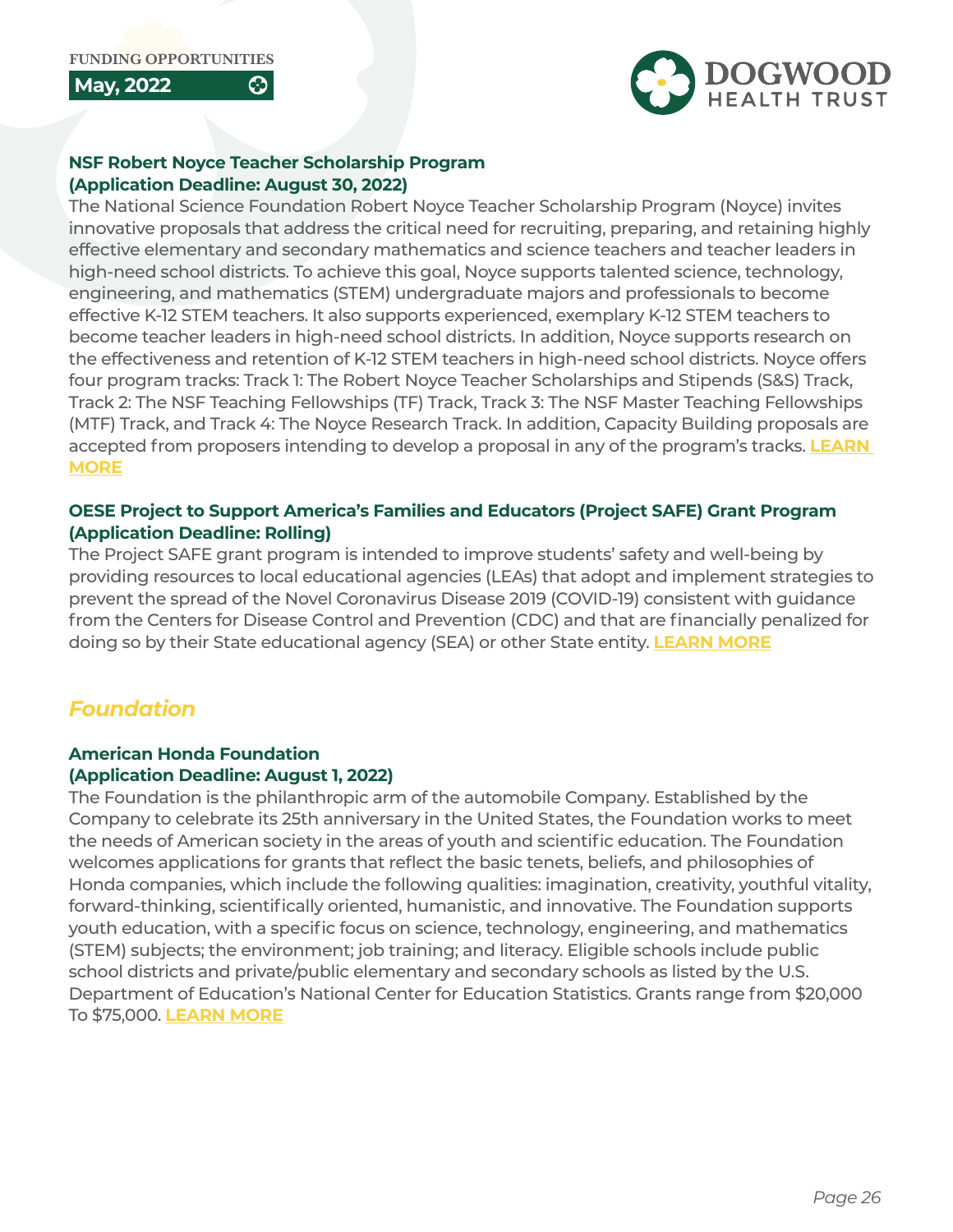

#### **NSF Robert Noyce Teacher Scholarship Program (Application Deadline: August 30, 2022)**

හි

The National Science Foundation Robert Noyce Teacher Scholarship Program (Noyce) invites innovative proposals that address the critical need for recruiting, preparing, and retaining highly effective elementary and secondary mathematics and science teachers and teacher leaders in high-need school districts. To achieve this goal, Noyce supports talented science, technology, engineering, and mathematics (STEM) undergraduate majors and professionals to become effective K-12 STEM teachers. It also supports experienced, exemplary K-12 STEM teachers to become teacher leaders in high-need school districts. In addition, Noyce supports research on the effectiveness and retention of K-12 STEM teachers in high-need school districts. Noyce offers four program tracks: Track 1: The Robert Noyce Teacher Scholarships and Stipends (S&S) Track, Track 2: The NSF Teaching Fellowships (TF) Track, Track 3: The NSF Master Teaching Fellowships (MTF) Track, and Track 4: The Noyce Research Track. In addition, Capacity Building proposals are accepted from proposers intending to develop a proposal in any of the program's tracks. **[LEARN](https://www.grants.gov/web/grants/view-opportunity.html?oppId=332839)  [MORE](https://www.grants.gov/web/grants/view-opportunity.html?oppId=332839)**

#### **OESE Project to Support America's Families and Educators (Project SAFE) Grant Program (Application Deadline: Rolling)**

The Project SAFE grant program is intended to improve students' safety and well-being by providing resources to local educational agencies (LEAs) that adopt and implement strategies to prevent the spread of the Novel Coronavirus Disease 2019 (COVID-19) consistent with guidance from the Centers for Disease Control and Prevention (CDC) and that are financially penalized for doing so by their State educational agency (SEA) or other State entity. **[LEARN MORE](https://www.grants.gov/web/grants/view-opportunity.html?oppId=335739)**

# *Foundation*

#### **American Honda Foundation (Application Deadline: August 1, 2022)**

The Foundation is the philanthropic arm of the automobile Company. Established by the Company to celebrate its 25th anniversary in the United States, the Foundation works to meet the needs of American society in the areas of youth and scientific education. The Foundation welcomes applications for grants that reflect the basic tenets, beliefs, and philosophies of Honda companies, which include the following qualities: imagination, creativity, youthful vitality, forward-thinking, scientifically oriented, humanistic, and innovative. The Foundation supports youth education, with a specific focus on science, technology, engineering, and mathematics (STEM) subjects; the environment; job training; and literacy. Eligible schools include public school districts and private/public elementary and secondary schools as listed by the U.S. Department of Education's National Center for Education Statistics. Grants range from \$20,000 To \$75,000. **[LEARN MORE](https://www.honda.com/community/grant-application-faqs)**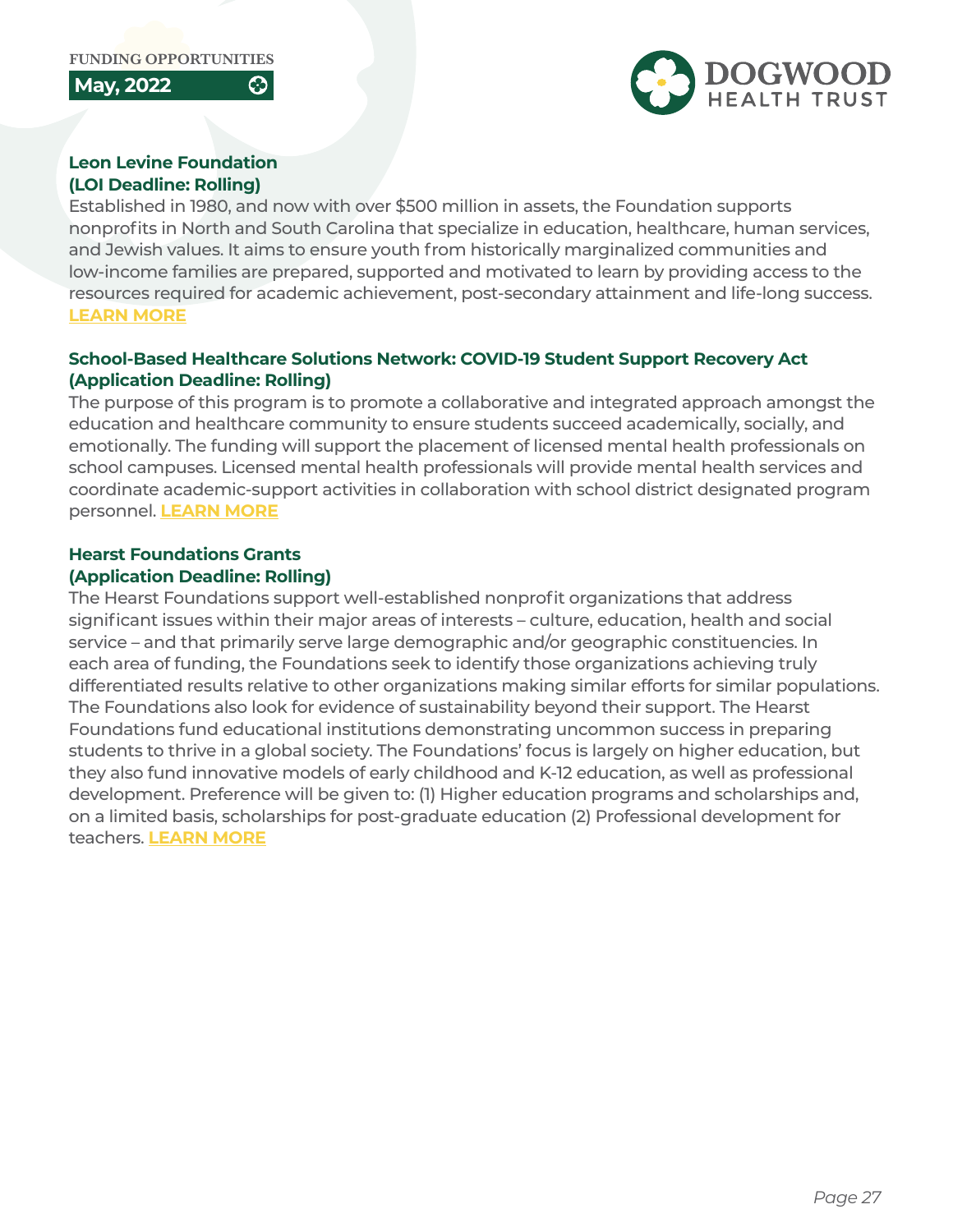۞

**May, 2022**



#### **Leon Levine Foundation (LOI Deadline: Rolling)**

Established in 1980, and now with over \$500 million in assets, the Foundation supports nonprofits in North and South Carolina that specialize in education, healthcare, human services, and Jewish values. It aims to ensure youth from historically marginalized communities and low-income families are prepared, supported and motivated to learn by providing access to the resources required for academic achievement, post-secondary attainment and life-long success. **[LEARN MORE](https://www.leonlevinefoundation.org/)**

#### **School-Based Healthcare Solutions Network: COVID-19 Student Support Recovery Act (Application Deadline: Rolling)**

The purpose of this program is to promote a collaborative and integrated approach amongst the education and healthcare community to ensure students succeed academically, socially, and emotionally. The funding will support the placement of licensed mental health professionals on school campuses. Licensed mental health professionals will provide mental health services and coordinate academic-support activities in collaboration with school district designated program personnel. **[LEARN MORE](https://www.sbhsnetwork.com/student-support-recovery-grant)**

#### **Hearst Foundations Grants (Application Deadline: Rolling)**

The Hearst Foundations support well-established nonprofit organizations that address significant issues within their major areas of interests – culture, education, health and social service – and that primarily serve large demographic and/or geographic constituencies. In each area of funding, the Foundations seek to identify those organizations achieving truly differentiated results relative to other organizations making similar efforts for similar populations. The Foundations also look for evidence of sustainability beyond their support. The Hearst Foundations fund educational institutions demonstrating uncommon success in preparing students to thrive in a global society. The Foundations' focus is largely on higher education, but they also fund innovative models of early childhood and K-12 education, as well as professional development. Preference will be given to: (1) Higher education programs and scholarships and, on a limited basis, scholarships for post-graduate education (2) Professional development for teachers. **[LEARN MORE](https://www.hearstfdn.org/general-overview)**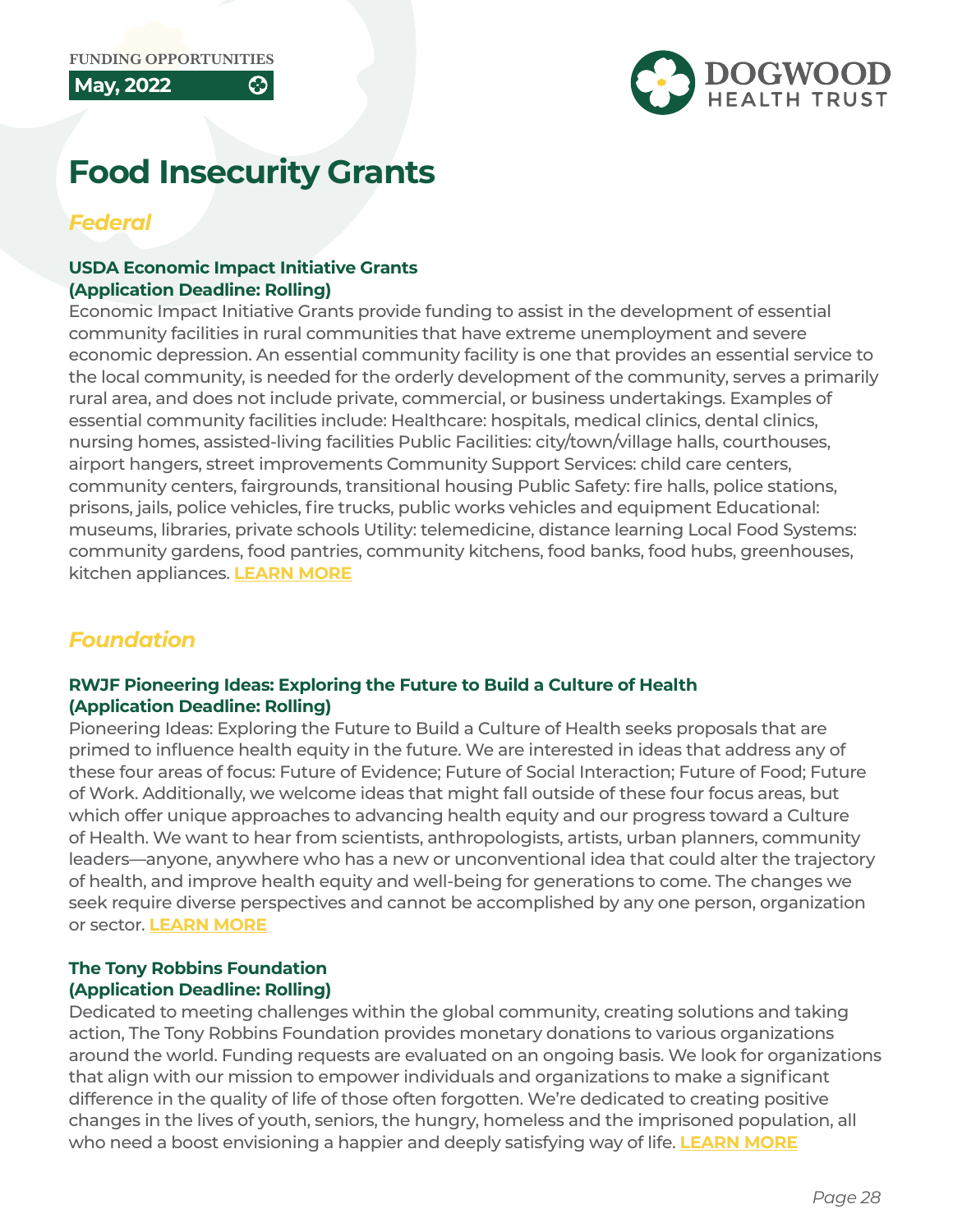

# **Food Insecurity Grants**

හි

# *Federal*

**May, 2022**

#### **USDA Economic Impact Initiative Grants (Application Deadline: Rolling)**

Economic Impact Initiative Grants provide funding to assist in the development of essential community facilities in rural communities that have extreme unemployment and severe economic depression. An essential community facility is one that provides an essential service to the local community, is needed for the orderly development of the community, serves a primarily rural area, and does not include private, commercial, or business undertakings. Examples of essential community facilities include: Healthcare: hospitals, medical clinics, dental clinics, nursing homes, assisted-living facilities Public Facilities: city/town/village halls, courthouses, airport hangers, street improvements Community Support Services: child care centers, community centers, fairgrounds, transitional housing Public Safety: fire halls, police stations, prisons, jails, police vehicles, fire trucks, public works vehicles and equipment Educational: museums, libraries, private schools Utility: telemedicine, distance learning Local Food Systems: community gardens, food pantries, community kitchens, food banks, food hubs, greenhouses, kitchen appliances. **[LEARN MORE](https://www.rd.usda.gov/programs-services/economic-impact-initiative-grants)**

# *Foundation*

### **RWJF Pioneering Ideas: Exploring the Future to Build a Culture of Health (Application Deadline: Rolling)**

Pioneering Ideas: Exploring the Future to Build a Culture of Health seeks proposals that are primed to influence health equity in the future. We are interested in ideas that address any of these four areas of focus: Future of Evidence; Future of Social Interaction; Future of Food; Future of Work. Additionally, we welcome ideas that might fall outside of these four focus areas, but which offer unique approaches to advancing health equity and our progress toward a Culture of Health. We want to hear from scientists, anthropologists, artists, urban planners, community leaders—anyone, anywhere who has a new or unconventional idea that could alter the trajectory of health, and improve health equity and well-being for generations to come. The changes we seek require diverse perspectives and cannot be accomplished by any one person, organization or sector. **[LEARN MORE](https://www.rwjf.org/en/library/funding-opportunities/2020/pioneering-ideas-2020-exploring-the-future-to-build-a-culture-of-health.html)**

#### **The Tony Robbins Foundation (Application Deadline: Rolling)**

Dedicated to meeting challenges within the global community, creating solutions and taking action, The Tony Robbins Foundation provides monetary donations to various organizations around the world. Funding requests are evaluated on an ongoing basis. We look for organizations that align with our mission to empower individuals and organizations to make a significant difference in the quality of life of those often forgotten. We're dedicated to creating positive changes in the lives of youth, seniors, the hungry, homeless and the imprisoned population, all who need a boost envisioning a happier and deeply satisfying way of life. **[LEARN MORE](https://www.thetonyrobbinsfoundation.org/about-us/)**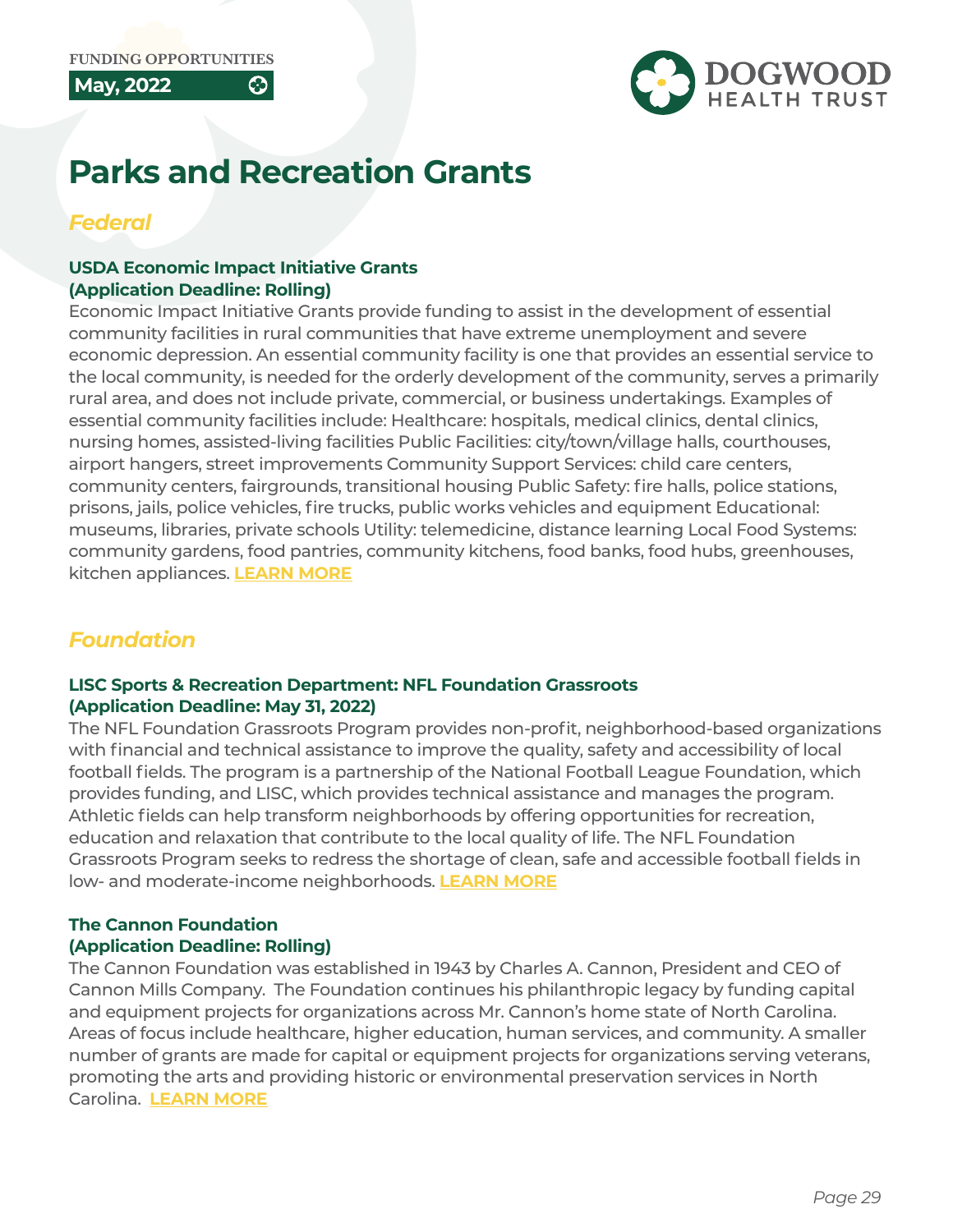

# **Parks and Recreation Grants**

# *Federal*

**May, 2022**

#### **USDA Economic Impact Initiative Grants (Application Deadline: Rolling)**

හි

Economic Impact Initiative Grants provide funding to assist in the development of essential community facilities in rural communities that have extreme unemployment and severe economic depression. An essential community facility is one that provides an essential service to the local community, is needed for the orderly development of the community, serves a primarily rural area, and does not include private, commercial, or business undertakings. Examples of essential community facilities include: Healthcare: hospitals, medical clinics, dental clinics, nursing homes, assisted-living facilities Public Facilities: city/town/village halls, courthouses, airport hangers, street improvements Community Support Services: child care centers, community centers, fairgrounds, transitional housing Public Safety: fire halls, police stations, prisons, jails, police vehicles, fire trucks, public works vehicles and equipment Educational: museums, libraries, private schools Utility: telemedicine, distance learning Local Food Systems: community gardens, food pantries, community kitchens, food banks, food hubs, greenhouses, kitchen appliances. **[LEARN MORE](https://www.rd.usda.gov/programs-services/economic-impact-initiative-grants)**

# *Foundation*

#### **LISC Sports & Recreation Department: NFL Foundation Grassroots (Application Deadline: May 31, 2022)**

The NFL Foundation Grassroots Program provides non-profit, neighborhood-based organizations with financial and technical assistance to improve the quality, safety and accessibility of local football fields. The program is a partnership of the National Football League Foundation, which provides funding, and LISC, which provides technical assistance and manages the program. Athletic fields can help transform neighborhoods by offering opportunities for recreation, education and relaxation that contribute to the local quality of life. The NFL Foundation Grassroots Program seeks to redress the shortage of clean, safe and accessible football fields in low- and moderate-income neighborhoods. **[LEARN MORE](https://www.lisc.org/our-initiatives/sports-recreation/nfl-foundation-grassroots-program/)**

#### **The Cannon Foundation (Application Deadline: Rolling)**

The Cannon Foundation was established in 1943 by Charles A. Cannon, President and CEO of Cannon Mills Company. The Foundation continues his philanthropic legacy by funding capital and equipment projects for organizations across Mr. Cannon's home state of North Carolina. Areas of focus include healthcare, higher education, human services, and community. A smaller number of grants are made for capital or equipment projects for organizations serving veterans, promoting the arts and providing historic or environmental preservation services in North Carolina. **[LEARN MORE](https://cannonfoundation.org/cannon-foundation/)**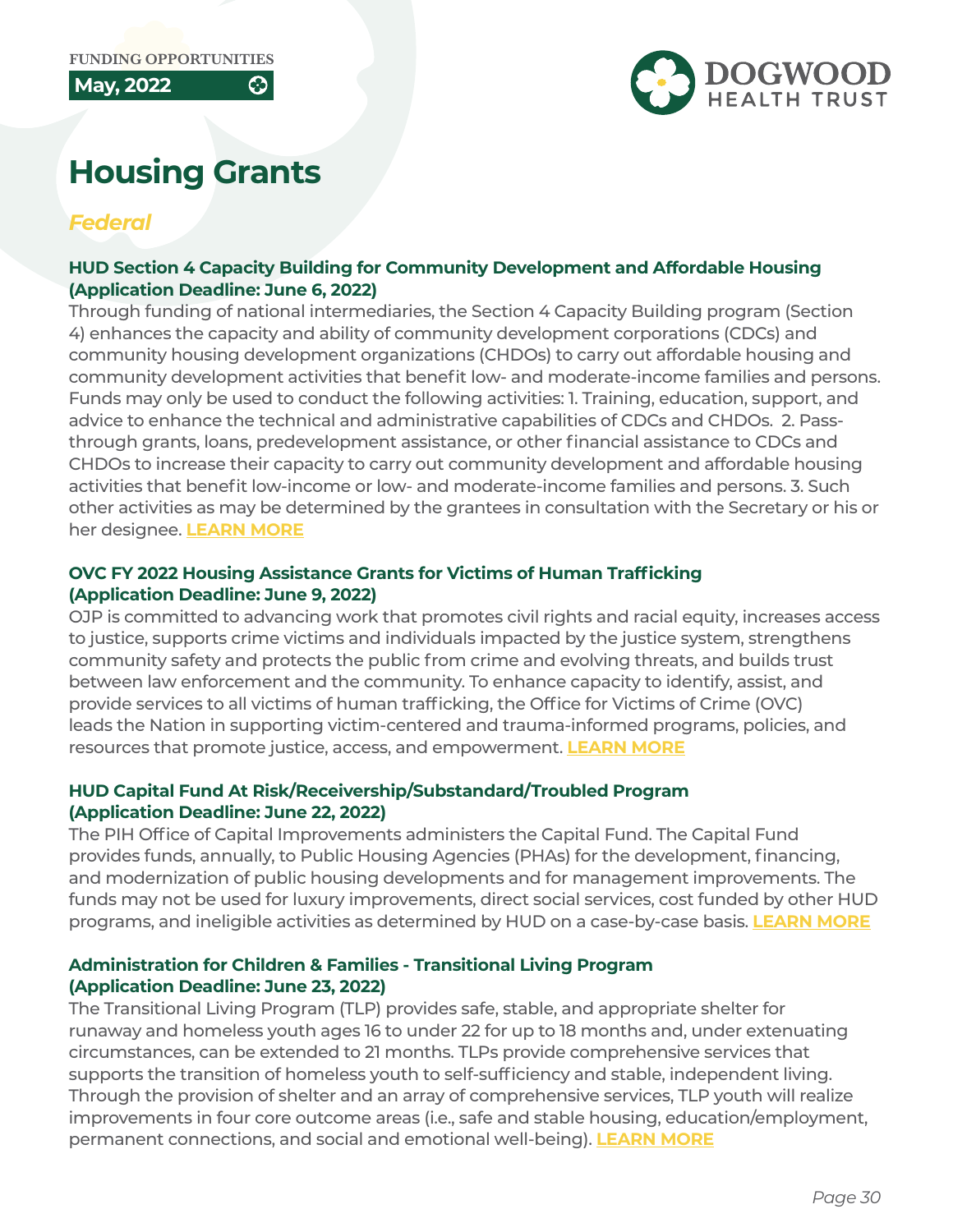

# **Housing Grants**

۞

# *Federal*

**May, 2022**

#### **HUD Section 4 Capacity Building for Community Development and Affordable Housing (Application Deadline: June 6, 2022)**

Through funding of national intermediaries, the Section 4 Capacity Building program (Section 4) enhances the capacity and ability of community development corporations (CDCs) and community housing development organizations (CHDOs) to carry out affordable housing and community development activities that benefit low- and moderate-income families and persons. Funds may only be used to conduct the following activities: 1. Training, education, support, and advice to enhance the technical and administrative capabilities of CDCs and CHDOs. 2. Passthrough grants, loans, predevelopment assistance, or other financial assistance to CDCs and CHDOs to increase their capacity to carry out community development and affordable housing activities that benefit low-income or low- and moderate-income families and persons. 3. Such other activities as may be determined by the grantees in consultation with the Secretary or his or her designee. **[LEARN MORE](https://www.grants.gov/web/grants/view-opportunity.html?oppId=339244)**

#### **OVC FY 2022 Housing Assistance Grants for Victims of Human Trafficking (Application Deadline: June 9, 2022)**

OJP is committed to advancing work that promotes civil rights and racial equity, increases access to justice, supports crime victims and individuals impacted by the justice system, strengthens community safety and protects the public from crime and evolving threats, and builds trust between law enforcement and the community. To enhance capacity to identify, assist, and provide services to all victims of human trafficking, the Office for Victims of Crime (OVC) leads the Nation in supporting victim-centered and trauma-informed programs, policies, and resources that promote justice, access, and empowerment. **[LEARN MORE](https://www.grants.gov/web/grants/view-opportunity.html?oppId=339566)**

### **HUD Capital Fund At Risk/Receivership/Substandard/Troubled Program (Application Deadline: June 22, 2022)**

The PIH Office of Capital Improvements administers the Capital Fund. The Capital Fund provides funds, annually, to Public Housing Agencies (PHAs) for the development, financing, and modernization of public housing developments and for management improvements. The funds may not be used for luxury improvements, direct social services, cost funded by other HUD programs, and ineligible activities as determined by HUD on a case-by-case basis. **[LEARN MORE](https://www.grants.gov/web/grants/view-opportunity.html?oppId=340158)**

#### **Administration for Children & Families - Transitional Living Program (Application Deadline: June 23, 2022)**

The Transitional Living Program (TLP) provides safe, stable, and appropriate shelter for runaway and homeless youth ages 16 to under 22 for up to 18 months and, under extenuating circumstances, can be extended to 21 months. TLPs provide comprehensive services that supports the transition of homeless youth to self-sufficiency and stable, independent living. Through the provision of shelter and an array of comprehensive services, TLP youth will realize improvements in four core outcome areas (i.e., safe and stable housing, education/employment, permanent connections, and social and emotional well-being). **[LEARN MORE](https://www.grants.gov/web/grants/view-opportunity.html?oppId=335490)**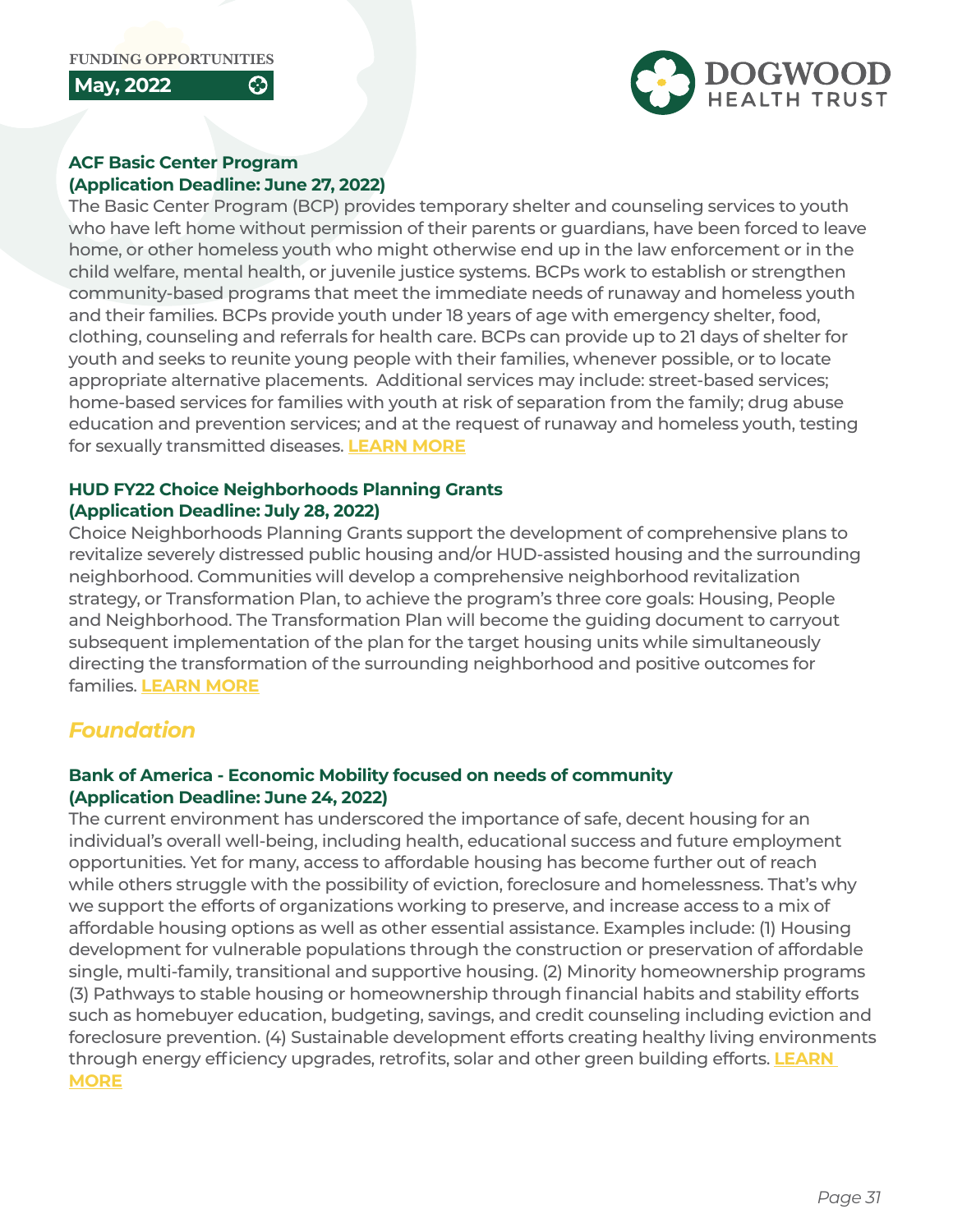

#### **ACF Basic Center Program (Application Deadline: June 27, 2022)**

හි

The Basic Center Program (BCP) provides temporary shelter and counseling services to youth who have left home without permission of their parents or guardians, have been forced to leave home, or other homeless youth who might otherwise end up in the law enforcement or in the child welfare, mental health, or juvenile justice systems. BCPs work to establish or strengthen community-based programs that meet the immediate needs of runaway and homeless youth and their families. BCPs provide youth under 18 years of age with emergency shelter, food, clothing, counseling and referrals for health care. BCPs can provide up to 21 days of shelter for youth and seeks to reunite young people with their families, whenever possible, or to locate appropriate alternative placements. Additional services may include: street-based services; home-based services for families with youth at risk of separation from the family; drug abuse education and prevention services; and at the request of runaway and homeless youth, testing for sexually transmitted diseases. **[LEARN MORE](https://www.grants.gov/web/grants/view-opportunity.html?oppId=335504)**

#### **HUD FY22 Choice Neighborhoods Planning Grants (Application Deadline: July 28, 2022)**

Choice Neighborhoods Planning Grants support the development of comprehensive plans to revitalize severely distressed public housing and/or HUD-assisted housing and the surrounding neighborhood. Communities will develop a comprehensive neighborhood revitalization strategy, or Transformation Plan, to achieve the program's three core goals: Housing, People and Neighborhood. The Transformation Plan will become the guiding document to carryout subsequent implementation of the plan for the target housing units while simultaneously directing the transformation of the surrounding neighborhood and positive outcomes for families. **[LEARN MORE](https://www.grants.gov/web/grants/view-opportunity.html?oppId=340208)**

# *Foundation*

#### **Bank of America - Economic Mobility focused on needs of community (Application Deadline: June 24, 2022)**

The current environment has underscored the importance of safe, decent housing for an individual's overall well-being, including health, educational success and future employment opportunities. Yet for many, access to affordable housing has become further out of reach while others struggle with the possibility of eviction, foreclosure and homelessness. That's why we support the efforts of organizations working to preserve, and increase access to a mix of affordable housing options as well as other essential assistance. Examples include: (1) Housing development for vulnerable populations through the construction or preservation of affordable single, multi-family, transitional and supportive housing. (2) Minority homeownership programs (3) Pathways to stable housing or homeownership through financial habits and stability efforts such as homebuyer education, budgeting, savings, and credit counseling including eviction and foreclosure prevention. (4) Sustainable development efforts creating healthy living environments through energy efficiency upgrades, retrofits, solar and other green building efforts. **[LEARN](https://about.bankofamerica.com/en/making-an-impact/charitable-foundation-funding)  [MORE](https://about.bankofamerica.com/en/making-an-impact/charitable-foundation-funding)**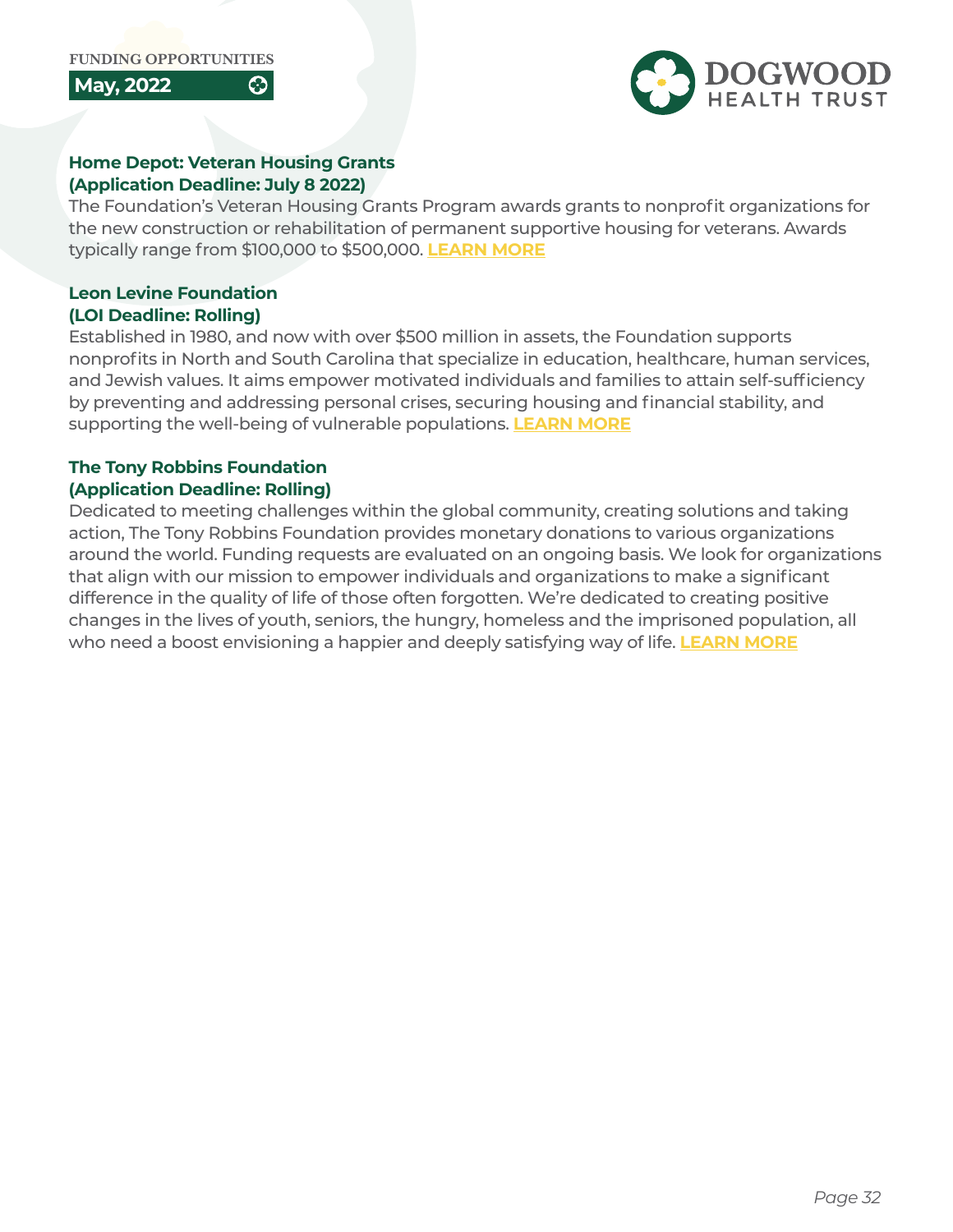

#### **Home Depot: Veteran Housing Grants (Application Deadline: July 8 2022)**

හි

The Foundation's Veteran Housing Grants Program awards grants to nonprofit organizations for the new construction or rehabilitation of permanent supportive housing for veterans. Awards typically range from \$100,000 to \$500,000. **[LEARN MORE](https://corporate.homedepot.com/foundation/veteranhousinggrants)**

## **Leon Levine Foundation (LOI Deadline: Rolling)**

Established in 1980, and now with over \$500 million in assets, the Foundation supports nonprofits in North and South Carolina that specialize in education, healthcare, human services, and Jewish values. It aims empower motivated individuals and families to attain self-sufficiency by preventing and addressing personal crises, securing housing and financial stability, and supporting the well-being of vulnerable populations. **[LEARN MORE](https://www.leonlevinefoundation.org/)**

### **The Tony Robbins Foundation (Application Deadline: Rolling)**

Dedicated to meeting challenges within the global community, creating solutions and taking action, The Tony Robbins Foundation provides monetary donations to various organizations around the world. Funding requests are evaluated on an ongoing basis. We look for organizations that align with our mission to empower individuals and organizations to make a significant difference in the quality of life of those often forgotten. We're dedicated to creating positive changes in the lives of youth, seniors, the hungry, homeless and the imprisoned population, all who need a boost envisioning a happier and deeply satisfying way of life. **[LEARN MORE](https://www.thetonyrobbinsfoundation.org/about-us/)**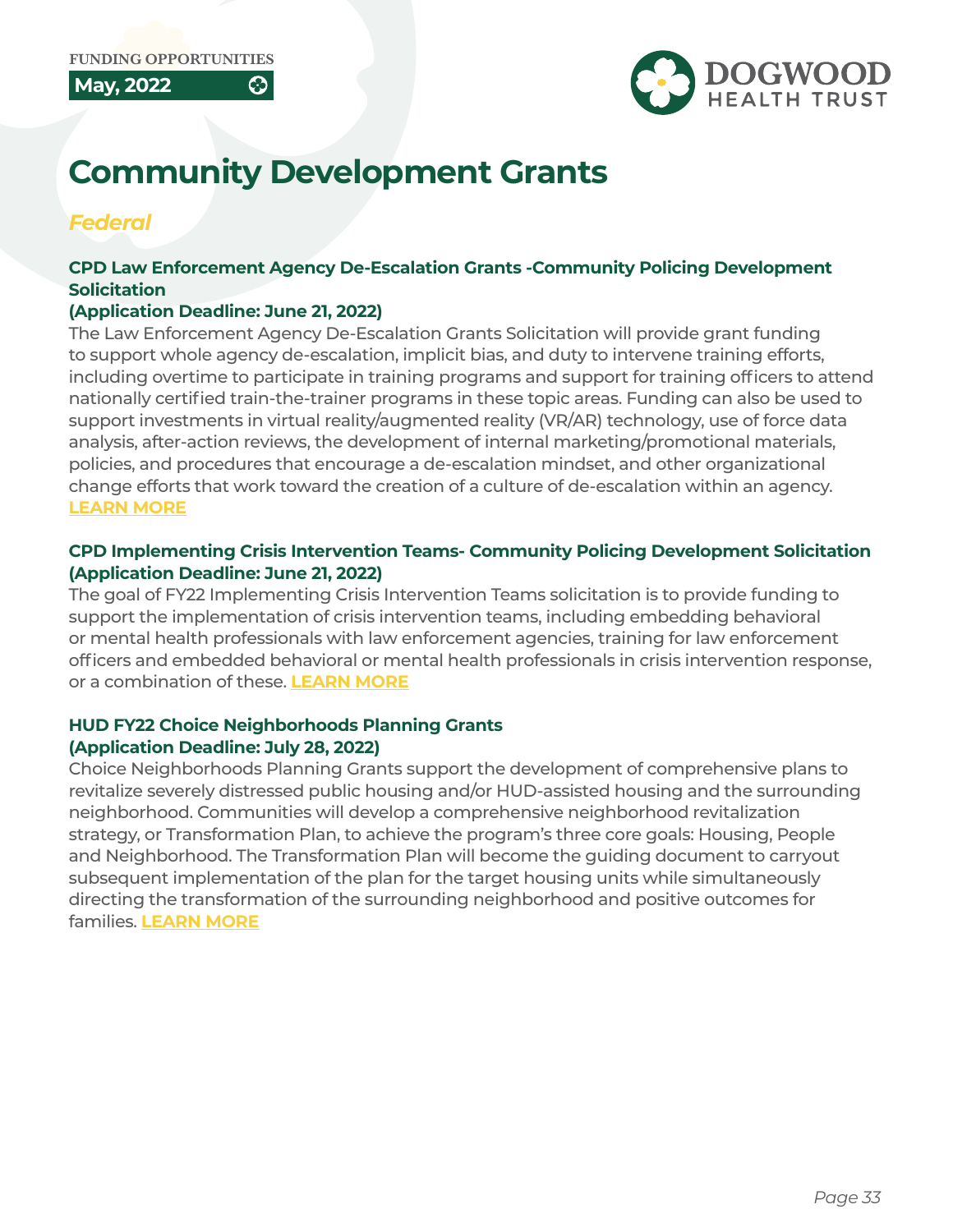

# **Community Development Grants**

# *Federal*

**May, 2022**

### **CPD Law Enforcement Agency De-Escalation Grants -Community Policing Development Solicitation**

#### **(Application Deadline: June 21, 2022)**

හි

The Law Enforcement Agency De-Escalation Grants Solicitation will provide grant funding to support whole agency de-escalation, implicit bias, and duty to intervene training efforts, including overtime to participate in training programs and support for training officers to attend nationally certified train-the-trainer programs in these topic areas. Funding can also be used to support investments in virtual reality/augmented reality (VR/AR) technology, use of force data analysis, after-action reviews, the development of internal marketing/promotional materials, policies, and procedures that encourage a de-escalation mindset, and other organizational change efforts that work toward the creation of a culture of de-escalation within an agency. **[LEARN MORE](https://www.grants.gov/web/grants/view-opportunity.html?oppId=340092)**

#### **CPD Implementing Crisis Intervention Teams- Community Policing Development Solicitation (Application Deadline: June 21, 2022)**

The goal of FY22 Implementing Crisis Intervention Teams solicitation is to provide funding to support the implementation of crisis intervention teams, including embedding behavioral or mental health professionals with law enforcement agencies, training for law enforcement officers and embedded behavioral or mental health professionals in crisis intervention response, or a combination of these. **[LEARN MORE](https://cops.usdoj.gov/cit)**

### **HUD FY22 Choice Neighborhoods Planning Grants (Application Deadline: July 28, 2022)**

Choice Neighborhoods Planning Grants support the development of comprehensive plans to revitalize severely distressed public housing and/or HUD-assisted housing and the surrounding neighborhood. Communities will develop a comprehensive neighborhood revitalization strategy, or Transformation Plan, to achieve the program's three core goals: Housing, People and Neighborhood. The Transformation Plan will become the guiding document to carryout subsequent implementation of the plan for the target housing units while simultaneously directing the transformation of the surrounding neighborhood and positive outcomes for families. **[LEARN MORE](https://www.grants.gov/web/grants/view-opportunity.html?oppId=340208)**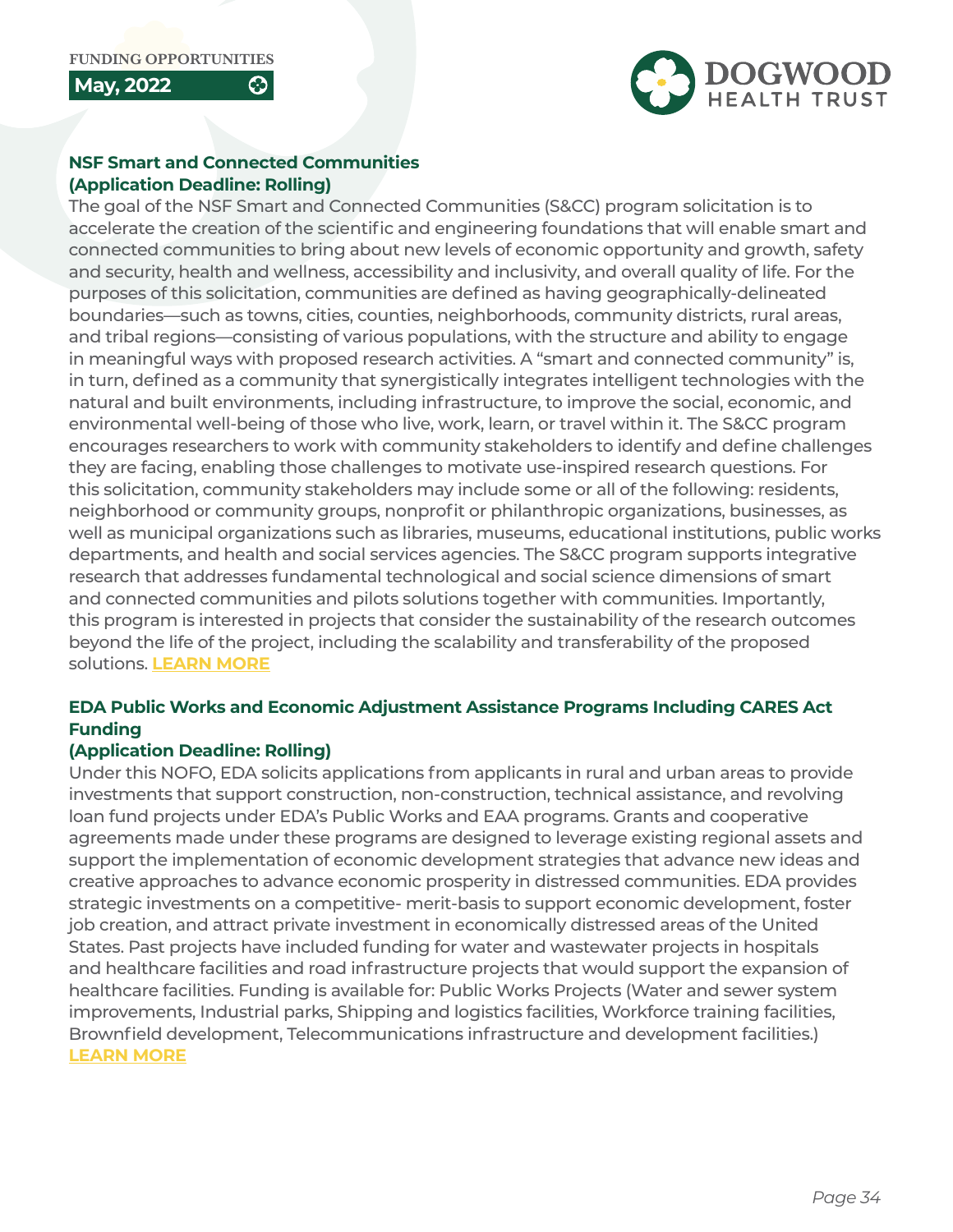

#### **NSF Smart and Connected Communities (Application Deadline: Rolling)**

හි

The goal of the NSF Smart and Connected Communities (S&CC) program solicitation is to accelerate the creation of the scientific and engineering foundations that will enable smart and connected communities to bring about new levels of economic opportunity and growth, safety and security, health and wellness, accessibility and inclusivity, and overall quality of life. For the purposes of this solicitation, communities are defined as having geographically-delineated boundaries—such as towns, cities, counties, neighborhoods, community districts, rural areas, and tribal regions—consisting of various populations, with the structure and ability to engage in meaningful ways with proposed research activities. A "smart and connected community" is, in turn, defined as a community that synergistically integrates intelligent technologies with the natural and built environments, including infrastructure, to improve the social, economic, and environmental well-being of those who live, work, learn, or travel within it. The S&CC program encourages researchers to work with community stakeholders to identify and define challenges they are facing, enabling those challenges to motivate use-inspired research questions. For this solicitation, community stakeholders may include some or all of the following: residents, neighborhood or community groups, nonprofit or philanthropic organizations, businesses, as well as municipal organizations such as libraries, museums, educational institutions, public works departments, and health and social services agencies. The S&CC program supports integrative research that addresses fundamental technological and social science dimensions of smart and connected communities and pilots solutions together with communities. Importantly, this program is interested in projects that consider the sustainability of the research outcomes beyond the life of the project, including the scalability and transferability of the proposed solutions. **[LEARN MORE](https://www.grants.gov/web/grants/view-opportunity.html?oppId=336813)**

### **EDA Public Works and Economic Adjustment Assistance Programs Including CARES Act Funding**

#### **(Application Deadline: Rolling)**

Under this NOFO, EDA solicits applications from applicants in rural and urban areas to provide investments that support construction, non-construction, technical assistance, and revolving loan fund projects under EDA's Public Works and EAA programs. Grants and cooperative agreements made under these programs are designed to leverage existing regional assets and support the implementation of economic development strategies that advance new ideas and creative approaches to advance economic prosperity in distressed communities. EDA provides strategic investments on a competitive- merit-basis to support economic development, foster job creation, and attract private investment in economically distressed areas of the United States. Past projects have included funding for water and wastewater projects in hospitals and healthcare facilities and road infrastructure projects that would support the expansion of healthcare facilities. Funding is available for: Public Works Projects (Water and sewer system improvements, Industrial parks, Shipping and logistics facilities, Workforce training facilities, Brownfield development, Telecommunications infrastructure and development facilities.) **[LEARN MORE](https://www.grants.gov/web/grants/view-opportunity.html?oppId=321695)**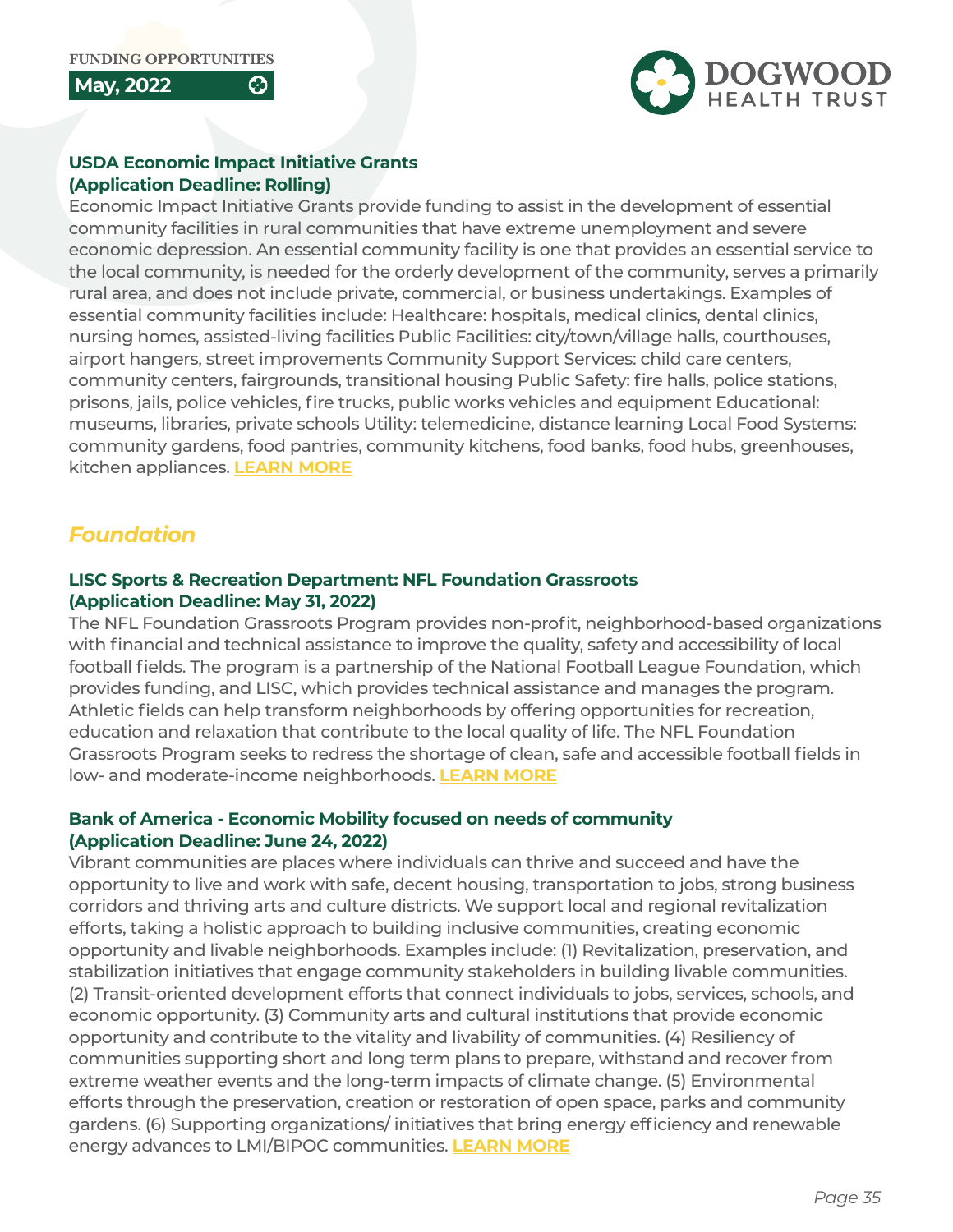

#### **USDA Economic Impact Initiative Grants (Application Deadline: Rolling)**

හි

Economic Impact Initiative Grants provide funding to assist in the development of essential community facilities in rural communities that have extreme unemployment and severe economic depression. An essential community facility is one that provides an essential service to the local community, is needed for the orderly development of the community, serves a primarily rural area, and does not include private, commercial, or business undertakings. Examples of essential community facilities include: Healthcare: hospitals, medical clinics, dental clinics, nursing homes, assisted-living facilities Public Facilities: city/town/village halls, courthouses, airport hangers, street improvements Community Support Services: child care centers, community centers, fairgrounds, transitional housing Public Safety: fire halls, police stations, prisons, jails, police vehicles, fire trucks, public works vehicles and equipment Educational: museums, libraries, private schools Utility: telemedicine, distance learning Local Food Systems: community gardens, food pantries, community kitchens, food banks, food hubs, greenhouses, kitchen appliances. **[LEARN MORE](https://www.rd.usda.gov/programs-services/economic-impact-initiative-grants)**

# *Foundation*

#### **LISC Sports & Recreation Department: NFL Foundation Grassroots (Application Deadline: May 31, 2022)**

The NFL Foundation Grassroots Program provides non-profit, neighborhood-based organizations with financial and technical assistance to improve the quality, safety and accessibility of local football fields. The program is a partnership of the National Football League Foundation, which provides funding, and LISC, which provides technical assistance and manages the program. Athletic fields can help transform neighborhoods by offering opportunities for recreation, education and relaxation that contribute to the local quality of life. The NFL Foundation Grassroots Program seeks to redress the shortage of clean, safe and accessible football fields in low- and moderate-income neighborhoods. **[LEARN MORE](https://www.lisc.org/our-initiatives/sports-recreation/nfl-foundation-grassroots-program/)**

## **Bank of America - Economic Mobility focused on needs of community (Application Deadline: June 24, 2022)**

Vibrant communities are places where individuals can thrive and succeed and have the opportunity to live and work with safe, decent housing, transportation to jobs, strong business corridors and thriving arts and culture districts. We support local and regional revitalization efforts, taking a holistic approach to building inclusive communities, creating economic opportunity and livable neighborhoods. Examples include: (1) Revitalization, preservation, and stabilization initiatives that engage community stakeholders in building livable communities. (2) Transit-oriented development efforts that connect individuals to jobs, services, schools, and economic opportunity. (3) Community arts and cultural institutions that provide economic opportunity and contribute to the vitality and livability of communities. (4) Resiliency of communities supporting short and long term plans to prepare, withstand and recover from extreme weather events and the long-term impacts of climate change. (5) Environmental efforts through the preservation, creation or restoration of open space, parks and community gardens. (6) Supporting organizations/ initiatives that bring energy efficiency and renewable energy advances to LMI/BIPOC communities. **[LEARN MORE](https://about.bankofamerica.com/en/making-an-impact/charitable-foundation-funding)**